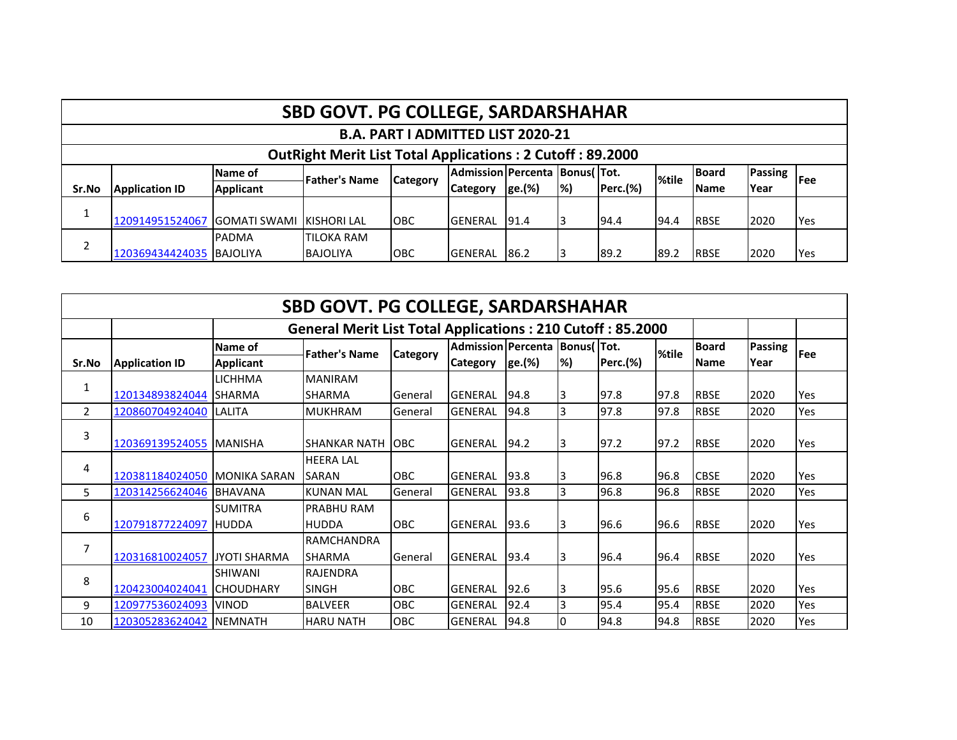|       |                                                                  |                      | <b>SBD GOVT. PG COLLEGE, SARDARSHAHAR</b> |            |                                     |        |                           |          |       |              |                |             |  |  |
|-------|------------------------------------------------------------------|----------------------|-------------------------------------------|------------|-------------------------------------|--------|---------------------------|----------|-------|--------------|----------------|-------------|--|--|
|       | <b>B.A. PART I ADMITTED LIST 2020-21</b>                         |                      |                                           |            |                                     |        |                           |          |       |              |                |             |  |  |
|       | <b>OutRight Merit List Total Applications: 2 Cutoff: 89.2000</b> |                      |                                           |            |                                     |        |                           |          |       |              |                |             |  |  |
|       |                                                                  | Name of              | <b>Father's Name</b>                      |            | Admission Percenta   Bonus (   Tot. |        |                           |          | %tile | <b>Board</b> | <b>Passing</b> | <b>IFee</b> |  |  |
| Sr.No | <b>Application ID</b>                                            | Applicant            |                                           | Category   | <b>Category</b>                     | ge.(%) | $\left  \% \right\rangle$ | Perc.(%) |       | <b>IName</b> | Year           |             |  |  |
|       |                                                                  |                      |                                           |            |                                     |        |                           |          |       |              |                |             |  |  |
|       | 120914951524067                                                  | <b>IGOMATI SWAMI</b> | <b>KISHORI LAL</b>                        | <b>OBC</b> | <b>GENERAL</b>                      | 191.4  |                           | 194.4    | 94.4  | <b>RBSE</b>  | 2020           | <b>Yes</b>  |  |  |
|       |                                                                  | <b>PADMA</b>         | <b>ITILOKA RAM</b>                        |            |                                     |        |                           |          |       |              |                |             |  |  |
|       | 120369434424035 BAJOLIYA                                         |                      | <b>BAJOLIYA</b>                           | <b>OBC</b> | <b>GENERAL</b>                      | 86.2   |                           | 89.2     | 89.2  | <b>RBSE</b>  | 2020           | <b>Yes</b>  |  |  |

|                | <b>SBD GOVT. PG COLLEGE, SARDARSHAHAR</b> |                     |                                                                   |                 |                               |        |    |                 |       |              |         |            |  |  |  |
|----------------|-------------------------------------------|---------------------|-------------------------------------------------------------------|-----------------|-------------------------------|--------|----|-----------------|-------|--------------|---------|------------|--|--|--|
|                |                                           |                     | <b>General Merit List Total Applications: 210 Cutoff: 85.2000</b> |                 |                               |        |    |                 |       |              |         |            |  |  |  |
|                |                                           | Name of             | <b>Father's Name</b>                                              | <b>Category</b> | Admission Percenta Bonus(Tot. |        |    |                 | %tile | <b>Board</b> | Passing | Fee        |  |  |  |
| Sr.No          | <b>Application ID</b>                     | <b>Applicant</b>    |                                                                   |                 | <b>Category</b>               | ge.(%) | %) | <b>Perc.(%)</b> |       | <b>Name</b>  | Year    |            |  |  |  |
| 1              |                                           | <b>LICHHMA</b>      | <b>MANIRAM</b>                                                    |                 |                               |        |    |                 |       |              |         |            |  |  |  |
|                | 120134893824044                           | <b>SHARMA</b>       | <b>SHARMA</b>                                                     | General         | <b>GENERAL</b>                | 94.8   | I3 | 97.8            | 97.8  | <b>RBSE</b>  | 2020    | Yes        |  |  |  |
| $\overline{2}$ | 120860704924040 LALITA                    |                     | <b>MUKHRAM</b>                                                    | General         | <b>GENERAL</b>                | 94.8   | 3  | 97.8            | 97.8  | <b>RBSE</b>  | 2020    | Yes        |  |  |  |
| 3              | 120369139524055   MANISHA                 |                     | <b>SHANKAR NATH</b>                                               | <b>OBC</b>      | <b>GENERAL</b>                | 94.2   | 13 | 97.2            | 97.2  | <b>RBSE</b>  | 2020    | Yes        |  |  |  |
| 4              |                                           |                     | <b>HEERA LAL</b>                                                  |                 |                               |        |    |                 |       |              |         |            |  |  |  |
|                | 120381184024050 MONIKA SARAN              |                     | <b>SARAN</b>                                                      | OBC             | <b>GENERAL</b>                | 93.8   | I3 | 96.8            | 96.8  | <b>CBSE</b>  | 2020    | <b>Yes</b> |  |  |  |
| 5              | 120314256624046                           | <b>BHAVANA</b>      | <b>KUNAN MAL</b>                                                  | General         | <b>GENERAL</b>                | 93.8   | 3  | 96.8            | 96.8  | <b>RBSE</b>  | 2020    | Yes        |  |  |  |
|                |                                           | <b>SUMITRA</b>      | <b>PRABHU RAM</b>                                                 |                 |                               |        |    |                 |       |              |         |            |  |  |  |
| 6              | 120791877224097 HUDDA                     |                     | <b>HUDDA</b>                                                      | OBC             | <b>GENERAL</b>                | 93.6   | 13 | 96.6            | 96.6  | <b>RBSE</b>  | 2020    | Yes        |  |  |  |
| 7              |                                           |                     | <b>RAMCHANDRA</b>                                                 |                 |                               |        |    |                 |       |              |         |            |  |  |  |
|                | 120316810024057                           | <b>JYOTI SHARMA</b> | <b>SHARMA</b>                                                     | General         | <b>GENERAL</b>                | 93.4   | 13 | 96.4            | 96.4  | <b>RBSE</b>  | 2020    | Yes        |  |  |  |
| 8              |                                           | <b>SHIWANI</b>      | <b>RAJENDRA</b>                                                   |                 |                               |        |    |                 |       |              |         |            |  |  |  |
|                | 120423004024041                           | <b>ICHOUDHARY</b>   | <b>SINGH</b>                                                      | OBC             | <b>GENERAL</b>                | 92.6   | I3 | 95.6            | 95.6  | <b>RBSE</b>  | 2020    | Yes        |  |  |  |
| 9              | 120977536024093                           | <b>VINOD</b>        | <b>BALVEER</b>                                                    | OBC             | <b>GENERAL</b>                | 92.4   | 3  | 95.4            | 95.4  | <b>RBSE</b>  | 2020    | Yes        |  |  |  |
| 10             | 120305283624042                           | <b>INEMNATH</b>     | <b>HARU NATH</b>                                                  | OBC             | <b>GENERAL</b>                | 94.8   | 10 | 94.8            | 94.8  | <b>RBSE</b>  | 2020    | Yes        |  |  |  |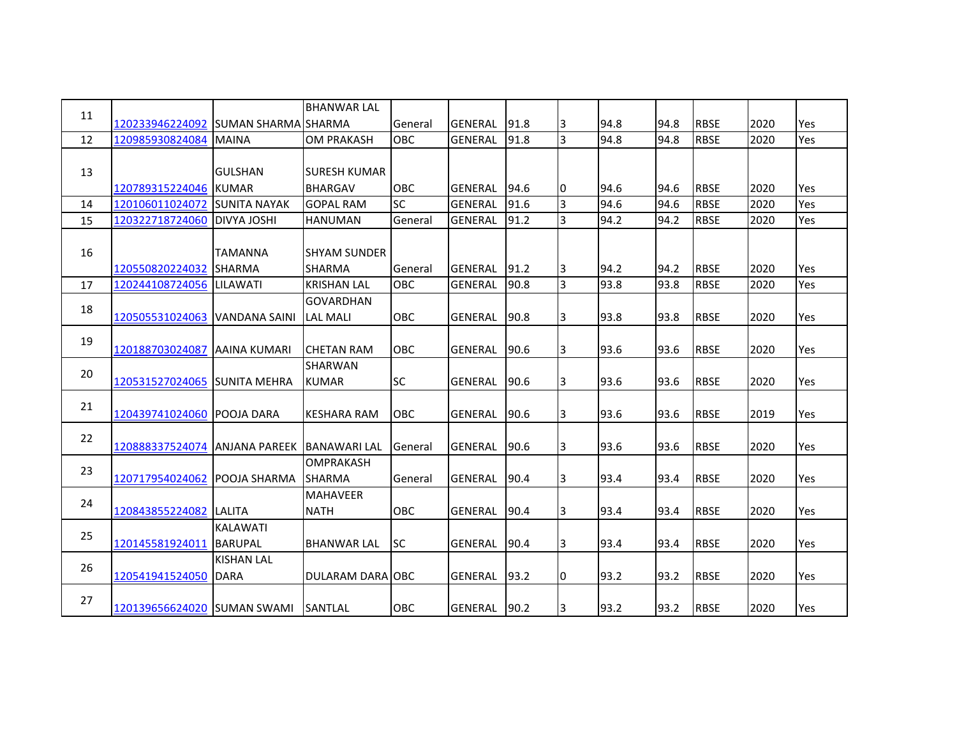| 11 |                              |                            | <b>BHANWAR LAL</b>    |            |                |      |    |      |      |             |      |     |
|----|------------------------------|----------------------------|-----------------------|------------|----------------|------|----|------|------|-------------|------|-----|
|    | 120233946224092              | <b>SUMAN SHARMA SHARMA</b> |                       | General    | <b>GENERAL</b> | 91.8 | 3  | 94.8 | 94.8 | <b>RBSE</b> | 2020 | Yes |
| 12 | 120985930824084              | <b>MAINA</b>               | <b>OM PRAKASH</b>     | OBC        | <b>GENERAL</b> | 91.8 | 3  | 94.8 | 94.8 | <b>RBSE</b> | 2020 | Yes |
|    |                              |                            |                       |            |                |      |    |      |      |             |      |     |
| 13 |                              | <b>GULSHAN</b>             | <b>I</b> SURESH KUMAR |            |                |      |    |      |      |             |      |     |
|    | 120789315224046              | <b>KUMAR</b>               | <b>BHARGAV</b>        | <b>OBC</b> | <b>GENERAL</b> | 94.6 | 10 | 94.6 | 94.6 | <b>RBSE</b> | 2020 | Yes |
| 14 | 120106011024072              | <b>SUNITA NAYAK</b>        | <b>GOPAL RAM</b>      | <b>SC</b>  | <b>GENERAL</b> | 91.6 | 3  | 94.6 | 94.6 | <b>RBSE</b> | 2020 | Yes |
| 15 | 120322718724060              | <b>DIVYA JOSHI</b>         | <b>HANUMAN</b>        | General    | <b>GENERAL</b> | 91.2 | 3  | 94.2 | 94.2 | <b>RBSE</b> | 2020 | Yes |
|    |                              |                            |                       |            |                |      |    |      |      |             |      |     |
| 16 |                              | <b>TAMANNA</b>             | <b>ISHYAM SUNDER</b>  |            |                |      |    |      |      |             |      |     |
|    | 120550820224032              | <b>SHARMA</b>              | <b>SHARMA</b>         | General    | <b>GENERAL</b> | 91.2 | 3  | 94.2 | 94.2 | <b>RBSE</b> | 2020 | Yes |
| 17 | 120244108724056              | <b>LILAWATI</b>            | <b>KRISHAN LAL</b>    | OBC        | GENERAL        | 90.8 | l3 | 93.8 | 93.8 | <b>RBSE</b> | 2020 | Yes |
|    |                              |                            | <b>GOVARDHAN</b>      |            |                |      |    |      |      |             |      |     |
| 18 | 120505531024063              | VANDANA SAINI              | <b>LAL MALI</b>       | OBC        | GENERAL        | 90.8 | 3  | 93.8 | 93.8 | <b>RBSE</b> | 2020 | Yes |
|    |                              |                            |                       |            |                |      |    |      |      |             |      |     |
| 19 | 120188703024087              | <b>AAINA KUMARI</b>        | <b>CHETAN RAM</b>     | <b>OBC</b> | <b>GENERAL</b> | 90.6 | 3  | 93.6 | 93.6 | <b>RBSE</b> | 2020 | Yes |
|    |                              |                            | <b>SHARWAN</b>        |            |                |      |    |      |      |             |      |     |
| 20 | 120531527024065 SUNITA MEHRA |                            | <b>KUMAR</b>          | <b>SC</b>  | <b>GENERAL</b> | 90.6 | 3  | 93.6 | 93.6 | <b>RBSE</b> | 2020 | Yes |
|    |                              |                            |                       |            |                |      |    |      |      |             |      |     |
| 21 | 120439741024060              | <b>POOJA DARA</b>          | <b>KESHARA RAM</b>    | OBC        | GENERAL        | 90.6 | 3  | 93.6 | 93.6 | <b>RBSE</b> | 2019 | Yes |
|    |                              |                            |                       |            |                |      |    |      |      |             |      |     |
| 22 | 120888337524074              | <b>ANJANA PAREEK</b>       | <b>BANAWARI LAL</b>   | General    | GENERAL        | 90.6 | 3  | 93.6 | 93.6 | <b>RBSE</b> | 2020 | Yes |
|    |                              |                            | <b>OMPRAKASH</b>      |            |                |      |    |      |      |             |      |     |
| 23 | 120717954024062              | <b>POOJA SHARMA</b>        | <b>SHARMA</b>         | General    | <b>GENERAL</b> | 90.4 | l3 | 93.4 | 93.4 | <b>RBSE</b> | 2020 | Yes |
|    |                              |                            | <b>MAHAVEER</b>       |            |                |      |    |      |      |             |      |     |
| 24 | 120843855224082              | <b>LALITA</b>              | <b>NATH</b>           | OBC        | GENERAL        | 90.4 | 3  | 93.4 | 93.4 | <b>RBSE</b> | 2020 | Yes |
|    |                              | <b>KALAWATI</b>            |                       |            |                |      |    |      |      |             |      |     |
| 25 | 120145581924011              | <b>BARUPAL</b>             | <b>BHANWAR LAL</b>    | <b>SC</b>  | <b>GENERAL</b> | 90.4 | 3  | 93.4 | 93.4 | <b>RBSE</b> | 2020 | Yes |
|    |                              | <b>KISHAN LAL</b>          |                       |            |                |      |    |      |      |             |      |     |
| 26 | 120541941524050              | <b>DARA</b>                | DULARAM DARA OBC      |            | <b>GENERAL</b> | 93.2 | I0 | 93.2 | 93.2 | <b>RBSE</b> | 2020 | Yes |
|    |                              |                            |                       |            |                |      |    |      |      |             |      |     |
| 27 | 120139656624020 SUMAN SWAMI  |                            | SANTLAL               | OBC        | <b>GENERAL</b> | 90.2 | 3  | 93.2 | 93.2 | <b>RBSE</b> | 2020 | Yes |
|    |                              |                            |                       |            |                |      |    |      |      |             |      |     |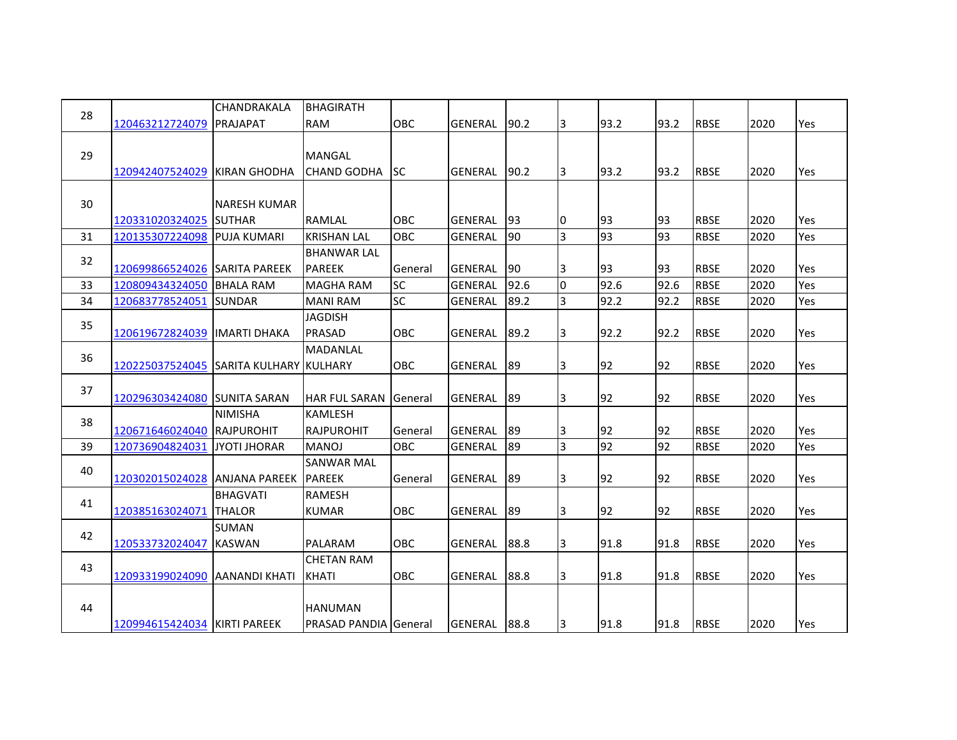|    |                                        | CHANDRAKALA         | <b>BHAGIRATH</b>      |            |                |      |                |                 |      |             |      |            |
|----|----------------------------------------|---------------------|-----------------------|------------|----------------|------|----------------|-----------------|------|-------------|------|------------|
| 28 | 120463212724079                        | PRAJAPAT            | <b>RAM</b>            | OBC        | <b>GENERAL</b> | 90.2 | 3              | 93.2            | 93.2 | <b>RBSE</b> | 2020 | <b>Yes</b> |
|    |                                        |                     |                       |            |                |      |                |                 |      |             |      |            |
| 29 |                                        |                     | <b>MANGAL</b>         |            |                |      |                |                 |      |             |      |            |
|    | 120942407524029 KIRAN GHODHA           |                     | <b>CHAND GODHA</b>    | <b>SC</b>  | GENERAL        | 90.2 | 13             | 93.2            | 93.2 | <b>RBSE</b> | 2020 | Yes        |
|    |                                        |                     |                       |            |                |      |                |                 |      |             |      |            |
| 30 |                                        | NARESH KUMAR        |                       |            |                |      |                |                 |      |             |      |            |
|    | 120331020324025 SUTHAR                 |                     | <b>RAMLAL</b>         | <b>OBC</b> | <b>GENERAL</b> | 93   | 0              | 93              | 93   | <b>RBSE</b> | 2020 | Yes        |
| 31 | 120135307224098                        | <b>PUJA KUMARI</b>  | <b>KRISHAN LAL</b>    | OBC        | <b>GENERAL</b> | 90   | $\overline{3}$ | 93              | 93   | <b>RBSE</b> | 2020 | Yes        |
| 32 |                                        |                     | <b>BHANWAR LAL</b>    |            |                |      |                |                 |      |             |      |            |
|    | 120699866524026 SARITA PAREEK          |                     | <b>PAREEK</b>         | General    | GENERAL        | 190  | 3              | 93              | 93   | <b>RBSE</b> | 2020 | Yes        |
| 33 | 120809434324050                        | <b>BHALA RAM</b>    | MAGHA RAM             | <b>SC</b>  | <b>GENERAL</b> | 92.6 | 0              | 92.6            | 92.6 | <b>RBSE</b> | 2020 | Yes        |
| 34 | 120683778524051                        | <b>SUNDAR</b>       | <b>MANI RAM</b>       | <b>SC</b>  | GENERAL        | 89.2 | $\overline{3}$ | 92.2            | 92.2 | <b>RBSE</b> | 2020 | Yes        |
| 35 |                                        |                     | <b>JAGDISH</b>        |            |                |      |                |                 |      |             |      |            |
|    | 120619672824039   IMARTI DHAKA         |                     | PRASAD                | OBC        | <b>GENERAL</b> | 89.2 | 3              | 92.2            | 92.2 | <b>RBSE</b> | 2020 | Yes        |
| 36 |                                        |                     | <b>MADANLAL</b>       |            |                |      |                |                 |      |             |      |            |
|    | 120225037524045 SARITA KULHARY KULHARY |                     |                       | OBC        | GENERAL        | 89   | 3              | 92              | 92   | <b>RBSE</b> | 2020 | Yes        |
| 37 |                                        |                     |                       |            |                |      |                |                 |      |             |      |            |
|    | 120296303424080 SUNITA SARAN           |                     | IHAR FUL SARAN        | General    | <b>GENERAL</b> | 89   | 3              | 92              | 92   | <b>RBSE</b> | 2020 | Yes        |
| 38 |                                        | <b>NIMISHA</b>      | <b>KAMLESH</b>        |            |                |      |                |                 |      |             |      |            |
|    | 120671646024040                        | <b>RAJPUROHIT</b>   | <b>RAJPUROHIT</b>     | General    | <b>GENERAL</b> | 89   | 3              | 92              | 92   | <b>RBSE</b> | 2020 | Yes        |
| 39 | 120736904824031                        | <b>JYOTI JHORAR</b> | <b>MANOJ</b>          | <b>OBC</b> | GENERAL        | 89   | $\overline{3}$ | $\overline{92}$ | 92   | <b>RBSE</b> | 2020 | Yes        |
| 40 |                                        |                     | <b>SANWAR MAL</b>     |            |                |      |                |                 |      |             |      |            |
|    | 120302015024028 ANJANA PAREEK          |                     | <b>PAREEK</b>         | General    | GENERAL        | 89   | 3              | 92              | 92   | <b>RBSE</b> | 2020 | Yes        |
| 41 |                                        | <b>BHAGVATI</b>     | <b>RAMESH</b>         |            |                |      |                |                 |      |             |      |            |
|    | 120385163024071                        | <b>THALOR</b>       | <b>KUMAR</b>          | OBC        | GENERAL        | 89   | 3              | 92              | 92   | <b>RBSE</b> | 2020 | Yes        |
| 42 |                                        | <b>SUMAN</b>        |                       |            |                |      |                |                 |      |             |      |            |
|    | 120533732024047                        | <b>KASWAN</b>       | PALARAM               | <b>OBC</b> | <b>GENERAL</b> | 88.8 | 3              | 91.8            | 91.8 | <b>RBSE</b> | 2020 | Yes        |
| 43 |                                        |                     | <b>CHETAN RAM</b>     |            |                |      |                |                 |      |             |      |            |
|    | 120933199024090 AANANDI KHATI          |                     | <b>KHATI</b>          | <b>OBC</b> | <b>GENERAL</b> | 88.8 | 3              | 91.8            | 91.8 | <b>RBSE</b> | 2020 | Yes        |
|    |                                        |                     |                       |            |                |      |                |                 |      |             |      |            |
| 44 |                                        |                     | <b>HANUMAN</b>        |            |                |      |                |                 |      |             |      |            |
|    | 120994615424034 KIRTI PAREEK           |                     | PRASAD PANDIA General |            | GENERAL        | 88.8 | 3              | 91.8            | 91.8 | <b>RBSE</b> | 2020 | Yes        |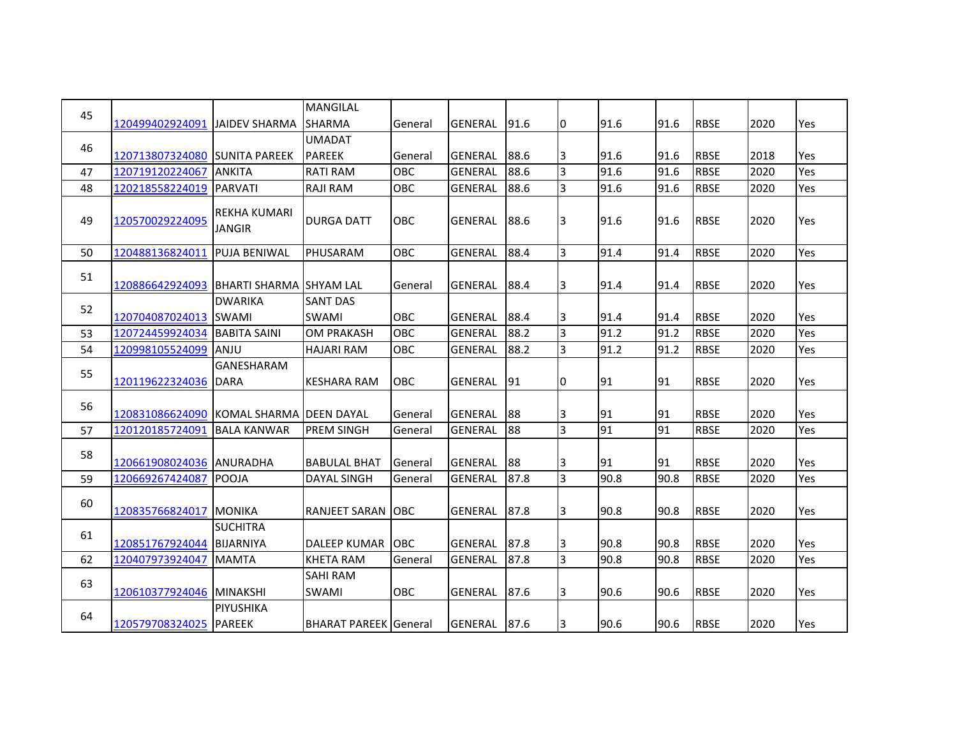| 45 |                          |                                     | <b>MANGILAL</b>              |         |                |      |                |      |      |             |      |     |
|----|--------------------------|-------------------------------------|------------------------------|---------|----------------|------|----------------|------|------|-------------|------|-----|
|    | 120499402924091          | <b>JAIDEV SHARMA</b>                | <b>SHARMA</b>                | General | GENERAL        | 91.6 | 0              | 91.6 | 91.6 | <b>RBSE</b> | 2020 | Yes |
| 46 |                          |                                     | <b>UMADAT</b>                |         |                |      |                |      |      |             |      |     |
|    | 120713807324080          | <b>SUNITA PAREEK</b>                | <b>PAREEK</b>                | General | <b>GENERAL</b> | 88.6 | 3              | 91.6 | 91.6 | <b>RBSE</b> | 2018 | Yes |
| 47 | 120719120224067          | <b>ANKITA</b>                       | <b>RATI RAM</b>              | OBC     | <b>GENERAL</b> | 88.6 | $\overline{3}$ | 91.6 | 91.6 | <b>RBSE</b> | 2020 | Yes |
| 48 | 120218558224019          | <b>PARVATI</b>                      | <b>RAJI RAM</b>              | OBC     | GENERAL        | 88.6 | $\overline{3}$ | 91.6 | 91.6 | <b>RBSE</b> | 2020 | Yes |
| 49 | 120570029224095          | REKHA KUMARI<br><b>JANGIR</b>       | <b>DURGA DATT</b>            | OBC     | GENERAL        | 88.6 | 3              | 91.6 | 91.6 | <b>RBSE</b> | 2020 | Yes |
| 50 | 120488136824011          | <b>PUJA BENIWAL</b>                 | PHUSARAM                     | OBC     | GENERAL        | 88.4 | $\overline{3}$ | 91.4 | 91.4 | <b>RBSE</b> | 2020 | Yes |
| 51 | 120886642924093          | <b>BHARTI SHARMA ISHYAM LAL</b>     |                              | General | GENERAL        | 88.4 | 3              | 91.4 | 91.4 | <b>RBSE</b> | 2020 | Yes |
| 52 |                          | <b>DWARIKA</b>                      | <b>SANT DAS</b>              |         |                |      |                |      |      |             |      |     |
|    | 120704087024013          | <b>SWAMI</b>                        | <b>SWAMI</b>                 | OBC     | <b>GENERAL</b> | 88.4 | 3              | 91.4 | 91.4 | <b>RBSE</b> | 2020 | Yes |
| 53 | 120724459924034          | <b>BABITA SAINI</b>                 | <b>OM PRAKASH</b>            | OBC     | GENERAL        | 88.2 | $\overline{3}$ | 91.2 | 91.2 | <b>RBSE</b> | 2020 | Yes |
| 54 | 120998105524099          | ANJU                                | <b>HAJARI RAM</b>            | OBC     | GENERAL        | 88.2 | 3              | 91.2 | 91.2 | <b>RBSE</b> | 2020 | Yes |
| 55 | 120119622324036          | GANESHARAM<br><b>DARA</b>           | <b>KESHARA RAM</b>           | OBC     | GENERAL        | 91   | 0              | 91   | 91   | <b>RBSE</b> | 2020 | Yes |
| 56 | 120831086624090          | IKOMAL SHARMA IDEEN DAYAL           |                              | General | <b>GENERAL</b> | 88   | 13             | 91   | 91   | <b>RBSE</b> | 2020 | Yes |
| 57 | 120120185724091          | <b>BALA KANWAR</b>                  | <b>PREM SINGH</b>            | General | <b>GENERAL</b> | 88   | $\overline{3}$ | 91   | 91   | <b>RBSE</b> | 2020 | Yes |
| 58 | 120661908024036 ANURADHA |                                     | <b>BABULAL BHAT</b>          | General | GENERAL        | 88   | 3              | 91   | 91   | <b>RBSE</b> | 2020 | Yes |
| 59 | 120669267424087          | <b>POOJA</b>                        | <b>DAYAL SINGH</b>           | General | GENERAL        | 87.8 | $\overline{3}$ | 90.8 | 90.8 | <b>RBSE</b> | 2020 | Yes |
| 60 | 120835766824017          | <b>MONIKA</b>                       | RANJEET SARAN OBC            |         | GENERAL        | 87.8 | 3              | 90.8 | 90.8 | <b>RBSE</b> | 2020 | Yes |
| 61 | 120851767924044          | <b>SUCHITRA</b><br><b>BIJARNIYA</b> | DALEEP KUMAR OBC             |         | <b>GENERAL</b> | 87.8 | 3              | 90.8 | 90.8 | <b>RBSE</b> | 2020 | Yes |
| 62 | 120407973924047          | <b>MAMTA</b>                        | <b>KHETA RAM</b>             | General | <b>GENERAL</b> | 87.8 | $\overline{3}$ | 90.8 | 90.8 | <b>RBSE</b> | 2020 | Yes |
| 63 | 120610377924046 MINAKSHI |                                     | <b>SAHI RAM</b><br>SWAMI     | OBC     | GENERAL        | 87.6 | 3              | 90.6 | 90.6 | <b>RBSE</b> | 2020 | Yes |
| 64 | 120579708324025 PAREEK   | PIYUSHIKA                           | <b>BHARAT PAREEK</b> General |         | <b>GENERAL</b> | 87.6 | 3              | 90.6 | 90.6 | <b>RBSE</b> | 2020 | Yes |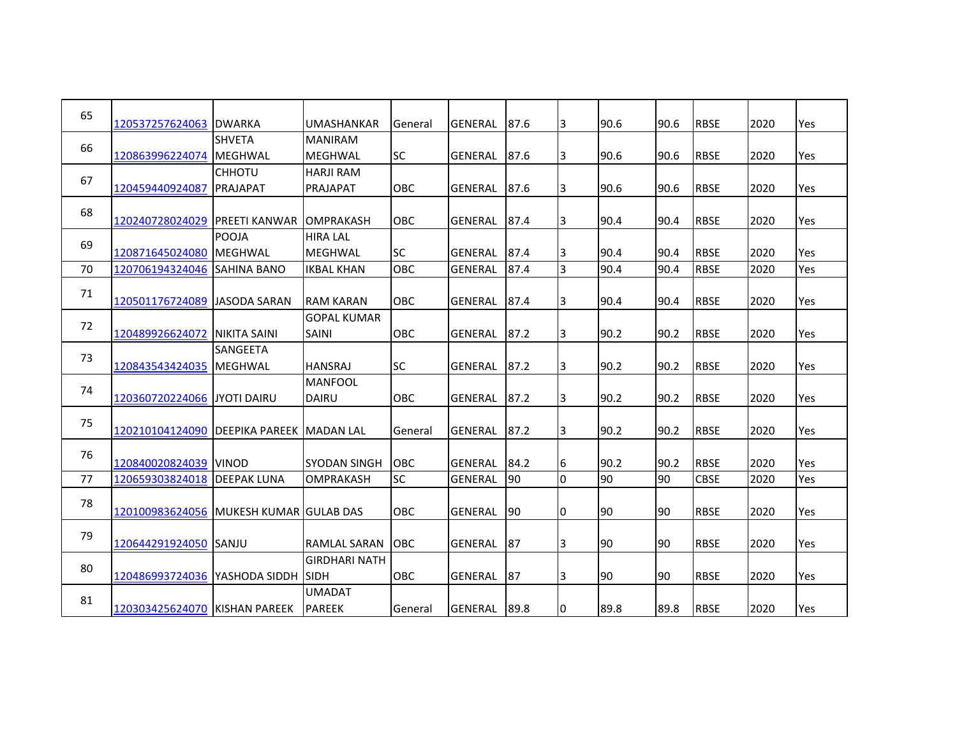| 65 | 120537257624063 DWARKA                    |                    | UMASHANKAR           | General    | <b>GENERAL</b> | 87.6 | 3              | 90.6 | 90.6 | <b>RBSE</b> | 2020 | Yes |
|----|-------------------------------------------|--------------------|----------------------|------------|----------------|------|----------------|------|------|-------------|------|-----|
|    |                                           | <b>SHVETA</b>      | <b>MANIRAM</b>       |            |                |      |                |      |      |             |      |     |
| 66 | 120863996224074                           | <b>MEGHWAL</b>     | <b>MEGHWAL</b>       | <b>SC</b>  | <b>GENERAL</b> | 87.6 | 3              | 90.6 | 90.6 | <b>RBSE</b> | 2020 | Yes |
| 67 |                                           | <b>CHHOTU</b>      | <b>HARJI RAM</b>     |            |                |      |                |      |      |             |      |     |
|    | 120459440924087                           | <b>PRAJAPAT</b>    | PRAJAPAT             | <b>OBC</b> | <b>GENERAL</b> | 87.6 | 3              | 90.6 | 90.6 | <b>RBSE</b> | 2020 | Yes |
| 68 |                                           |                    |                      |            |                |      |                |      |      |             |      |     |
|    | 120240728024029 IPREETI KANWAR LOMPRAKASH |                    |                      | <b>OBC</b> | <b>GENERAL</b> | 87.4 | IЗ             | 90.4 | 90.4 | <b>RBSE</b> | 2020 | Yes |
| 69 |                                           | <b>POOJA</b>       | <b>HIRA LAL</b>      |            |                |      |                |      |      |             |      |     |
|    | 120871645024080                           | <b>MEGHWAL</b>     | <b>MEGHWAL</b>       | <b>SC</b>  | <b>GENERAL</b> | 87.4 | 3              | 90.4 | 90.4 | <b>RBSE</b> | 2020 | Yes |
| 70 | 120706194324046 SAHINA BANO               |                    | <b>IKBAL KHAN</b>    | OBC        | <b>GENERAL</b> | 87.4 | $\overline{3}$ | 90.4 | 90.4 | <b>RBSE</b> | 2020 | Yes |
| 71 |                                           |                    |                      |            |                |      |                |      |      |             |      |     |
|    | 120501176724089 JJASODA SARAN             |                    | <b>RAM KARAN</b>     | OBC        | <b>GENERAL</b> | 87.4 | IЗ             | 90.4 | 90.4 | <b>RBSE</b> | 2020 | Yes |
|    |                                           |                    | <b>GOPAL KUMAR</b>   |            |                |      |                |      |      |             |      |     |
| 72 | 120489926624072 NIKITA SAINI              |                    | <b>SAINI</b>         | OBC        | <b>GENERAL</b> | 87.2 | 3              | 90.2 | 90.2 | <b>RBSE</b> | 2020 | Yes |
|    |                                           | <b>SANGEETA</b>    |                      |            |                |      |                |      |      |             |      |     |
| 73 | 120843543424035 MEGHWAL                   |                    | <b>HANSRAJ</b>       | <b>SC</b>  | <b>GENERAL</b> | 87.2 | 3              | 90.2 | 90.2 | <b>RBSE</b> | 2020 | Yes |
|    |                                           |                    | <b>MANFOOL</b>       |            |                |      |                |      |      |             |      |     |
| 74 | 120360720224066 JJYOTI DAIRU              |                    | <b>DAIRU</b>         | <b>OBC</b> | <b>GENERAL</b> | 87.2 | 3              | 90.2 | 90.2 | <b>RBSE</b> | 2020 | Yes |
|    |                                           |                    |                      |            |                |      |                |      |      |             |      |     |
| 75 | 120210104124090 DEEPIKA PAREEK MADAN LAL  |                    |                      | General    | <b>GENERAL</b> | 87.2 | 3              | 90.2 | 90.2 | <b>RBSE</b> | 2020 | Yes |
|    |                                           |                    |                      |            |                |      |                |      |      |             |      |     |
| 76 | 120840020824039 VINOD                     |                    | <b>SYODAN SINGH</b>  | OBC        | <b>GENERAL</b> | 84.2 | 6              | 90.2 | 90.2 | <b>RBSE</b> | 2020 | Yes |
| 77 | 120659303824018                           | <b>DEEPAK LUNA</b> | <b>OMPRAKASH</b>     | <b>SC</b>  | <b>GENERAL</b> | 90   | l0             | 90   | 90   | <b>CBSE</b> | 2020 | Yes |
|    |                                           |                    |                      |            |                |      |                |      |      |             |      |     |
| 78 | 120100983624056 MUKESH KUMAR GULAB DAS    |                    |                      | <b>OBC</b> | <b>GENERAL</b> | 90   | 10             | 90   | 90   | <b>RBSE</b> | 2020 | Yes |
|    |                                           |                    |                      |            |                |      |                |      |      |             |      |     |
| 79 | 120644291924050 SANJU                     |                    | <b>RAMLAL SARAN</b>  | <b>OBC</b> | <b>GENERAL</b> | 87   |                | 90   | 90   | <b>RBSE</b> | 2020 | Yes |
|    |                                           |                    |                      |            |                |      | IЗ             |      |      |             |      |     |
| 80 |                                           |                    | <b>GIRDHARI NATH</b> |            |                |      |                |      |      |             |      |     |
|    | 120486993724036   YASHODA SIDDH SIDH      |                    |                      | OBC        | <b>GENERAL</b> | 87   | 3              | 90   | 90   | <b>RBSE</b> | 2020 | Yes |
| 81 |                                           |                    | <b>UMADAT</b>        |            |                |      |                |      |      |             |      |     |
|    | 120303425624070 KISHAN PAREEK             |                    | <b>PAREEK</b>        | General    | <b>GENERAL</b> | 89.8 | 0              | 89.8 | 89.8 | <b>RBSE</b> | 2020 | Yes |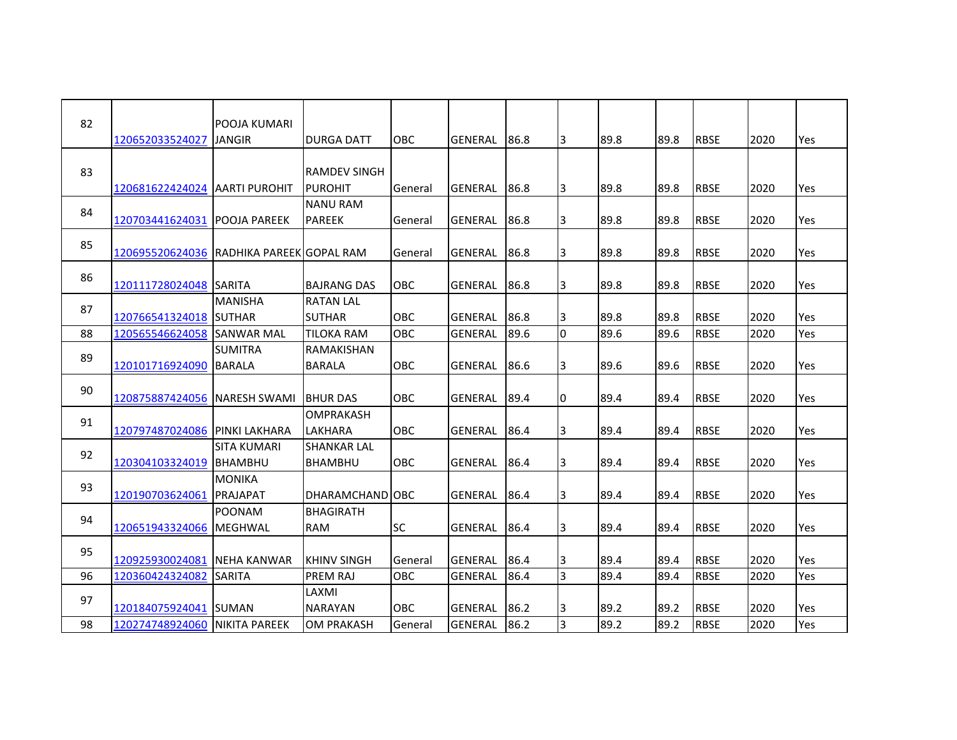| 82 | 120652033524027                          | POOJA KUMARI<br><b>JANGIR</b>   | <b>DURGA DATT</b>                    | <b>OBC</b> | <b>GENERAL</b> | 86.8 | IЗ           | 89.8 | 89.8 | <b>RBSE</b> | 2020 | Yes |
|----|------------------------------------------|---------------------------------|--------------------------------------|------------|----------------|------|--------------|------|------|-------------|------|-----|
| 83 | 120681622424024 AARTI PUROHIT            |                                 | RAMDEV SINGH<br><b>PUROHIT</b>       | General    | <b>GENERAL</b> | 86.8 | 3            | 89.8 | 89.8 | <b>RBSE</b> | 2020 | Yes |
| 84 | 120703441624031 POOJA PAREEK             |                                 | <b>NANU RAM</b><br><b>PAREEK</b>     | General    | <b>GENERAL</b> | 86.8 | 3            | 89.8 | 89.8 | <b>RBSE</b> | 2020 | Yes |
| 85 | 120695520624036 RADHIKA PAREEK GOPAL RAM |                                 |                                      | General    | <b>GENERAL</b> | 86.8 | 3            | 89.8 | 89.8 | <b>RBSE</b> | 2020 | Yes |
| 86 | 120111728024048 SARITA                   |                                 | <b>BAJRANG DAS</b>                   | OBC        | <b>GENERAL</b> | 86.8 | 3            | 89.8 | 89.8 | <b>RBSE</b> | 2020 | Yes |
| 87 | 120766541324018 SUTHAR                   | <b>MANISHA</b>                  | <b>RATAN LAL</b><br><b>SUTHAR</b>    | OBC        | <b>GENERAL</b> | 86.8 | 3            | 89.8 | 89.8 | <b>RBSE</b> | 2020 | Yes |
| 88 | 120565546624058 SANWAR MAL               |                                 | <b>TILOKA RAM</b>                    | OBC        | <b>GENERAL</b> | 89.6 | I٥           | 89.6 | 89.6 | <b>RBSE</b> | 2020 | Yes |
| 89 | 120101716924090 BARALA                   | <b>SUMITRA</b>                  | <b>RAMAKISHAN</b><br><b>BARALA</b>   | OBC        | <b>GENERAL</b> | 86.6 | 3            | 89.6 | 89.6 | <b>RBSE</b> | 2020 | Yes |
| 90 | 120875887424056 NARESH SWAMI             |                                 | <b>BHURDAS</b>                       | <b>OBC</b> | <b>GENERAL</b> | 89.4 | I0           | 89.4 | 89.4 | <b>RBSE</b> | 2020 | Yes |
| 91 | 120797487024086 PINKI LAKHARA            |                                 | OMPRAKASH<br><b>LAKHARA</b>          | <b>OBC</b> | <b>GENERAL</b> | 86.4 | 3            | 89.4 | 89.4 | <b>RBSE</b> | 2020 | Yes |
| 92 | 120304103324019 BHAMBHU                  | <b>SITA KUMARI</b>              | <b>SHANKAR LAL</b><br><b>BHAMBHU</b> | <b>OBC</b> | <b>GENERAL</b> | 86.4 | 3            | 89.4 | 89.4 | <b>RBSE</b> | 2020 | Yes |
| 93 | 120190703624061 PRAJAPAT                 | <b>MONIKA</b>                   | <b>DHARAMCHAND JOBC</b>              |            | <b>GENERAL</b> | 86.4 | 3            | 89.4 | 89.4 | <b>RBSE</b> | 2020 | Yes |
| 94 | 120651943324066                          | <b>POONAM</b><br><b>MEGHWAL</b> | <b>BHAGIRATH</b><br><b>RAM</b>       | <b>SC</b>  | <b>GENERAL</b> | 86.4 | 3            | 89.4 | 89.4 | <b>RBSE</b> | 2020 | Yes |
| 95 | 120925930024081                          | <b>NEHA KANWAR</b>              | <b>KHINV SINGH</b>                   | General    | <b>GENERAL</b> | 86.4 | 3            | 89.4 | 89.4 | <b>RBSE</b> | 2020 | Yes |
| 96 | 120360424324082                          | <b>SARITA</b>                   | PREM RAJ                             | <b>OBC</b> | <b>GENERAL</b> | 86.4 | <sub>3</sub> | 89.4 | 89.4 | <b>RBSE</b> | 2020 | Yes |
| 97 | 120184075924041 SUMAN                    |                                 | LAXMI<br><b>NARAYAN</b>              | <b>OBC</b> | <b>GENERAL</b> | 86.2 | 3            | 89.2 | 89.2 | <b>RBSE</b> | 2020 | Yes |
| 98 | 120274748924060 NIKITA PAREEK            |                                 | <b>OM PRAKASH</b>                    | General    | <b>GENERAL</b> | 86.2 | 3            | 89.2 | 89.2 | <b>RBSE</b> | 2020 | Yes |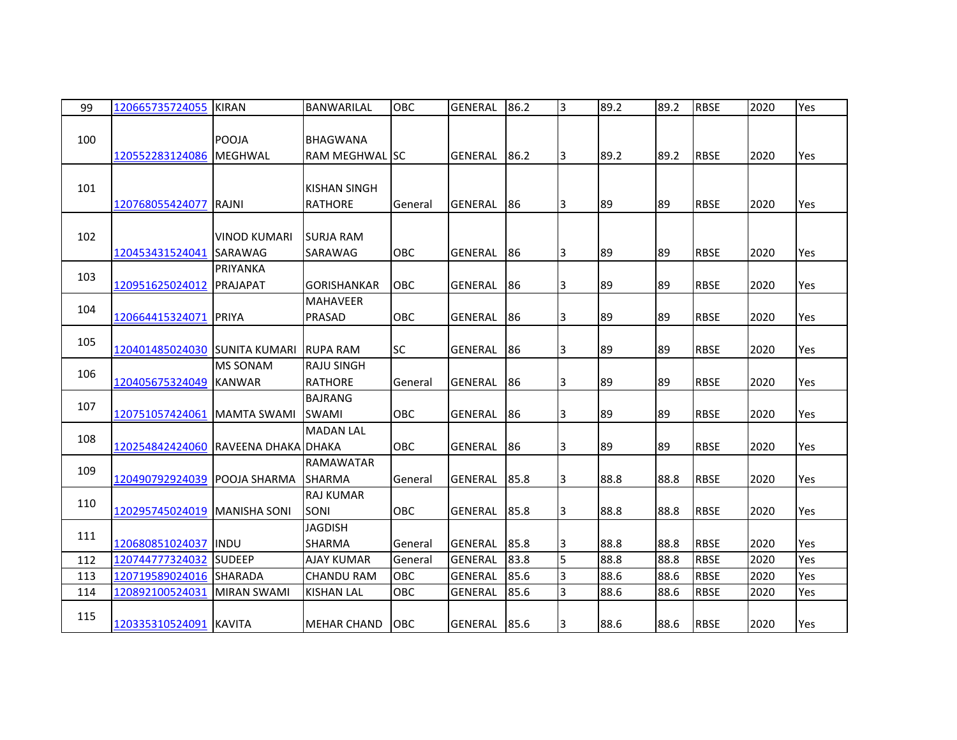| 99  | 120665735724055                     | <b>KIRAN</b>        | <b>BANWARILAL</b>  | OBC        | <b>GENERAL</b> | 86.2 | 3  | 89.2 | 89.2 | <b>RBSE</b> | 2020 | Yes |
|-----|-------------------------------------|---------------------|--------------------|------------|----------------|------|----|------|------|-------------|------|-----|
|     |                                     |                     |                    |            |                |      |    |      |      |             |      |     |
| 100 |                                     | POOJA               | <b>BHAGWANA</b>    |            |                |      |    |      |      |             |      |     |
|     | 120552283124086 MEGHWAL             |                     | RAM MEGHWAL ISC    |            | <b>GENERAL</b> | 86.2 | 13 | 89.2 | 89.2 | <b>RBSE</b> | 2020 | Yes |
|     |                                     |                     |                    |            |                |      |    |      |      |             |      |     |
| 101 |                                     |                     | KISHAN SINGH       |            |                |      |    |      |      |             |      |     |
|     | 120768055424077                     | RAJNI               | <b>RATHORE</b>     | General    | <b>GENERAL</b> | 86   | 3  | 89   | 89   | <b>RBSE</b> | 2020 | Yes |
|     |                                     |                     |                    |            |                |      |    |      |      |             |      |     |
| 102 |                                     | <b>VINOD KUMARI</b> | <b>SURJA RAM</b>   |            |                |      |    |      |      |             |      |     |
|     | 120453431524041 SARAWAG             |                     | SARAWAG            | OBC        | <b>GENERAL</b> | 86   | 3  | 89   | 89   | <b>RBSE</b> | 2020 | Yes |
| 103 |                                     | PRIYANKA            |                    |            |                |      |    |      |      |             |      |     |
|     | 120951625024012                     | <b>PRAJAPAT</b>     | <b>GORISHANKAR</b> | OBC        | <b>GENERAL</b> | 86   | 3  | 89   | 89   | <b>RBSE</b> | 2020 | Yes |
|     |                                     |                     | <b>MAHAVEER</b>    |            |                |      |    |      |      |             |      |     |
| 104 | 120664415324071                     | <b>PRIYA</b>        | PRASAD             | OBC        | <b>GENERAL</b> | 86   | 3  | 89   | 89   | <b>RBSE</b> | 2020 | Yes |
|     |                                     |                     |                    |            |                |      |    |      |      |             |      |     |
| 105 | 120401485024030 SUNITA KUMARI       |                     | <b>RUPA RAM</b>    | <b>SC</b>  | <b>GENERAL</b> | 86   | 3  | 89   | 89   | <b>RBSE</b> | 2020 | Yes |
|     |                                     | <b>MS SONAM</b>     | <b>RAJU SINGH</b>  |            |                |      |    |      |      |             |      |     |
| 106 | 120405675324049 KANWAR              |                     | <b>RATHORE</b>     | General    | <b>GENERAL</b> | 86   | 3  | 89   | 89   | <b>RBSE</b> | 2020 | Yes |
|     |                                     |                     | <b>BAJRANG</b>     |            |                |      |    |      |      |             |      |     |
| 107 | 120751057424061   MAMTA SWAMI       |                     | <b>SWAMI</b>       | OBC        | <b>GENERAL</b> | 86   | 3  | 89   | 89   | <b>RBSE</b> | 2020 | Yes |
|     |                                     |                     | <b>MADAN LAL</b>   |            |                |      |    |      |      |             |      |     |
| 108 | 120254842424060 RAVEENA DHAKA DHAKA |                     |                    | <b>OBC</b> | <b>GENERAL</b> | 86   | 3  | 89   | 89   | <b>RBSE</b> | 2020 | Yes |
|     |                                     |                     | <b>RAMAWATAR</b>   |            |                |      |    |      |      |             |      |     |
| 109 | 120490792924039 POOJA SHARMA        |                     | <b>SHARMA</b>      | General    | <b>GENERAL</b> | 85.8 | 3  | 88.8 | 88.8 | <b>RBSE</b> | 2020 | Yes |
|     |                                     |                     | <b>RAJ KUMAR</b>   |            |                |      |    |      |      |             |      |     |
| 110 | 120295745024019 MANISHA SONI        |                     | <b>SONI</b>        | <b>OBC</b> | <b>GENERAL</b> | 85.8 | 3  | 88.8 | 88.8 | <b>RBSE</b> | 2020 | Yes |
|     |                                     |                     | <b>JAGDISH</b>     |            |                |      |    |      |      |             |      |     |
| 111 | 120680851024037 IINDU               |                     | <b>SHARMA</b>      | General    | <b>GENERAL</b> | 85.8 | 3  | 88.8 | 88.8 | <b>RBSE</b> | 2020 | Yes |
| 112 | 120744777324032                     | <b>SUDEEP</b>       | <b>AJAY KUMAR</b>  | General    | <b>GENERAL</b> | 83.8 | 5  | 88.8 | 88.8 | <b>RBSE</b> | 2020 | Yes |
| 113 | 120719589024016 SHARADA             |                     | <b>CHANDU RAM</b>  | <b>OBC</b> | <b>GENERAL</b> | 85.6 | 3  | 88.6 | 88.6 | <b>RBSE</b> | 2020 | Yes |
| 114 | 120892100524031                     | <b>MIRAN SWAMI</b>  | <b>KISHAN LAL</b>  | OBC        | <b>GENERAL</b> | 85.6 | 3  | 88.6 | 88.6 | <b>RBSE</b> | 2020 | Yes |
|     |                                     |                     |                    |            |                |      |    |      |      |             |      |     |
| 115 | 120335310524091 KAVITA              |                     | <b>MEHAR CHAND</b> | OBC        | GENERAL        | 85.6 | 3  | 88.6 | 88.6 | <b>RBSE</b> | 2020 | Yes |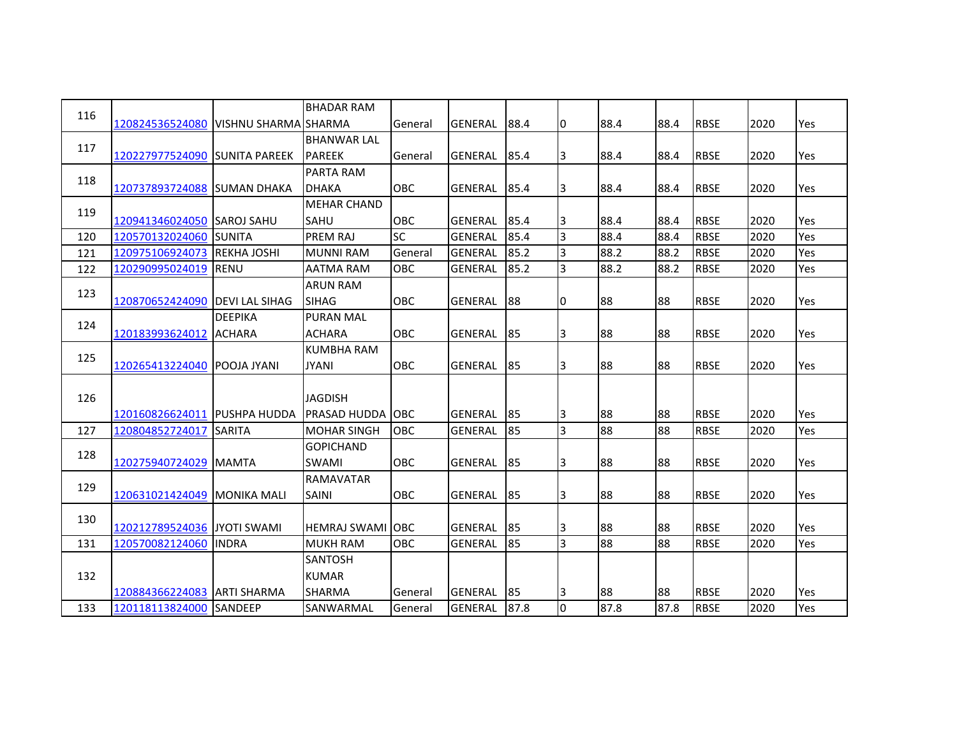| 116 |                                      |                    | <b>BHADAR RAM</b>        |            |                |      |                |      |      |             |      |     |
|-----|--------------------------------------|--------------------|--------------------------|------------|----------------|------|----------------|------|------|-------------|------|-----|
|     | 120824536524080 VISHNU SHARMA SHARMA |                    |                          | General    | <b>GENERAL</b> | 88.4 | 10             | 88.4 | 88.4 | <b>RBSE</b> | 2020 | Yes |
| 117 |                                      |                    | <b>BHANWAR LAL</b>       |            |                |      |                |      |      |             |      |     |
|     | 120227977524090 SUNITA PAREEK        |                    | <b>PAREEK</b>            | General    | <b>GENERAL</b> | 85.4 | 3              | 88.4 | 88.4 | <b>RBSE</b> | 2020 | Yes |
| 118 |                                      |                    | PARTA RAM                |            |                |      |                |      |      |             |      |     |
|     | 120737893724088 SUMAN DHAKA          |                    | <b>DHAKA</b>             | <b>OBC</b> | <b>GENERAL</b> | 85.4 | 3              | 88.4 | 88.4 | <b>RBSE</b> | 2020 | Yes |
| 119 |                                      |                    | <b>MEHAR CHAND</b>       |            |                |      |                |      |      |             |      |     |
|     | 120941346024050 SAROJ SAHU           |                    | <b>SAHU</b>              | <b>OBC</b> | <b>GENERAL</b> | 85.4 | 3              | 88.4 | 88.4 | <b>RBSE</b> | 2020 | Yes |
| 120 | 120570132024060 SUNITA               |                    | PREM RAJ                 | <b>SC</b>  | <b>GENERAL</b> | 85.4 | 3              | 88.4 | 88.4 | <b>RBSE</b> | 2020 | Yes |
| 121 | 120975106924073                      | <b>REKHA JOSHI</b> | <b>MUNNI RAM</b>         | General    | <b>GENERAL</b> | 85.2 | 3              | 88.2 | 88.2 | <b>RBSE</b> | 2020 | Yes |
| 122 | 120290995024019 RENU                 |                    | <b>AATMA RAM</b>         | <b>OBC</b> | <b>GENERAL</b> | 85.2 | $\overline{3}$ | 88.2 | 88.2 | <b>RBSE</b> | 2020 | Yes |
| 123 |                                      |                    | <b>ARUN RAM</b>          |            |                |      |                |      |      |             |      |     |
|     | 120870652424090 DEVI LAL SIHAG       |                    | <b>SIHAG</b>             | OBC        | <b>GENERAL</b> | 88   | I0             | 88   | 88   | <b>RBSE</b> | 2020 | Yes |
|     |                                      | <b>DEEPIKA</b>     | <b>PURAN MAL</b>         |            |                |      |                |      |      |             |      |     |
| 124 | 120183993624012                      | <b>ACHARA</b>      | <b>ACHARA</b>            | OBC        | <b>GENERAL</b> | 85   | 3              | 88   | 88   | <b>RBSE</b> | 2020 | Yes |
|     |                                      |                    | <b>KUMBHA RAM</b>        |            |                |      |                |      |      |             |      |     |
| 125 | 120265413224040 POOJA JYANI          |                    | <b>JYANI</b>             | <b>OBC</b> | <b>GENERAL</b> | 85   | 3              | 88   | 88   | <b>RBSE</b> | 2020 | Yes |
|     |                                      |                    |                          |            |                |      |                |      |      |             |      |     |
| 126 |                                      |                    | <b>JAGDISH</b>           |            |                |      |                |      |      |             |      |     |
|     | 120160826624011 PUSHPA HUDDA         |                    | <b>PRASAD HUDDA OBC</b>  |            | <b>GENERAL</b> | 85   | 13             | 88   | 88   | <b>RBSE</b> | 2020 | Yes |
| 127 | 120804852724017 SARITA               |                    | <b>MOHAR SINGH</b>       | OBC        | <b>GENERAL</b> | 85   | 3              | 88   | 88   | <b>RBSE</b> | 2020 | Yes |
|     |                                      |                    | <b>GOPICHAND</b>         |            |                |      |                |      |      |             |      |     |
| 128 | 120275940724029 MAMTA                |                    | <b>SWAMI</b>             | <b>OBC</b> | <b>GENERAL</b> | 85   | 13             | 88   | 88   | <b>RBSE</b> | 2020 | Yes |
|     |                                      |                    | <b>RAMAVATAR</b>         |            |                |      |                |      |      |             |      |     |
| 129 | 120631021424049   MONIKA MALI        |                    | <b>SAINI</b>             | OBC        | <b>GENERAL</b> | 85   | 3              | 88   | 88   | <b>RBSE</b> | 2020 | Yes |
|     |                                      |                    |                          |            |                |      |                |      |      |             |      |     |
| 130 | 120212789524036 JYOTI SWAMI          |                    | <b>HEMRAJ SWAMI JOBC</b> |            | <b>GENERAL</b> | 85   | 3              | 88   | 88   | <b>RBSE</b> | 2020 | Yes |
| 131 | 120570082124060                      | <b>INDRA</b>       | <b>MUKH RAM</b>          | OBC        | <b>GENERAL</b> | 85   | 3              | 88   | 88   | <b>RBSE</b> | 2020 | Yes |
|     |                                      |                    | <b>SANTOSH</b>           |            |                |      |                |      |      |             |      |     |
| 132 |                                      |                    | <b>KUMAR</b>             |            |                |      |                |      |      |             |      |     |
|     | 120884366224083   ARTI SHARMA        |                    | <b>SHARMA</b>            | General    | <b>GENERAL</b> | 85   | 3              | 88   | 88   | <b>RBSE</b> | 2020 | Yes |
| 133 | 120118113824000 SANDEEP              |                    | SANWARMAL                | General    | <b>GENERAL</b> | 87.8 | l0             | 87.8 | 87.8 | <b>RBSE</b> | 2020 | Yes |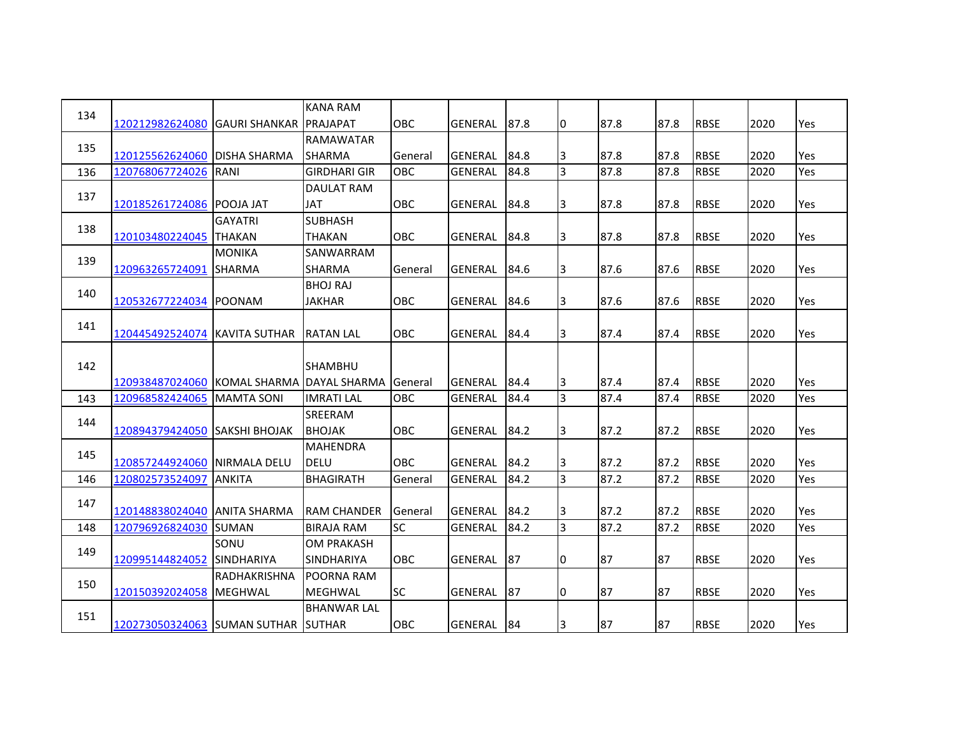|     |                                            |                   | <b>KANA RAM</b>     |            |                |      |                |      |      |             |      |     |
|-----|--------------------------------------------|-------------------|---------------------|------------|----------------|------|----------------|------|------|-------------|------|-----|
| 134 | 120212982624080 GAURI SHANKAR IPRAJAPAT    |                   |                     | <b>OBC</b> | <b>GENERAL</b> | 87.8 | 10             | 87.8 | 87.8 | <b>RBSE</b> | 2020 | Yes |
| 135 |                                            |                   | <b>RAMAWATAR</b>    |            |                |      |                |      |      |             |      |     |
|     | 120125562624060 DISHA SHARMA               |                   | <b>SHARMA</b>       | General    | <b>GENERAL</b> | 84.8 | 3              | 87.8 | 87.8 | <b>RBSE</b> | 2020 | Yes |
| 136 | 120768067724026                            | RANI              | <b>GIRDHARI GIR</b> | OBC        | <b>GENERAL</b> | 84.8 | 3              | 87.8 | 87.8 | <b>RBSE</b> | 2020 | Yes |
| 137 |                                            |                   | <b>DAULAT RAM</b>   |            |                |      |                |      |      |             |      |     |
|     | 120185261724086 POOJA JAT                  |                   | <b>JAT</b>          | <b>OBC</b> | <b>GENERAL</b> | 84.8 | IЗ             | 87.8 | 87.8 | <b>RBSE</b> | 2020 | Yes |
| 138 |                                            | <b>GAYATRI</b>    | <b>SUBHASH</b>      |            |                |      |                |      |      |             |      |     |
|     | 120103480224045 THAKAN                     |                   | <b>THAKAN</b>       | OBC        | <b>GENERAL</b> | 84.8 | 3              | 87.8 | 87.8 | <b>RBSE</b> | 2020 | Yes |
| 139 |                                            | <b>MONIKA</b>     | SANWARRAM           |            |                |      |                |      |      |             |      |     |
|     | 120963265724091 SHARMA                     |                   | <b>SHARMA</b>       | General    | <b>GENERAL</b> | 84.6 | 3              | 87.6 | 87.6 | <b>RBSE</b> | 2020 | Yes |
| 140 |                                            |                   | <b>BHOJ RAJ</b>     |            |                |      |                |      |      |             |      |     |
|     | 120532677224034 POONAM                     |                   | <b>JAKHAR</b>       | OBC        | <b>GENERAL</b> | 84.6 | 3              | 87.6 | 87.6 | <b>RBSE</b> | 2020 | Yes |
| 141 |                                            |                   |                     |            |                |      |                |      |      |             |      |     |
|     | 120445492524074 KAVITA SUTHAR              |                   | <b>RATAN LAL</b>    | <b>OBC</b> | <b>GENERAL</b> | 84.4 | 3              | 87.4 | 87.4 | <b>RBSE</b> | 2020 | Yes |
|     |                                            |                   |                     |            |                |      |                |      |      |             |      |     |
| 142 |                                            |                   | <b>SHAMBHU</b>      |            |                |      |                |      |      |             |      |     |
|     | 120938487024060 KOMAL SHARMA IDAYAL SHARMA |                   |                     | General    | <b>GENERAL</b> | 84.4 | 3              | 87.4 | 87.4 | <b>RBSE</b> | 2020 | Yes |
| 143 | 120968582424065                            | <b>MAMTA SONI</b> | <b>IMRATI LAL</b>   | OBC        | <b>GENERAL</b> | 84.4 | 3              | 87.4 | 87.4 | <b>RBSE</b> | 2020 | Yes |
| 144 |                                            |                   | <b>SREERAM</b>      |            |                |      |                |      |      |             |      |     |
|     | 120894379424050 SAKSHI BHOJAK              |                   | <b>BHOJAK</b>       | OBC        | <b>GENERAL</b> | 84.2 | 3              | 87.2 | 87.2 | <b>RBSE</b> | 2020 | Yes |
| 145 |                                            |                   | <b>MAHENDRA</b>     |            |                |      |                |      |      |             |      |     |
|     | 120857244924060 NIRMALA DELU               |                   | <b>DELU</b>         | <b>OBC</b> | <b>GENERAL</b> | 84.2 | 3              | 87.2 | 87.2 | <b>RBSE</b> | 2020 | Yes |
| 146 | 120802573524097                            | <b>ANKITA</b>     | <b>BHAGIRATH</b>    | General    | <b>GENERAL</b> | 84.2 | $\overline{3}$ | 87.2 | 87.2 | <b>RBSE</b> | 2020 | Yes |
| 147 |                                            |                   |                     |            |                |      |                |      |      |             |      |     |
|     | 120148838024040 ANITA SHARMA               |                   | <b>RAM CHANDER</b>  | General    | <b>GENERAL</b> | 84.2 | 3              | 87.2 | 87.2 | <b>RBSE</b> | 2020 | Yes |
| 148 | 120796926824030 SUMAN                      |                   | <b>BIRAJA RAM</b>   | <b>SC</b>  | <b>GENERAL</b> | 84.2 | 3              | 87.2 | 87.2 | <b>RBSE</b> | 2020 | Yes |
| 149 |                                            | SONU              | <b>OM PRAKASH</b>   |            |                |      |                |      |      |             |      |     |
|     | 120995144824052                            | <b>SINDHARIYA</b> | <b>SINDHARIYA</b>   | <b>OBC</b> | <b>GENERAL</b> | 87   | I0             | 87   | 87   | <b>RBSE</b> | 2020 | Yes |
| 150 |                                            | RADHAKRISHNA      | POORNA RAM          |            |                |      |                |      |      |             |      |     |
|     | 120150392024058 MEGHWAL                    |                   | <b>MEGHWAL</b>      | <b>SC</b>  | <b>GENERAL</b> | 87   | 0              | 87   | 87   | <b>RBSE</b> | 2020 | Yes |
| 151 |                                            |                   | <b>BHANWAR LAL</b>  |            |                |      |                |      |      |             |      |     |
|     | 120273050324063 SUMAN SUTHAR               |                   | <b>SUTHAR</b>       | OBC        | <b>GENERAL</b> | 84   | 3              | 87   | 87   | <b>RBSE</b> | 2020 | Yes |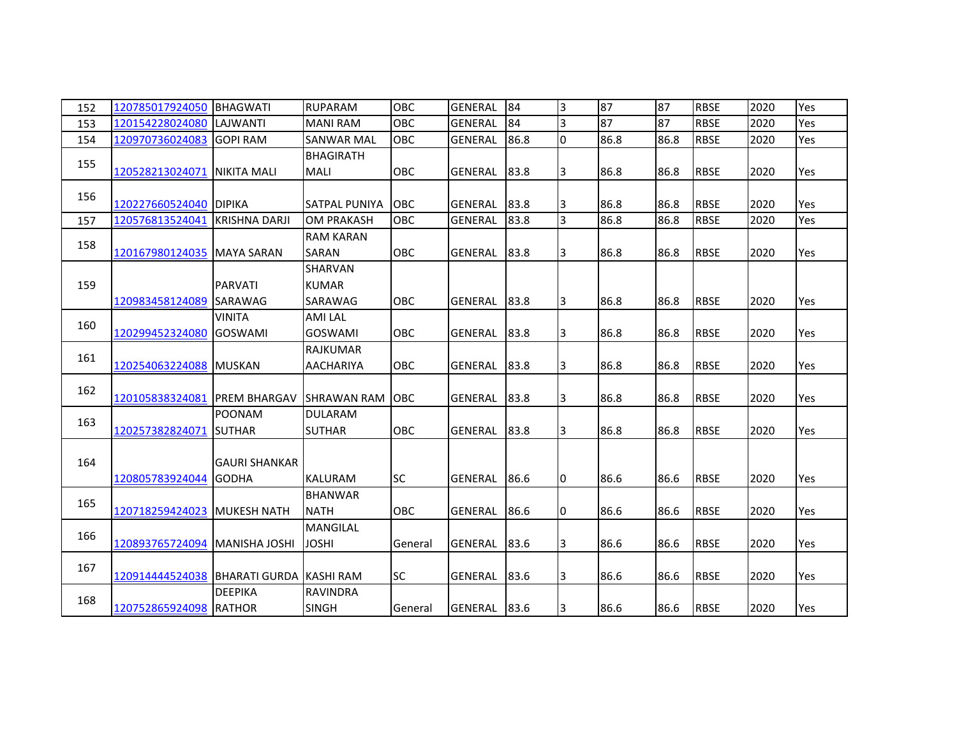| 152 | 120785017924050                         | <b>BHAGWATI</b>                      | <b>RUPARAM</b>                     | OBC        | <b>GENERAL</b> | 84   | 3              | 87   | 87   | <b>RBSE</b> | 2020 | Yes |
|-----|-----------------------------------------|--------------------------------------|------------------------------------|------------|----------------|------|----------------|------|------|-------------|------|-----|
| 153 | 120154228024080                         | LAJWANTI                             | <b>MANI RAM</b>                    | OBC        | <b>GENERAL</b> | 84   | 3              | 87   | 87   | <b>RBSE</b> | 2020 | Yes |
| 154 | 120970736024083 GOPI RAM                |                                      | <b>SANWAR MAL</b>                  | OBC        | <b>GENERAL</b> | 86.8 | $\overline{0}$ | 86.8 | 86.8 | <b>RBSE</b> | 2020 | Yes |
| 155 | 120528213024071                         | <b>NIKITA MALI</b>                   | <b>BHAGIRATH</b><br><b>MALI</b>    | OBC        | <b>GENERAL</b> | 83.8 | 3              | 86.8 | 86.8 | <b>RBSE</b> | 2020 | Yes |
| 156 | 120227660524040 DIPIKA                  |                                      | SATPAL PUNIYA                      | <b>OBC</b> | <b>GENERAL</b> | 83.8 | 3              | 86.8 | 86.8 | <b>RBSE</b> | 2020 | Yes |
| 157 | 120576813524041                         | <b>KRISHNA DARJI</b>                 | <b>OM PRAKASH</b>                  | OBC        | <b>GENERAL</b> | 83.8 | 3              | 86.8 | 86.8 | <b>RBSE</b> | 2020 | Yes |
| 158 | 120167980124035 MAYA SARAN              |                                      | <b>RAM KARAN</b><br>SARAN          | <b>OBC</b> | <b>GENERAL</b> | 83.8 | 3              | 86.8 | 86.8 | <b>RBSE</b> | 2020 | Yes |
| 159 | 120983458124089                         | <b>PARVATI</b><br><b>SARAWAG</b>     | SHARVAN<br><b>KUMAR</b><br>SARAWAG | <b>OBC</b> | <b>GENERAL</b> | 83.8 | 3              | 86.8 | 86.8 | <b>RBSE</b> | 2020 | Yes |
| 160 | 120299452324080                         | <b>VINITA</b><br><b>GOSWAMI</b>      | <b>AMI LAL</b><br><b>GOSWAMI</b>   | <b>OBC</b> | <b>GENERAL</b> | 83.8 | 3              | 86.8 | 86.8 | <b>RBSE</b> | 2020 | Yes |
| 161 | 120254063224088 MUSKAN                  |                                      | RAJKUMAR<br><b>AACHARIYA</b>       | OBC        | <b>GENERAL</b> | 83.8 | 3              | 86.8 | 86.8 | <b>RBSE</b> | 2020 | Yes |
| 162 | 120105838324081                         | <b>IPREM BHARGAV</b>                 | <b>ISHRAWAN RAM JOBC</b>           |            | <b>GENERAL</b> | 83.8 | 3              | 86.8 | 86.8 | <b>RBSE</b> | 2020 | Yes |
| 163 | 120257382824071                         | <b>POONAM</b><br><b>SUTHAR</b>       | <b>DULARAM</b><br><b>SUTHAR</b>    | <b>OBC</b> | <b>GENERAL</b> | 83.8 | 3              | 86.8 | 86.8 | <b>RBSE</b> | 2020 | Yes |
| 164 | 120805783924044                         | <b>GAURI SHANKAR</b><br><b>GODHA</b> | <b>KALURAM</b>                     | <b>SC</b>  | GENERAL        | 86.6 | I0             | 86.6 | 86.6 | <b>RBSE</b> | 2020 | Yes |
| 165 | 120718259424023 MUKESH NATH             |                                      | <b>BHANWAR</b><br><b>NATH</b>      | OBC        | GENERAL        | 86.6 | 0              | 86.6 | 86.6 | <b>RBSE</b> | 2020 | Yes |
| 166 | 120893765724094                         | <b>MANISHA JOSHI</b>                 | <b>MANGILAL</b><br><b>JOSHI</b>    | General    | <b>GENERAL</b> | 83.6 | 3              | 86.6 | 86.6 | <b>RBSE</b> | 2020 | Yes |
| 167 | 120914444524038 BHARATI GURDA KASHI RAM |                                      |                                    | <b>SC</b>  | <b>GENERAL</b> | 83.6 | 3              | 86.6 | 86.6 | <b>RBSE</b> | 2020 | Yes |
| 168 | 120752865924098 RATHOR                  | <b>DEEPIKA</b>                       | <b>RAVINDRA</b><br><b>SINGH</b>    | General    | <b>GENERAL</b> | 83.6 | 3              | 86.6 | 86.6 | <b>RBSE</b> | 2020 | Yes |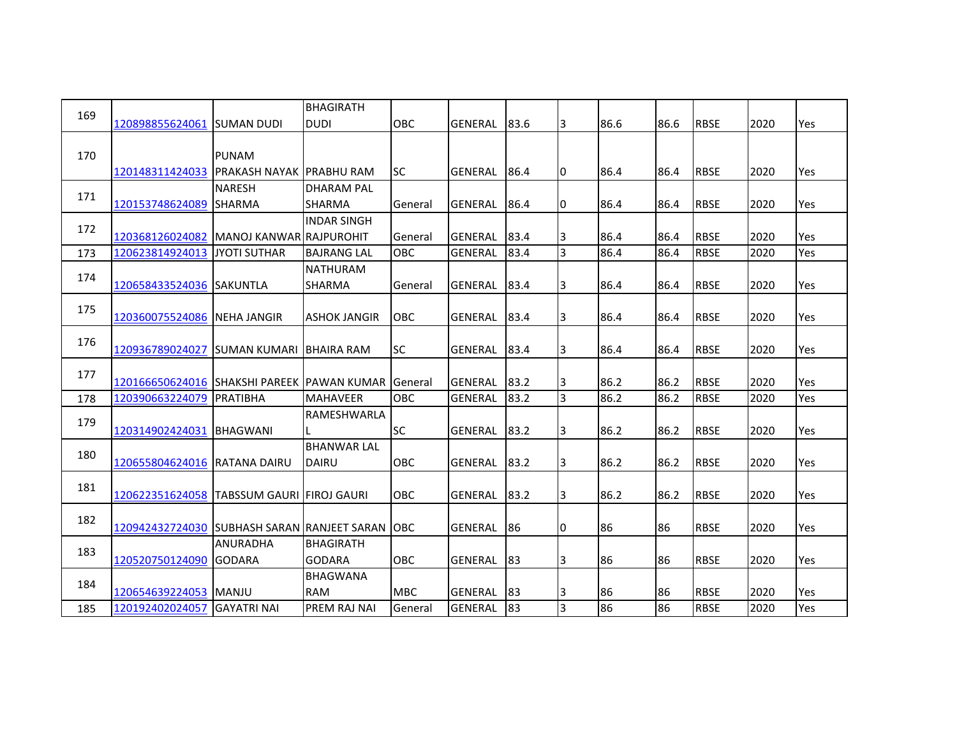| 169 |                                                    |                                   | <b>BHAGIRATH</b>    |                |                |      |                |      |      |             |      |     |
|-----|----------------------------------------------------|-----------------------------------|---------------------|----------------|----------------|------|----------------|------|------|-------------|------|-----|
|     | 120898855624061                                    | <b>SUMAN DUDI</b>                 | <b>DUDI</b>         | OBC            | GENERAL        | 83.6 | 3              | 86.6 | 86.6 | <b>RBSE</b> | 2020 | Yes |
| 170 |                                                    | <b>PUNAM</b>                      |                     |                |                |      |                |      |      |             |      |     |
|     | 120148311424033                                    | <b>IPRAKASH NAYAK IPRABHU RAM</b> |                     | lsc            | GENERAL        | 86.4 | 10             | 86.4 | 86.4 | <b>RBSE</b> | 2020 | Yes |
|     |                                                    | <b>NARESH</b>                     | <b>DHARAM PAL</b>   |                |                |      |                |      |      |             |      |     |
| 171 | 120153748624089 SHARMA                             |                                   | <b>SHARMA</b>       | General        | <b>GENERAL</b> | 86.4 | 10             | 86.4 | 86.4 | <b>RBSE</b> | 2020 | Yes |
| 172 |                                                    |                                   | <b>INDAR SINGH</b>  |                |                |      |                |      |      |             |      |     |
|     | 120368126024082                                    | <b>IMANOJ KANWARIRAJPUROHIT</b>   |                     | <b>General</b> | <b>GENERAL</b> | 83.4 | 3              | 86.4 | 86.4 | <b>RBSE</b> | 2020 | Yes |
| 173 | 120623814924013                                    | <b>JYOTI SUTHAR</b>               | <b>BAJRANG LAL</b>  | <b>OBC</b>     | GENERAL        | 83.4 | 3              | 86.4 | 86.4 | <b>RBSE</b> | 2020 | Yes |
| 174 |                                                    |                                   | <b>NATHURAM</b>     |                |                |      |                |      |      |             |      |     |
|     | 120658433524036 SAKUNTLA                           |                                   | <b>SHARMA</b>       | General        | <b>GENERAL</b> | 83.4 | 3              | 86.4 | 86.4 | <b>RBSE</b> | 2020 | Yes |
| 175 |                                                    |                                   |                     |                |                |      |                |      |      |             |      |     |
|     | 120360075524086 NEHA JANGIR                        |                                   | <b>ASHOK JANGIR</b> | <b>OBC</b>     | GENERAL        | 83.4 | 3              | 86.4 | 86.4 | <b>RBSE</b> | 2020 | Yes |
| 176 | 120936789024027 SUMAN KUMARI BHAIRA RAM            |                                   |                     | <b>SC</b>      | <b>GENERAL</b> | 83.4 | 3              | 86.4 | 86.4 | <b>RBSE</b> | 2020 | Yes |
|     |                                                    |                                   |                     |                |                |      |                |      |      |             |      |     |
| 177 | 120166650624016 SHAKSHI PAREEK PAWAN KUMAR General |                                   |                     |                | GENERAL        | 83.2 | 3              | 86.2 | 86.2 | <b>RBSE</b> | 2020 | Yes |
| 178 | 120390663224079                                    | <b>PRATIBHA</b>                   | <b>MAHAVEER</b>     | OBC            | GENERAL        | 83.2 | $\overline{3}$ | 86.2 | 86.2 | <b>RBSE</b> | 2020 | Yes |
| 179 |                                                    |                                   | RAMESHWARLA         |                |                |      |                |      |      |             |      |     |
|     | 120314902424031                                    | <b>BHAGWANI</b>                   |                     | <b>SC</b>      | <b>GENERAL</b> | 83.2 | 3              | 86.2 | 86.2 | <b>RBSE</b> | 2020 | Yes |
| 180 |                                                    |                                   | <b>BHANWAR LAL</b>  |                |                |      |                |      |      |             |      |     |
|     | 120655804624016 RATANA DAIRU                       |                                   | DAIRU               | <b>OBC</b>     | GENERAL        | 83.2 | 3              | 86.2 | 86.2 | <b>RBSE</b> | 2020 | Yes |
| 181 |                                                    |                                   |                     |                |                |      |                |      |      |             |      |     |
|     | 120622351624058 TABSSUM GAURI FIROJ GAURI          |                                   |                     | <b>OBC</b>     | <b>GENERAL</b> | 83.2 | 3              | 86.2 | 86.2 | <b>RBSE</b> | 2020 | Yes |
| 182 |                                                    |                                   |                     |                |                |      |                |      |      |             |      |     |
|     | 120942432724030 SUBHASH SARAN RANJEET SARAN JOBC   | <b>ANURADHA</b>                   | BHAGIRATH           |                | GENERAL        | 86   | 10             | 86   | 86   | <b>RBSE</b> | 2020 | Yes |
| 183 | 120520750124090                                    | <b>GODARA</b>                     | <b>GODARA</b>       | <b>OBC</b>     | <b>GENERAL</b> | 83   | 3              | 86   | 86   | <b>RBSE</b> | 2020 | Yes |
|     |                                                    |                                   | <b>BHAGWANA</b>     |                |                |      |                |      |      |             |      |     |
| 184 | 120654639224053 MANJU                              |                                   | <b>RAM</b>          | <b>MBC</b>     | <b>GENERAL</b> | 83   | 3              | 86   | 86   | <b>RBSE</b> | 2020 | Yes |
| 185 | 120192402024057                                    | <b>GAYATRI NAI</b>                | PREM RAJ NAI        | General        | GENERAL        | 83   | 3              | 86   | 86   | <b>RBSE</b> | 2020 | Yes |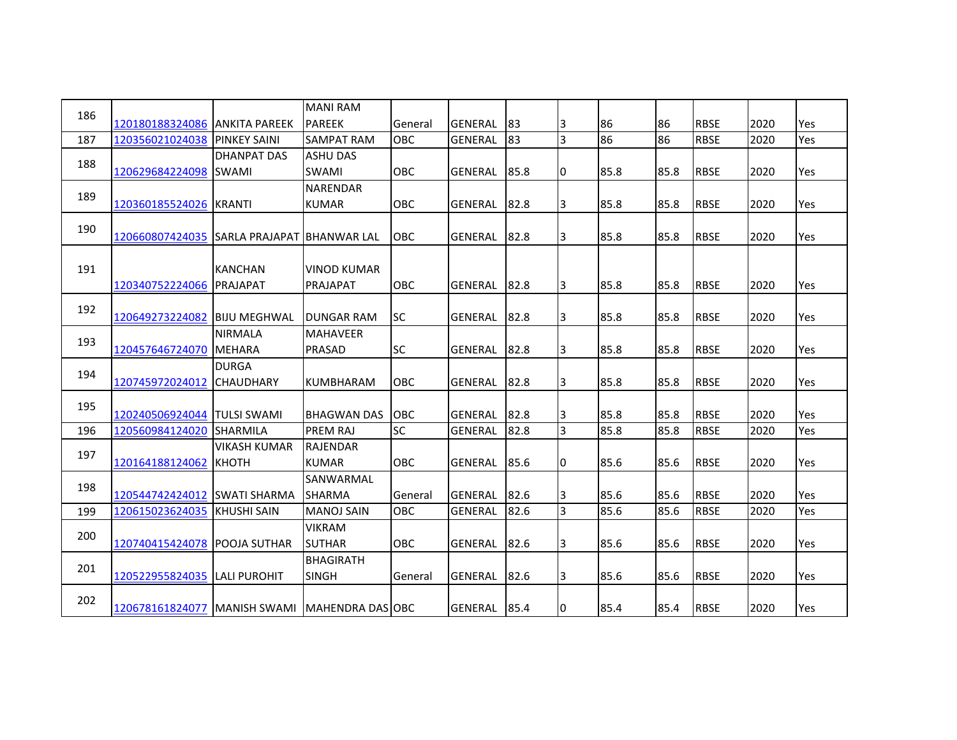| 186 |                                                   |                     | <b>MANI RAM</b>    |            |                |      |    |      |      |             |      |     |
|-----|---------------------------------------------------|---------------------|--------------------|------------|----------------|------|----|------|------|-------------|------|-----|
|     | 120180188324086 ANKITA PAREEK                     |                     | <b>PAREEK</b>      | General    | <b>GENERAL</b> | 83   | 3  | 86   | 86   | <b>RBSE</b> | 2020 | Yes |
| 187 | 120356021024038                                   | <b>PINKEY SAINI</b> | <b>SAMPAT RAM</b>  | OBC        | <b>GENERAL</b> | 83   | 3  | 86   | 86   | <b>RBSE</b> | 2020 | Yes |
| 188 |                                                   | <b>DHANPAT DAS</b>  | <b>ASHU DAS</b>    |            |                |      |    |      |      |             |      |     |
|     | 120629684224098 SWAMI                             |                     | <b>SWAMI</b>       | <b>OBC</b> | <b>GENERAL</b> | 85.8 | I0 | 85.8 | 85.8 | <b>RBSE</b> | 2020 | Yes |
| 189 |                                                   |                     | NARENDAR           |            |                |      |    |      |      |             |      |     |
|     | 120360185524026 KRANTI                            |                     | <b>KUMAR</b>       | OBC        | <b>GENERAL</b> | 82.8 | 13 | 85.8 | 85.8 | <b>RBSE</b> | 2020 | Yes |
| 190 |                                                   |                     |                    |            |                |      |    |      |      |             |      |     |
|     | 120660807424035 SARLA PRAJAPAT BHANWAR LAL        |                     |                    | OBC        | <b>GENERAL</b> | 82.8 | 3  | 85.8 | 85.8 | <b>RBSE</b> | 2020 | Yes |
|     |                                                   |                     |                    |            |                |      |    |      |      |             |      |     |
| 191 |                                                   | <b>KANCHAN</b>      | <b>VINOD KUMAR</b> |            |                |      |    |      |      |             |      |     |
|     | 120340752224066                                   | PRAJAPAT            | PRAJAPAT           | OBC        | <b>GENERAL</b> | 82.8 | 3  | 85.8 | 85.8 | <b>RBSE</b> | 2020 | Yes |
| 192 |                                                   |                     |                    |            |                |      |    |      |      |             |      |     |
|     | 120649273224082 BIJU MEGHWAL                      |                     | <b>DUNGAR RAM</b>  | SC         | <b>GENERAL</b> | 82.8 | IЗ | 85.8 | 85.8 | <b>RBSE</b> | 2020 | Yes |
| 193 |                                                   | <b>NIRMALA</b>      | <b>MAHAVEER</b>    |            |                |      |    |      |      |             |      |     |
|     | 120457646724070                                   | <b>MEHARA</b>       | PRASAD             | <b>SC</b>  | <b>GENERAL</b> | 82.8 | 3  | 85.8 | 85.8 | <b>RBSE</b> | 2020 | Yes |
| 194 |                                                   | <b>DURGA</b>        |                    |            |                |      |    |      |      |             |      |     |
|     | 120745972024012                                   | <b>CHAUDHARY</b>    | <b>KUMBHARAM</b>   | <b>OBC</b> | <b>GENERAL</b> | 82.8 | 3  | 85.8 | 85.8 | <b>RBSE</b> | 2020 | Yes |
| 195 |                                                   |                     |                    |            |                |      |    |      |      |             |      |     |
|     | 120240506924044 TULSI SWAMI                       |                     | <b>BHAGWAN DAS</b> | OBC        | <b>GENERAL</b> | 82.8 | 3  | 85.8 | 85.8 | <b>RBSE</b> | 2020 | Yes |
| 196 | 120560984124020 SHARMILA                          |                     | PREM RAJ           | SC         | <b>GENERAL</b> | 82.8 | 3  | 85.8 | 85.8 | <b>RBSE</b> | 2020 | Yes |
| 197 |                                                   | <b>VIKASH KUMAR</b> | <b>RAJENDAR</b>    |            |                |      |    |      |      |             |      |     |
|     | 120164188124062                                   | <b>КНОТН</b>        | <b>KUMAR</b>       | <b>OBC</b> | <b>GENERAL</b> | 85.6 | I0 | 85.6 | 85.6 | <b>RBSE</b> | 2020 | Yes |
| 198 |                                                   |                     | SANWARMAL          |            |                |      |    |      |      |             |      |     |
|     | 120544742424012 SWATI SHARMA                      |                     | <b>SHARMA</b>      | General    | <b>GENERAL</b> | 82.6 | 3  | 85.6 | 85.6 | <b>RBSE</b> | 2020 | Yes |
| 199 | 120615023624035 KHUSHI SAIN                       |                     | <b>MANOJ SAIN</b>  | OBC        | <b>GENERAL</b> | 82.6 | 3  | 85.6 | 85.6 | <b>RBSE</b> | 2020 | Yes |
| 200 |                                                   |                     | <b>VIKRAM</b>      |            |                |      |    |      |      |             |      |     |
|     | 120740415424078 POOJA SUTHAR                      |                     | <b>SUTHAR</b>      | OBC        | <b>GENERAL</b> | 82.6 | 3  | 85.6 | 85.6 | <b>RBSE</b> | 2020 | Yes |
| 201 |                                                   |                     | <b>BHAGIRATH</b>   |            |                |      |    |      |      |             |      |     |
|     | 120522955824035 LALI PUROHIT                      |                     | <b>SINGH</b>       | General    | <b>GENERAL</b> | 82.6 | 3  | 85.6 | 85.6 | <b>RBSE</b> | 2020 | Yes |
| 202 |                                                   |                     |                    |            |                |      |    |      |      |             |      |     |
|     | 120678161824077   MANISH SWAMI   MAHENDRA DAS OBC |                     |                    |            | <b>GENERAL</b> | 85.4 | 0  | 85.4 | 85.4 | <b>RBSE</b> | 2020 | Yes |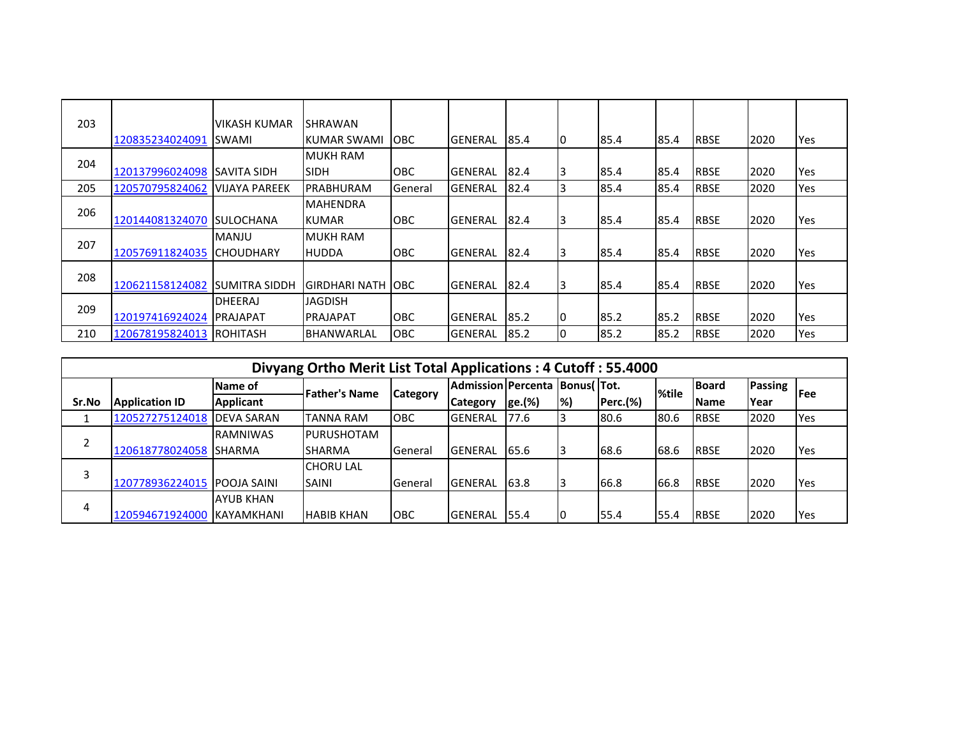| 203 |                 | <b>VIKASH KUMAR</b>   | SHRAWAN             |                |                 |      |    |      |      |             |      |     |
|-----|-----------------|-----------------------|---------------------|----------------|-----------------|------|----|------|------|-------------|------|-----|
|     | 120835234024091 | SWAMI                 | IKUMAR SWAMI        | <b>IOBC</b>    | <b>IGENERAL</b> | 85.4 | ıо | 85.4 | 85.4 | <b>RBSE</b> | 2020 | Yes |
|     |                 |                       | <b>IMUKH RAM</b>    |                |                 |      |    |      |      |             |      |     |
| 204 | 120137996024098 | ISAVITA SIDH          | <b>SIDH</b>         | <b>OBC</b>     | <b>IGENERAL</b> | 82.4 |    | 85.4 | 85.4 | <b>RBSE</b> | 2020 | Yes |
| 205 | 120570795824062 | <b>VIJAYA PAREEK</b>  | PRABHURAM           | <b>General</b> | <b>IGENERAL</b> | 82.4 |    | 85.4 | 85.4 | <b>RBSE</b> | 2020 | Yes |
|     |                 |                       | <b>MAHENDRA</b>     |                |                 |      |    |      |      |             |      |     |
| 206 | 120144081324070 | <b>ISULOCHANA</b>     | <b>KUMAR</b>        | <b>OBC</b>     | <b>GENERAL</b>  | 82.4 |    | 85.4 | 85.4 | <b>RBSE</b> | 2020 | Yes |
|     |                 | <b>MANJU</b>          | IMUKH RAM           |                |                 |      |    |      |      |             |      |     |
| 207 | 120576911824035 | <b>CHOUDHARY</b>      | <b>HUDDA</b>        | <b>OBC</b>     | <b>GENERAL</b>  | 82.4 |    | 85.4 | 85.4 | <b>RBSE</b> | 2020 | Yes |
|     |                 |                       |                     |                |                 |      |    |      |      |             |      |     |
| 208 | 120621158124082 | <b>ISUMITRA SIDDH</b> | IGIRDHARI NATH IOBC |                | <b>GENERAL</b>  | 82.4 |    | 85.4 | 85.4 | <b>RBSE</b> | 2020 | Yes |
|     |                 | <b>DHEERAJ</b>        | <b>JAGDISH</b>      |                |                 |      |    |      |      |             |      |     |
| 209 | 120197416924024 | <b>PRAJAPAT</b>       | <b>PRAJAPAT</b>     | <b>OBC</b>     | <b>GENERAL</b>  | 85.2 | 10 | 85.2 | 85.2 | <b>RBSE</b> | 2020 | Yes |
| 210 | 120678195824013 | IROHITASH             | IBHANWARLAL         | <b>OBC</b>     | <b>IGENERAL</b> | 85.2 |    | 85.2 | 85.2 | <b>RBSE</b> | 2020 | Yes |

|                | Divyang Ortho Merit List Total Applications: 4 Cutoff: 55.4000 |                    |                      |                 |                                    |        |   |                 |       |              |             |            |  |  |
|----------------|----------------------------------------------------------------|--------------------|----------------------|-----------------|------------------------------------|--------|---|-----------------|-------|--------------|-------------|------------|--|--|
|                |                                                                | Name of            | <b>Father's Name</b> | <b>Category</b> | Admission Percenta   Bonus (  Tot. |        |   |                 | %tile | <b>Board</b> | Passing     | <b>Fee</b> |  |  |
| Sr.No          | <b>Application ID</b>                                          | <b>Applicant</b>   |                      |                 | <b>Category</b>                    | ge.(%) | % | <b>Perc.(%)</b> |       | <b>Name</b>  | <b>Year</b> |            |  |  |
|                | 120527275124018                                                | <b>IDEVA SARAN</b> | <b>TANNA RAM</b>     | <b>OBC</b>      | <b>GENERAL</b>                     | 77.6   |   | 80.6            | 180.6 | <b>RBSE</b>  | 2020        | Yes        |  |  |
|                |                                                                | <b>RAMNIWAS</b>    | <b>IPURUSHOTAM</b>   |                 |                                    |        |   |                 |       |              |             |            |  |  |
|                | 120618778024058 SHARMA                                         |                    | <b>SHARMA</b>        | General         | <b>GENERAL</b>                     | 65.6   |   | 68.6            | 68.6  | <b>RBSE</b>  | 2020        | Yes        |  |  |
|                |                                                                |                    | <b>CHORU LAL</b>     |                 |                                    |        |   |                 |       |              |             |            |  |  |
|                | 120778936224015                                                | <b>POOJA SAINI</b> | <b>SAINI</b>         | General         | <b>GENERAL</b>                     | 63.8   |   | 66.8            | 66.8  | <b>RBSE</b>  | 2020        | Yes        |  |  |
| $\overline{4}$ |                                                                | <b>AYUB KHAN</b>   |                      |                 |                                    |        |   |                 |       |              |             |            |  |  |
|                | 120594671924000 KAYAMKHANI                                     |                    | <b>HABIB KHAN</b>    | ІОВС            | <b>GENERAL</b>                     | 55.4   |   | 55.4            | 55.4  | <b>RBSE</b>  | 2020        | Yes        |  |  |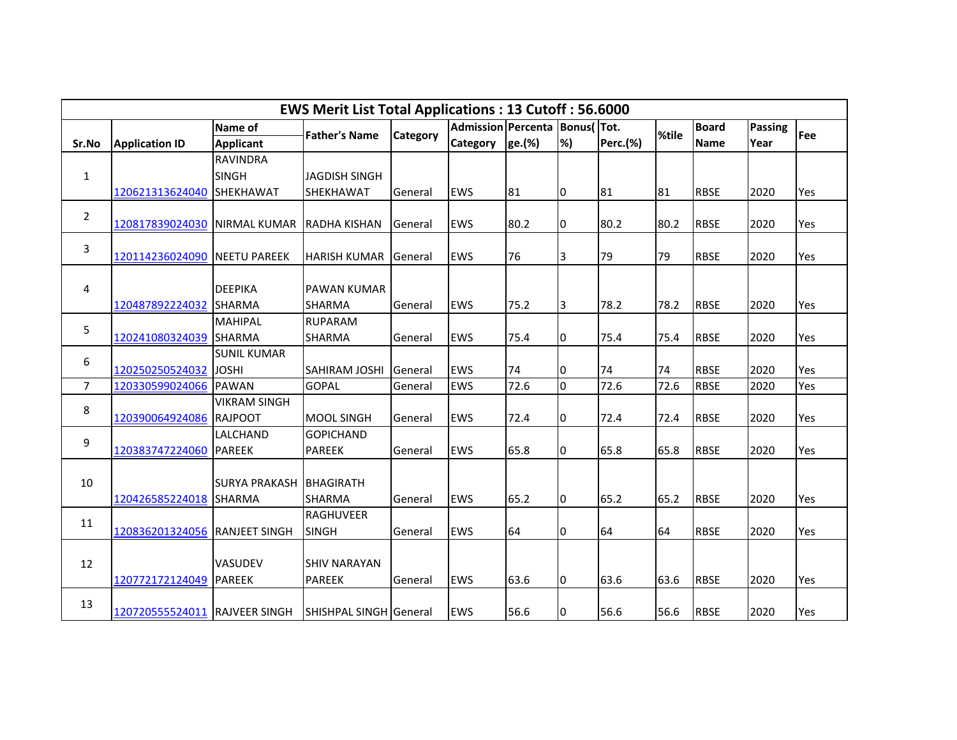|                | <b>EWS Merit List Total Applications: 13 Cutoff: 56.6000</b><br>Admission Percenta   Bonus(   Tot. |                         |                        |          |            |        |                |                 |       |              |         |     |  |  |
|----------------|----------------------------------------------------------------------------------------------------|-------------------------|------------------------|----------|------------|--------|----------------|-----------------|-------|--------------|---------|-----|--|--|
|                |                                                                                                    | Name of                 | <b>Father's Name</b>   | Category |            |        |                |                 | %tile | <b>Board</b> | Passing | Fee |  |  |
| Sr.No          | <b>Application ID</b>                                                                              | <b>Applicant</b>        |                        |          | Category   | ge.(%) | %)             | <b>Perc.(%)</b> |       | <b>Name</b>  | Year    |     |  |  |
|                |                                                                                                    | <b>RAVINDRA</b>         |                        |          |            |        |                |                 |       |              |         |     |  |  |
| $\mathbf{1}$   |                                                                                                    | <b>SINGH</b>            | JAGDISH SINGH          |          |            |        |                |                 |       |              |         |     |  |  |
|                | 120621313624040                                                                                    | SHEKHAWAT               | SHEKHAWAT              | General  | <b>EWS</b> | 81     | 10             | 81              | 81    | <b>RBSE</b>  | 2020    | Yes |  |  |
| $\overline{2}$ | 120817839024030                                                                                    | <b>NIRMAL KUMAR</b>     | <b>RADHA KISHAN</b>    | General  | <b>EWS</b> | 80.2   | 10             | 80.2            | 80.2  | <b>RBSE</b>  | 2020    | Yes |  |  |
| 3              | 120114236024090                                                                                    | <b>NEETU PAREEK</b>     | <b>HARISH KUMAR</b>    | General  | <b>EWS</b> | 76     | 3              | 79              | 79    | <b>RBSE</b>  | 2020    | Yes |  |  |
| 4              |                                                                                                    | <b>DEEPIKA</b>          | <b>PAWAN KUMAR</b>     |          |            |        |                |                 |       |              |         |     |  |  |
|                | 120487892224032 SHARMA                                                                             |                         | <b>SHARMA</b>          | General  | <b>EWS</b> | 75.2   | 3              | 78.2            | 78.2  | <b>RBSE</b>  | 2020    | Yes |  |  |
|                |                                                                                                    | MAHIPAL                 | <b>RUPARAM</b>         |          |            |        |                |                 |       |              |         |     |  |  |
| 5              | 120241080324039 SHARMA                                                                             |                         | <b>SHARMA</b>          | General  | <b>EWS</b> | 75.4   | I0             | 75.4            | 75.4  | <b>RBSE</b>  | 2020    | Yes |  |  |
|                |                                                                                                    | <b>SUNIL KUMAR</b>      |                        |          |            |        |                |                 |       |              |         |     |  |  |
| 6              | 120250250524032                                                                                    | <b>JOSHI</b>            | <b>SAHIRAM JOSHI</b>   | General  | <b>EWS</b> | 74     | 10             | 74              | 74    | <b>RBSE</b>  | 2020    | Yes |  |  |
| $\overline{7}$ | 120330599024066                                                                                    | <b>PAWAN</b>            | <b>GOPAL</b>           | General  | <b>EWS</b> | 72.6   | l <sub>0</sub> | 72.6            | 72.6  | <b>RBSE</b>  | 2020    | Yes |  |  |
| 8              |                                                                                                    | <b>VIKRAM SINGH</b>     |                        |          |            |        |                |                 |       |              |         |     |  |  |
|                | 120390064924086 RAJPOOT                                                                            |                         | <b>MOOL SINGH</b>      | General  | <b>EWS</b> | 72.4   | 10             | 72.4            | 72.4  | <b>RBSE</b>  | 2020    | Yes |  |  |
| 9              |                                                                                                    | LALCHAND                | <b>GOPICHAND</b>       |          |            |        |                |                 |       |              |         |     |  |  |
|                | 120383747224060                                                                                    | <b>PAREEK</b>           | <b>PAREEK</b>          | General  | <b>EWS</b> | 65.8   | 10             | 65.8            | 65.8  | <b>RBSE</b>  | 2020    | Yes |  |  |
| 10             |                                                                                                    | SURYA PRAKASH BHAGIRATH |                        |          |            |        |                |                 |       |              |         |     |  |  |
|                | 120426585224018 SHARMA                                                                             |                         | <b>SHARMA</b>          | General  | <b>EWS</b> | 65.2   | 10             | 65.2            | 65.2  | <b>RBSE</b>  | 2020    | Yes |  |  |
|                |                                                                                                    |                         | <b>RAGHUVEER</b>       |          |            |        |                |                 |       |              |         |     |  |  |
| 11             | 120836201324056                                                                                    | <b>RANJEET SINGH</b>    | <b>SINGH</b>           | General  | <b>EWS</b> | 64     | 10             | 64              | 64    | <b>RBSE</b>  | 2020    | Yes |  |  |
|                |                                                                                                    |                         |                        |          |            |        |                |                 |       |              |         |     |  |  |
| 12             |                                                                                                    | VASUDEV                 | <b>SHIV NARAYAN</b>    |          |            |        |                |                 |       |              |         |     |  |  |
|                | 120772172124049                                                                                    | <b>PAREEK</b>           | <b>PAREEK</b>          | General  | <b>EWS</b> | 63.6   | 10             | 63.6            | 63.6  | <b>RBSE</b>  | 2020    | Yes |  |  |
| 13             | 120720555524011 RAJVEER SINGH                                                                      |                         | SHISHPAL SINGH General |          | <b>EWS</b> | 56.6   | I0             | 56.6            | 56.6  | <b>RBSE</b>  | 2020    | Yes |  |  |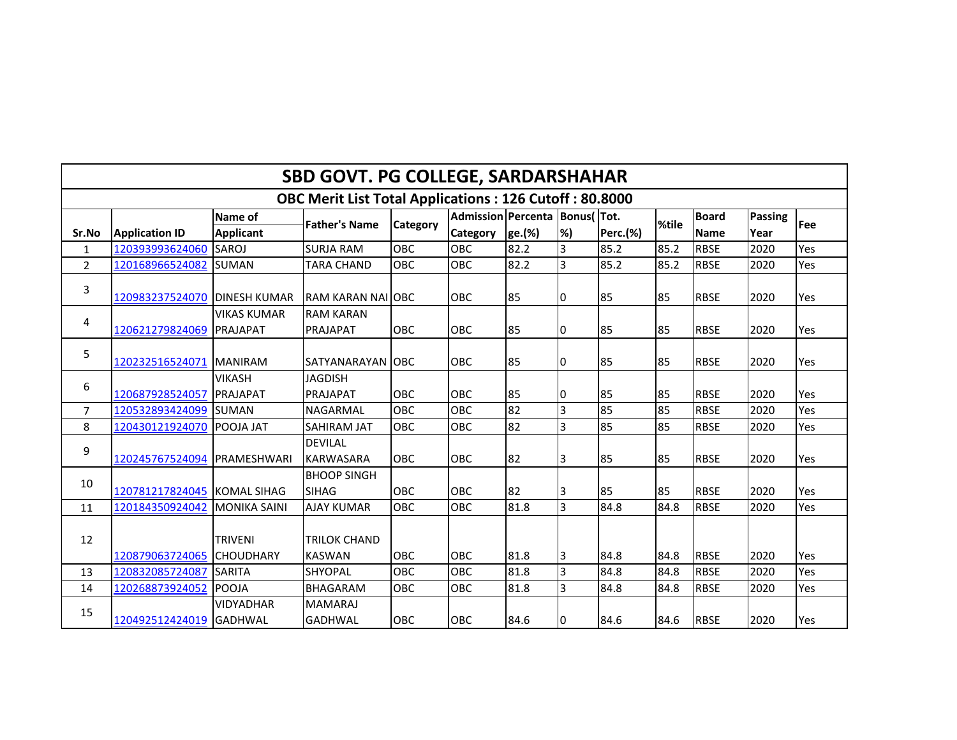| <b>SBD GOVT. PG COLLEGE, SARDARSHAHAR</b> |                             |                                    |                                                               |                 |                               |        |                |                 |       |              |         |     |  |
|-------------------------------------------|-----------------------------|------------------------------------|---------------------------------------------------------------|-----------------|-------------------------------|--------|----------------|-----------------|-------|--------------|---------|-----|--|
|                                           |                             |                                    | <b>OBC Merit List Total Applications: 126 Cutoff: 80.8000</b> |                 |                               |        |                |                 |       |              |         |     |  |
|                                           |                             | Name of                            | <b>Father's Name</b>                                          | <b>Category</b> | Admission Percenta Bonus(Tot. |        |                |                 | %tile | <b>Board</b> | Passing | Fee |  |
| Sr.No                                     | <b>Application ID</b>       | <b>Applicant</b>                   |                                                               |                 | Category                      | ge.(%) | %)             | <b>Perc.(%)</b> |       | <b>Name</b>  | Year    |     |  |
| $\mathbf{1}$                              | 120393993624060             | SAROJ                              | <b>SURJA RAM</b>                                              | OBC             | OBC                           | 82.2   | 3              | 85.2            | 85.2  | <b>RBSE</b>  | 2020    | Yes |  |
| $\overline{2}$                            | 120168966524082             | <b>SUMAN</b>                       | <b>TARA CHAND</b>                                             | OBC             | OBC                           | 82.2   | lз             | 85.2            | 85.2  | <b>RBSE</b>  | 2020    | Yes |  |
| 3                                         | 120983237524070             | <b>IDINESH KUMAR</b>               | <b>IRAM KARAN NAI JOBC</b>                                    |                 | OBC                           | 85     | 10             | 85              | 85    | <b>RBSE</b>  | 2020    | Yes |  |
| 4                                         | 120621279824069             | <b>VIKAS KUMAR</b><br>PRAJAPAT     | <b>RAM KARAN</b><br>PRAJAPAT                                  | OBC             | <b>OBC</b>                    | 85     | I0             | 85              | 85    | <b>RBSE</b>  | 2020    | Yes |  |
| 5                                         | 120232516524071 MANIRAM     |                                    | SATYANARAYAN OBC                                              |                 | <b>OBC</b>                    | 85     | I0             | 85              | 85    | <b>RBSE</b>  | 2020    | Yes |  |
| 6                                         | 120687928524057             | <b>VIKASH</b><br><b>PRAJAPAT</b>   | <b>JAGDISH</b><br>PRAJAPAT                                    | OBC             | <b>OBC</b>                    | 85     | 10             | 85              | 85    | <b>RBSE</b>  | 2020    | Yes |  |
| $\overline{7}$                            | 120532893424099             | <b>SUMAN</b>                       | NAGARMAL                                                      | OBC             | <b>OBC</b>                    | 82     | lз             | 85              | 85    | <b>RBSE</b>  | 2020    | Yes |  |
| 8                                         | 120430121924070 POOJA JAT   |                                    | <b>SAHIRAM JAT</b>                                            | <b>OBC</b>      | <b>OBC</b>                    | 82     | $\overline{3}$ | 85              | 85    | <b>RBSE</b>  | 2020    | Yes |  |
| 9                                         | 120245767524094 PRAMESHWARI |                                    | <b>DEVILAL</b><br><b>KARWASARA</b>                            | OBC             | OBC                           | 82     | 3              | 85              | 85    | <b>RBSE</b>  | 2020    | Yes |  |
| 10                                        | 120781217824045 KOMAL SIHAG |                                    | <b>BHOOP SINGH</b><br><b>SIHAG</b>                            | OBC             | OBC                           | 82     | 3              | 85              | 85    | <b>RBSE</b>  | 2020    | Yes |  |
| 11                                        | 120184350924042             | <b>MONIKA SAINI</b>                | <b>AJAY KUMAR</b>                                             | OBC             | OBC                           | 81.8   | $\overline{3}$ | 84.8            | 84.8  | <b>RBSE</b>  | 2020    | Yes |  |
| 12                                        | 120879063724065             | <b>TRIVENI</b><br><b>CHOUDHARY</b> | <b>TRILOK CHAND</b><br><b>KASWAN</b>                          | OBC             | OBC                           | 81.8   | 3              | 84.8            | 84.8  | <b>RBSE</b>  | 2020    | Yes |  |
| 13                                        | 120832085724087             | <b>SARITA</b>                      | <b>SHYOPAL</b>                                                | OBC             | <b>OBC</b>                    | 81.8   | $\overline{3}$ | 84.8            | 84.8  | <b>RBSE</b>  | 2020    | Yes |  |
| 14                                        | 120268873924052             | <b>POOJA</b>                       | <b>BHAGARAM</b>                                               | OBC             | OBC                           | 81.8   | $\overline{3}$ | 84.8            | 84.8  | <b>RBSE</b>  | 2020    | Yes |  |
| 15                                        | 120492512424019 GADHWAL     | <b>VIDYADHAR</b>                   | <b>MAMARAJ</b><br><b>GADHWAL</b>                              | OBC             | <b>OBC</b>                    | 84.6   | I0             | 84.6            | 84.6  | <b>RBSE</b>  | 2020    | Yes |  |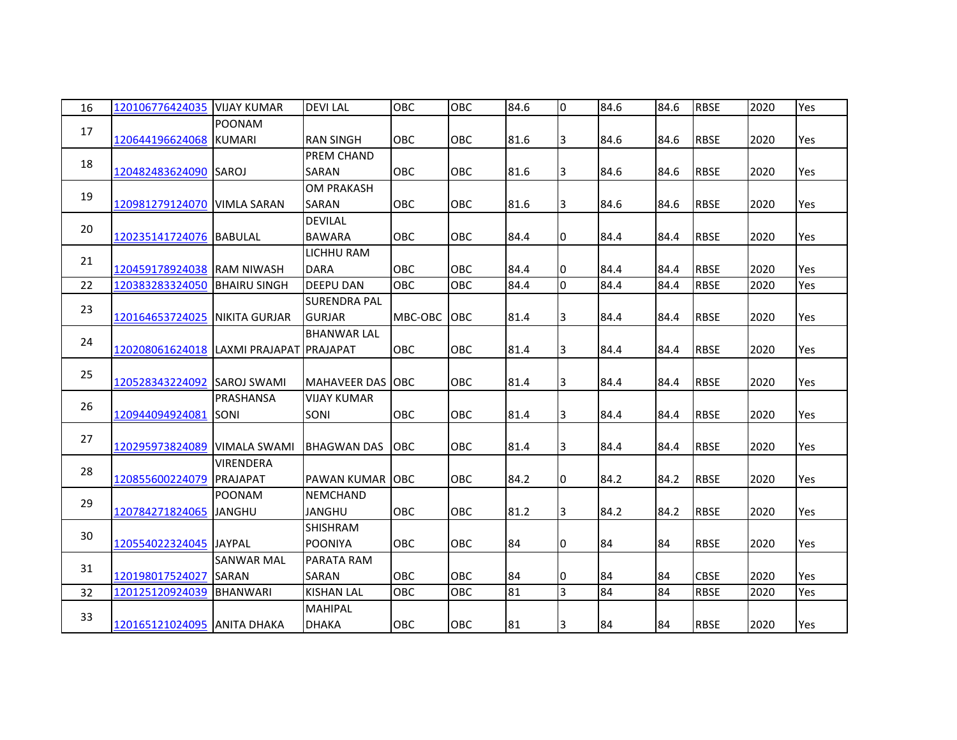| 16 | 120106776424035                         | <b>VIJAY KUMAR</b>                | <b>DEVILAL</b>                       | OBC        | OBC        | 84.6 | 0              | 84.6 | 84.6 | <b>RBSE</b> | 2020 | Yes |
|----|-----------------------------------------|-----------------------------------|--------------------------------------|------------|------------|------|----------------|------|------|-------------|------|-----|
| 17 | 120644196624068 KUMARI                  | <b>POONAM</b>                     | <b>RAN SINGH</b>                     | OBC        | <b>OBC</b> | 81.6 | 3              | 84.6 | 84.6 | <b>RBSE</b> | 2020 | Yes |
| 18 | 120482483624090 SAROJ                   |                                   | <b>PREM CHAND</b><br>SARAN           | OBC        | OBC        | 81.6 | 3              | 84.6 | 84.6 | <b>RBSE</b> | 2020 | Yes |
| 19 | 120981279124070                         | <b>VIMLA SARAN</b>                | <b>OM PRAKASH</b><br>SARAN           | OBC        | <b>OBC</b> | 81.6 | 3              | 84.6 | 84.6 | <b>RBSE</b> | 2020 | Yes |
| 20 | 120235141724076 BABULAL                 |                                   | <b>DEVILAL</b><br><b>BAWARA</b>      | OBC        | OBC        | 84.4 | 0              | 84.4 | 84.4 | <b>RBSE</b> | 2020 | Yes |
| 21 | 120459178924038 RAM NIWASH              |                                   | <b>LICHHU RAM</b><br><b>DARA</b>     | OBC        | OBC        | 84.4 | 0              | 84.4 | 84.4 | <b>RBSE</b> | 2020 | Yes |
| 22 | 120383283324050                         | <b>BHAIRU SINGH</b>               | <b>DEEPU DAN</b>                     | OBC        | OBC        | 84.4 | $\overline{0}$ | 84.4 | 84.4 | <b>RBSE</b> | 2020 | Yes |
| 23 | 120164653724025                         | <b>NIKITA GURJAR</b>              | <b>SURENDRA PAL</b><br><b>GURJAR</b> | MBC-OBC    | <b>OBC</b> | 81.4 | 3              | 84.4 | 84.4 | <b>RBSE</b> | 2020 | Yes |
| 24 | 120208061624018 LAXMI PRAJAPAT PRAJAPAT |                                   | <b>BHANWAR LAL</b>                   | OBC        | OBC        | 81.4 | 3              | 84.4 | 84.4 | <b>RBSE</b> | 2020 | Yes |
| 25 | 120528343224092 SAROJ SWAMI             |                                   | <b>MAHAVEER DAS JOBC</b>             |            | OBC        | 81.4 | 3              | 84.4 | 84.4 | <b>RBSE</b> | 2020 | Yes |
| 26 | 120944094924081                         | PRASHANSA<br>ISONI                | <b>VIJAY KUMAR</b><br>SONI           | OBC        | OBC        | 81.4 | 3              | 84.4 | 84.4 | <b>RBSE</b> | 2020 | Yes |
| 27 | 120295973824089                         | <b>VIMALA SWAMI</b>               | <b>BHAGWAN DAS</b>                   | <b>OBC</b> | <b>OBC</b> | 81.4 | 3              | 84.4 | 84.4 | <b>RBSE</b> | 2020 | Yes |
| 28 | 120855600224079                         | <b>VIRENDERA</b><br>PRAJAPAT      | PAWAN KUMAR OBC                      |            | OBC        | 84.2 | 0              | 84.2 | 84.2 | <b>RBSE</b> | 2020 | Yes |
| 29 | 120784271824065                         | POONAM<br><b>JANGHU</b>           | NEMCHAND<br><b>JANGHU</b>            | <b>OBC</b> | <b>OBC</b> | 81.2 | IЗ             | 84.2 | 84.2 | <b>RBSE</b> | 2020 | Yes |
| 30 | 120554022324045 JJAYPAL                 |                                   | SHISHRAM<br><b>POONIYA</b>           | <b>OBC</b> | <b>OBC</b> | 84   | 0              | 84   | 84   | <b>RBSE</b> | 2020 | Yes |
| 31 | 120198017524027                         | <b>SANWAR MAL</b><br><b>SARAN</b> | PARATA RAM<br>SARAN                  | OBC        | <b>OBC</b> | 84   | 0              | 84   | 84   | <b>CBSE</b> | 2020 | Yes |
| 32 | 120125120924039                         | <b>BHANWARI</b>                   | <b>KISHAN LAL</b>                    | OBC        | OBC        | 81   | $\overline{3}$ | 84   | 84   | <b>RBSE</b> | 2020 | Yes |
| 33 | 120165121024095 ANITA DHAKA             |                                   | <b>MAHIPAL</b><br><b>DHAKA</b>       | OBC        | OBC        | 81   | 3              | 84   | 84   | <b>RBSE</b> | 2020 | Yes |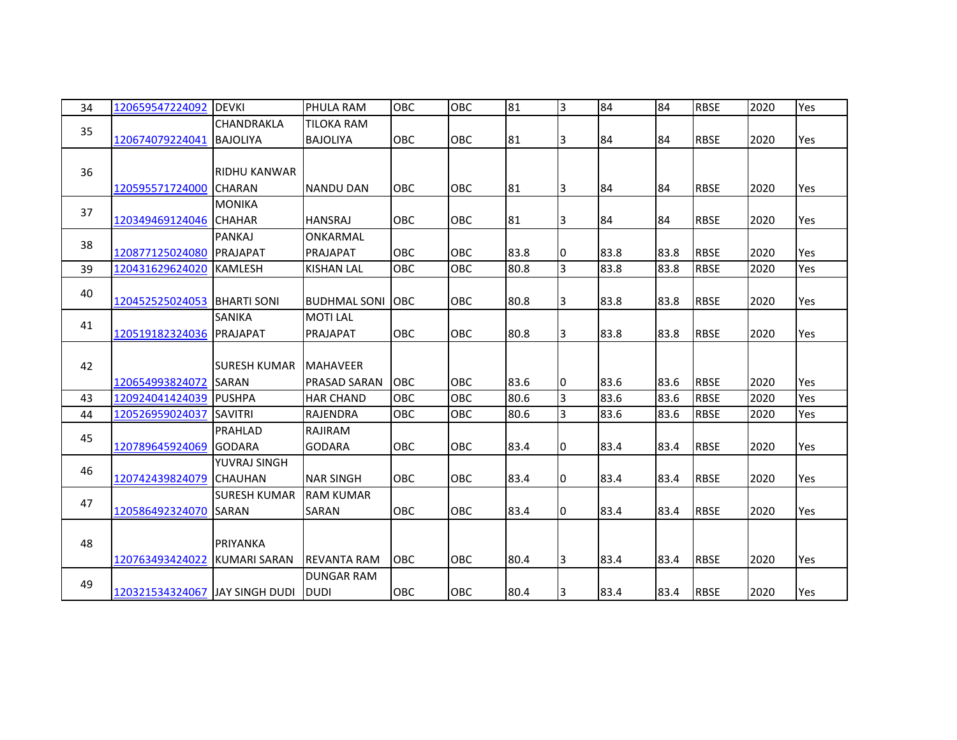| 34 | 120659547224092                | <b>DEVKI</b>         | PHULA RAM           | OBC        | OBC        | 81   | 3  | 84   | 84   | <b>RBSE</b> | 2020 | Yes |
|----|--------------------------------|----------------------|---------------------|------------|------------|------|----|------|------|-------------|------|-----|
| 35 |                                | CHANDRAKLA           | <b>TILOKA RAM</b>   |            |            |      |    |      |      |             |      |     |
|    | 120674079224041                | <b>BAJOLIYA</b>      | <b>BAJOLIYA</b>     | OBC        | OBC        | 81   | 3  | 84   | 84   | <b>RBSE</b> | 2020 | Yes |
|    |                                |                      |                     |            |            |      |    |      |      |             |      |     |
| 36 |                                | <b>RIDHU KANWAR</b>  |                     |            |            |      |    |      |      |             |      |     |
|    | 120595571724000                | <b>CHARAN</b>        | <b>NANDU DAN</b>    | OBC        | OBC        | 81   | 3  | 84   | 84   | <b>RBSE</b> | 2020 | Yes |
|    |                                | <b>MONIKA</b>        |                     |            |            |      |    |      |      |             |      |     |
| 37 | 120349469124046                | <b>CHAHAR</b>        | <b>HANSRAJ</b>      | OBC        | OBC        | 81   | 3  | 84   | 84   | <b>RBSE</b> | 2020 | Yes |
|    |                                | PANKAJ               | <b>ONKARMAL</b>     |            |            |      |    |      |      |             |      |     |
| 38 | 120877125024080                | <b>PRAJAPAT</b>      | <b>PRAJAPAT</b>     | OBC        | <b>OBC</b> | 83.8 | 10 | 83.8 | 83.8 | <b>RBSE</b> | 2020 | Yes |
| 39 | 120431629624020                | <b>KAMLESH</b>       | <b>KISHAN LAL</b>   | OBC        | OBC        | 80.8 | 3  | 83.8 | 83.8 | <b>RBSE</b> | 2020 | Yes |
| 40 |                                |                      |                     |            |            |      |    |      |      |             |      |     |
|    | 120452525024053 BHARTI SONI    |                      | BUDHMAL SONI        | <b>OBC</b> | <b>OBC</b> | 80.8 | 3  | 83.8 | 83.8 | <b>RBSE</b> | 2020 | Yes |
| 41 |                                | <b>SANIKA</b>        | <b>MOTILAL</b>      |            |            |      |    |      |      |             |      |     |
|    | 120519182324036                | <b>PRAJAPAT</b>      | PRAJAPAT            | OBC        | <b>OBC</b> | 80.8 | 3  | 83.8 | 83.8 | <b>RBSE</b> | 2020 | Yes |
|    |                                |                      |                     |            |            |      |    |      |      |             |      |     |
| 42 |                                | <b>ISURESH KUMAR</b> | <b>MAHAVEER</b>     |            |            |      |    |      |      |             |      |     |
|    | 120654993824072                | <b>SARAN</b>         | <b>PRASAD SARAN</b> | <b>OBC</b> | <b>OBC</b> | 83.6 | 10 | 83.6 | 83.6 | <b>RBSE</b> | 2020 | Yes |
| 43 | 120924041424039 PUSHPA         |                      | <b>HAR CHAND</b>    | OBC        | OBC        | 80.6 | 3  | 83.6 | 83.6 | <b>RBSE</b> | 2020 | Yes |
| 44 | 120526959024037                | <b>SAVITRI</b>       | <b>RAJENDRA</b>     | OBC        | OBC        | 80.6 | 3  | 83.6 | 83.6 | <b>RBSE</b> | 2020 | Yes |
| 45 |                                | PRAHLAD              | <b>RAJIRAM</b>      |            |            |      |    |      |      |             |      |     |
|    | 120789645924069                | <b>GODARA</b>        | <b>GODARA</b>       | OBC        | OBC        | 83.4 | 10 | 83.4 | 83.4 | <b>RBSE</b> | 2020 | Yes |
| 46 |                                | YUVRAJ SINGH         |                     |            |            |      |    |      |      |             |      |     |
|    | 120742439824079 CHAUHAN        |                      | <b>NAR SINGH</b>    | OBC        | <b>OBC</b> | 83.4 | 10 | 83.4 | 83.4 | <b>RBSE</b> | 2020 | Yes |
| 47 |                                | <b>SURESH KUMAR</b>  | <b>RAM KUMAR</b>    |            |            |      |    |      |      |             |      |     |
|    | 120586492324070                | <b>ISARAN</b>        | SARAN               | <b>OBC</b> | <b>OBC</b> | 83.4 | 10 | 83.4 | 83.4 | <b>RBSE</b> | 2020 | Yes |
|    |                                |                      |                     |            |            |      |    |      |      |             |      |     |
| 48 |                                | PRIYANKA             |                     |            |            |      |    |      |      |             |      |     |
|    | 120763493424022                | <b>IKUMARI SARAN</b> | <b>REVANTA RAM</b>  | <b>OBC</b> | <b>OBC</b> | 80.4 | 3  | 83.4 | 83.4 | <b>RBSE</b> | 2020 | Yes |
| 49 |                                |                      | <b>DUNGAR RAM</b>   |            |            |      |    |      |      |             |      |     |
|    | 120321534324067 JAY SINGH DUDI |                      | <b>DUDI</b>         | OBC        | OBC        | 80.4 | 13 | 83.4 | 83.4 | <b>RBSE</b> | 2020 | Yes |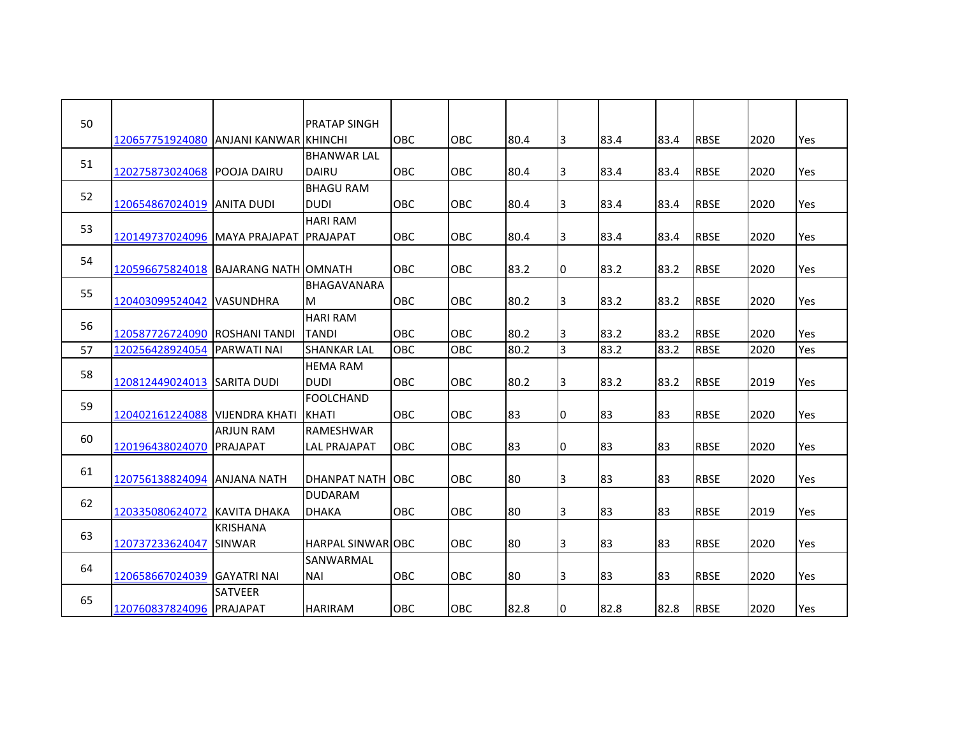| 50 |                                       |                      | <b>PRATAP SINGH</b>             | <b>OBC</b> | <b>OBC</b> | 80.4 |                | 83.4 | 83.4 | <b>RBSE</b> | 2020 | Yes |
|----|---------------------------------------|----------------------|---------------------------------|------------|------------|------|----------------|------|------|-------------|------|-----|
|    | 120657751924080 ANJANI KANWAR KHINCHI |                      | <b>BHANWAR LAL</b>              |            |            |      | 3              |      |      |             |      |     |
| 51 | 120275873024068                       | <b>POOJA DAIRU</b>   | <b>DAIRU</b>                    | OBC        | <b>OBC</b> | 80.4 | 3              | 83.4 | 83.4 | <b>RBSE</b> | 2020 | Yes |
|    |                                       |                      | <b>BHAGU RAM</b>                |            |            |      |                |      |      |             |      |     |
| 52 | 120654867024019 ANITA DUDI            |                      | <b>DUDI</b>                     | <b>OBC</b> | <b>OBC</b> | 80.4 | 3              | 83.4 | 83.4 | <b>RBSE</b> | 2020 | Yes |
| 53 |                                       |                      | <b>HARI RAM</b>                 |            |            |      |                |      |      |             |      |     |
|    | 120149737024096 MAYA PRAJAPAT         |                      | <b>IPRAJAPAT</b>                | <b>OBC</b> | <b>OBC</b> | 80.4 | 3              | 83.4 | 83.4 | <b>RBSE</b> | 2020 | Yes |
| 54 |                                       |                      |                                 |            |            |      |                |      |      |             |      |     |
|    | 120596675824018 BAJARANG NATH OMNATH  |                      |                                 | OBC        | OBC        | 83.2 | 0              | 83.2 | 83.2 | <b>RBSE</b> | 2020 | Yes |
| 55 |                                       |                      | <b>BHAGAVANARA</b>              |            |            |      |                |      |      |             |      |     |
|    | 120403099524042                       | <b>VASUNDHRA</b>     | М                               | OBC        | <b>OBC</b> | 80.2 | 3              | 83.2 | 83.2 | <b>RBSE</b> | 2020 | Yes |
| 56 |                                       |                      | <b>HARI RAM</b>                 |            |            |      |                |      |      |             |      |     |
|    | 120587726724090                       | <b>ROSHANI TANDI</b> | <b>TANDI</b>                    | OBC        | <b>OBC</b> | 80.2 | IЗ             | 83.2 | 83.2 | <b>RBSE</b> | 2020 | Yes |
| 57 | 120256428924054                       | <b>PARWATI NAI</b>   | <b>SHANKAR LAL</b>              | <b>OBC</b> | OBC        | 80.2 | $\overline{3}$ | 83.2 | 83.2 | <b>RBSE</b> | 2020 | Yes |
| 58 |                                       |                      | <b>HEMA RAM</b>                 | OBC        | <b>OBC</b> | 80.2 |                |      |      |             |      | Yes |
|    | 120812449024013 SARITA DUDI           |                      | <b>DUDI</b><br><b>FOOLCHAND</b> |            |            |      | IЗ             | 83.2 | 83.2 | <b>RBSE</b> | 2019 |     |
| 59 | 120402161224088 VIJENDRA KHATI        |                      | <b>IKHATI</b>                   | <b>OBC</b> | OBC        | 83   | 0              | 83   | 83   | <b>RBSE</b> | 2020 | Yes |
|    |                                       | <b>ARJUN RAM</b>     | <b>RAMESHWAR</b>                |            |            |      |                |      |      |             |      |     |
| 60 | 120196438024070                       | <b>PRAJAPAT</b>      | <b>LAL PRAJAPAT</b>             | OBC        | OBC        | 83   | 0              | 83   | 83   | <b>RBSE</b> | 2020 | Yes |
|    |                                       |                      |                                 |            |            |      |                |      |      |             |      |     |
| 61 | 120756138824094                       | <b>ANJANA NATH</b>   | DHANPAT NATH LOBC               |            | <b>OBC</b> | 80   | 3              | 83   | 83   | <b>RBSE</b> | 2020 | Yes |
|    |                                       |                      | <b>DUDARAM</b>                  |            |            |      |                |      |      |             |      |     |
| 62 | 120335080624072 KAVITA DHAKA          |                      | DHAKA                           | OBC        | <b>OBC</b> | 80   | 3              | 83   | 83   | <b>RBSE</b> | 2019 | Yes |
|    |                                       | <b>KRISHANA</b>      |                                 |            |            |      |                |      |      |             |      |     |
| 63 | 120737233624047                       | <b>SINWAR</b>        | <b>HARPAL SINWARIOBC</b>        |            | <b>OBC</b> | 80   | 3              | 83   | 83   | <b>RBSE</b> | 2020 | Yes |
| 64 |                                       |                      | <b>SANWARMAL</b>                |            |            |      |                |      |      |             |      |     |
|    | 120658667024039 GAYATRI NAI           |                      | <b>NAI</b>                      | OBC        | <b>OBC</b> | 80   | IЗ             | 83   | 83   | <b>RBSE</b> | 2020 | Yes |
| 65 |                                       | SATVEER              |                                 |            |            |      |                |      |      |             |      |     |
|    | 120760837824096 PRAJAPAT              |                      | <b>HARIRAM</b>                  | <b>OBC</b> | <b>OBC</b> | 82.8 | 0              | 82.8 | 82.8 | <b>RBSE</b> | 2020 | Yes |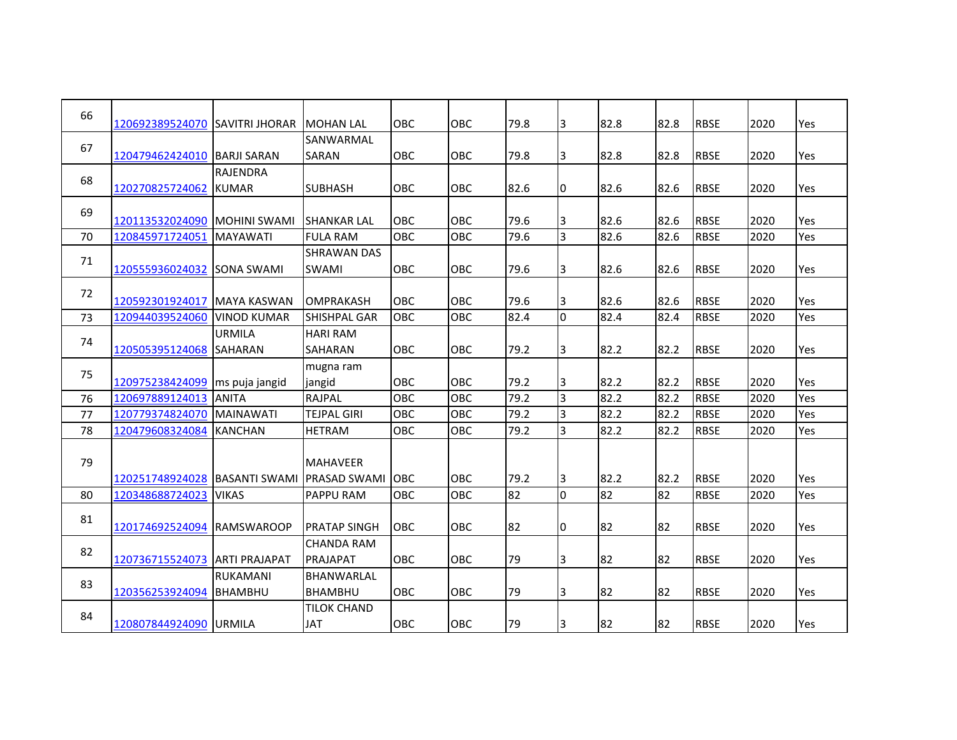| 66 | 120692389524070 SAVITRI JHORAR |                                  | <b>MOHAN LAL</b>    | <b>OBC</b> | <b>OBC</b> | 79.8 | 3              | 82.8 | 82.8 | <b>RBSE</b> | 2020 | Yes |
|----|--------------------------------|----------------------------------|---------------------|------------|------------|------|----------------|------|------|-------------|------|-----|
|    |                                |                                  | SANWARMAL           |            |            |      |                |      |      |             |      |     |
| 67 | 120479462424010                | <b>BARJI SARAN</b>               | SARAN               | <b>OBC</b> | OBC        | 79.8 | 3              | 82.8 | 82.8 | <b>RBSE</b> | 2020 | Yes |
|    |                                | <b>RAJENDRA</b>                  |                     |            |            |      |                |      |      |             |      |     |
| 68 | 120270825724062                | <b>KUMAR</b>                     | <b>SUBHASH</b>      | OBC        | OBC        | 82.6 | 0              | 82.6 | 82.6 | <b>RBSE</b> | 2020 | Yes |
| 69 |                                |                                  |                     |            |            |      |                |      |      |             |      |     |
|    | 120113532024090                | <b>MOHINI SWAMI</b>              | ISHANKAR LAL        | OBC        | OBC        | 79.6 | 3              | 82.6 | 82.6 | <b>RBSE</b> | 2020 | Yes |
| 70 | 120845971724051                | <b>MAYAWATI</b>                  | <b>FULA RAM</b>     | <b>OBC</b> | <b>OBC</b> | 79.6 | l3             | 82.6 | 82.6 | <b>RBSE</b> | 2020 | Yes |
| 71 |                                |                                  | <b>SHRAWAN DAS</b>  |            |            |      |                |      |      |             |      |     |
|    | 120555936024032                | <b>SONA SWAMI</b>                | <b>SWAMI</b>        | OBC        | <b>OBC</b> | 79.6 | I3             | 82.6 | 82.6 | <b>RBSE</b> | 2020 | Yes |
| 72 |                                |                                  |                     |            |            |      |                |      |      |             |      |     |
|    | 120592301924017                | <b>MAYA KASWAN</b>               | <b>OMPRAKASH</b>    | OBC        | OBC        | 79.6 | 3              | 82.6 | 82.6 | <b>RBSE</b> | 2020 | Yes |
| 73 | 120944039524060                | <b>VINOD KUMAR</b>               | <b>SHISHPAL GAR</b> | <b>OBC</b> | OBC        | 82.4 | I٥             | 82.4 | 82.4 | <b>RBSE</b> | 2020 | Yes |
|    |                                | <b>URMILA</b>                    | <b>HARI RAM</b>     |            |            |      |                |      |      |             |      |     |
| 74 | 120505395124068                | <b>SAHARAN</b>                   | <b>SAHARAN</b>      | <b>OBC</b> | <b>OBC</b> | 79.2 | 3              | 82.2 | 82.2 | <b>RBSE</b> | 2020 | Yes |
|    |                                |                                  | mugna ram           |            |            |      |                |      |      |             |      |     |
| 75 | 120975238424099                | ms puja jangid                   | jangid              | OBC        | <b>OBC</b> | 79.2 | I3             | 82.2 | 82.2 | <b>RBSE</b> | 2020 | Yes |
| 76 | 120697889124013                | <b>ANITA</b>                     | RAJPAL              | OBC        | OBC        | 79.2 | $\overline{3}$ | 82.2 | 82.2 | <b>RBSE</b> | 2020 | Yes |
| 77 | 120779374824070                | <b>MAINAWATI</b>                 | <b>TEJPAL GIRI</b>  | OBC        | OBC        | 79.2 | <sub>3</sub>   | 82.2 | 82.2 | <b>RBSE</b> | 2020 | Yes |
| 78 | 120479608324084                | <b>KANCHAN</b>                   | <b>HETRAM</b>       | OBC        | OBC        | 79.2 | <sub>3</sub>   | 82.2 | 82.2 | <b>RBSE</b> | 2020 | Yes |
|    |                                |                                  |                     |            |            |      |                |      |      |             |      |     |
| 79 |                                |                                  | <b>MAHAVEER</b>     |            |            |      |                |      |      |             |      |     |
|    | 120251748924028                | BASANTI SWAMI IPRASAD SWAMI IOBC |                     |            | <b>OBC</b> | 79.2 | 3              | 82.2 | 82.2 | <b>RBSE</b> | 2020 | Yes |
| 80 | 120348688724023                | <b>VIKAS</b>                     | PAPPU RAM           | OBC        | OBC        | 82   | $\overline{0}$ | 82   | 82   | <b>RBSE</b> | 2020 | Yes |
|    |                                |                                  |                     |            |            |      |                |      |      |             |      |     |
| 81 | 120174692524094                | <b>RAMSWAROOP</b>                | <b>PRATAP SINGH</b> | OBC        | OBC        | 82   | 0              | 82   | 82   | <b>RBSE</b> | 2020 | Yes |
|    |                                |                                  | <b>CHANDA RAM</b>   |            |            |      |                |      |      |             |      |     |
| 82 | 120736715524073                | <b>ARTI PRAJAPAT</b>             | PRAJAPAT            | <b>OBC</b> | OBC        | 79   | 3              | 82   | 82   | <b>RBSE</b> | 2020 | Yes |
|    |                                | <b>RUKAMANI</b>                  | <b>BHANWARLAL</b>   |            |            |      |                |      |      |             |      |     |
| 83 | 120356253924094                | <b>BHAMBHU</b>                   | <b>BHAMBHU</b>      | OBC        | <b>OBC</b> | 79   | 3              | 82   | 82   | <b>RBSE</b> | 2020 | Yes |
|    |                                |                                  | <b>TILOK CHAND</b>  |            |            |      |                |      |      |             |      |     |
| 84 | 120807844924090 URMILA         |                                  | <b>JAT</b>          | OBC        | OBC        | 79   | 3              | 82   | 82   | <b>RBSE</b> | 2020 | Yes |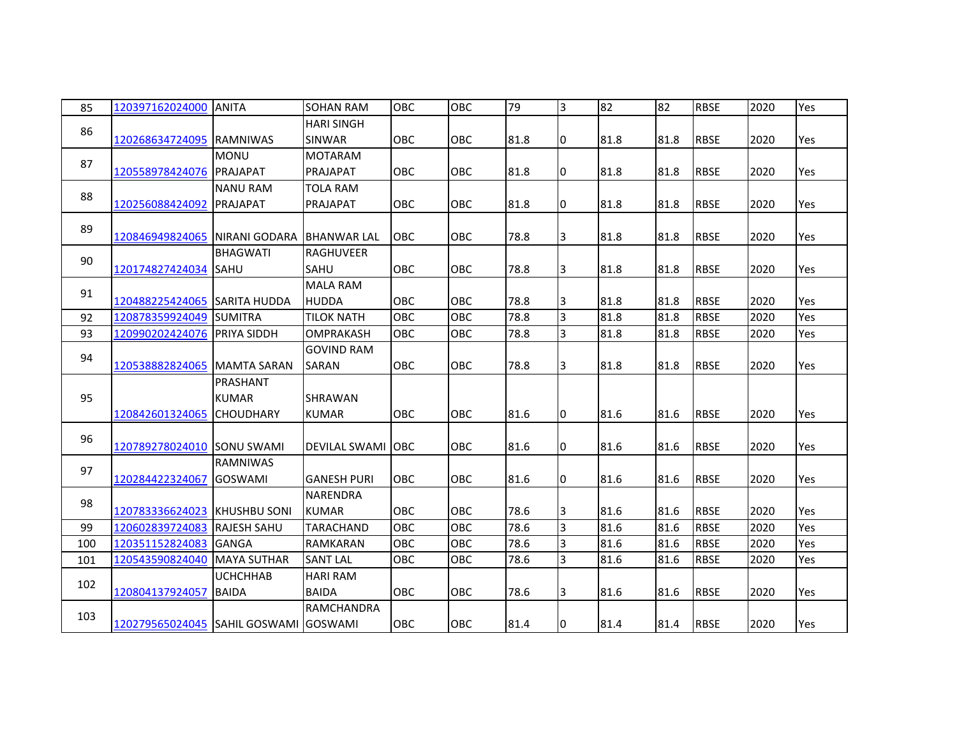| 85  | 120397162024000                           | <b>ANITA</b>       | <b>SOHAN RAM</b>   | OBC        | OBC        | 79   | $\overline{3}$ | 82   | 82   | <b>RBSE</b> | 2020 | Yes |
|-----|-------------------------------------------|--------------------|--------------------|------------|------------|------|----------------|------|------|-------------|------|-----|
| 86  |                                           |                    | <b>HARI SINGH</b>  |            |            |      |                |      |      |             |      |     |
|     | 120268634724095 RAMNIWAS                  |                    | <b>SINWAR</b>      | OBC        | <b>OBC</b> | 81.8 | 10             | 81.8 | 81.8 | <b>RBSE</b> | 2020 | Yes |
| 87  |                                           | <b>MONU</b>        | <b>MOTARAM</b>     |            |            |      |                |      |      |             |      |     |
|     | 120558978424076                           | <b>PRAJAPAT</b>    | PRAJAPAT           | <b>OBC</b> | <b>OBC</b> | 81.8 | 0              | 81.8 | 81.8 | <b>RBSE</b> | 2020 | Yes |
| 88  |                                           | <b>NANU RAM</b>    | <b>TOLA RAM</b>    |            |            |      |                |      |      |             |      |     |
|     | 120256088424092                           | <b>PRAJAPAT</b>    | PRAJAPAT           | <b>OBC</b> | OBC        | 81.8 | 10             | 81.8 | 81.8 | <b>RBSE</b> | 2020 | Yes |
| 89  |                                           |                    |                    |            |            |      |                |      |      |             |      |     |
|     | 120846949824065 NIRANI GODARA BHANWAR LAL |                    |                    | OBC        | OBC        | 78.8 | 3              | 81.8 | 81.8 | <b>RBSE</b> | 2020 | Yes |
| 90  |                                           | <b>BHAGWATI</b>    | <b>RAGHUVEER</b>   |            |            |      |                |      |      |             |      |     |
|     | 120174827424034 SAHU                      |                    | <b>SAHU</b>        | OBC        | OBC        | 78.8 | 3              | 81.8 | 81.8 | <b>RBSE</b> | 2020 | Yes |
| 91  |                                           |                    | MALA RAM           |            |            |      |                |      |      |             |      |     |
|     | 120488225424065 SARITA HUDDA              |                    | <b>HUDDA</b>       | <b>OBC</b> | <b>OBC</b> | 78.8 | 3              | 81.8 | 81.8 | <b>RBSE</b> | 2020 | Yes |
| 92  | 120878359924049 SUMITRA                   |                    | <b>TILOK NATH</b>  | OBC        | <b>OBC</b> | 78.8 | $\overline{3}$ | 81.8 | 81.8 | <b>RBSE</b> | 2020 | Yes |
| 93  | 120990202424076 PRIYA SIDDH               |                    | <b>OMPRAKASH</b>   | <b>OBC</b> | OBC        | 78.8 | $\overline{3}$ | 81.8 | 81.8 | <b>RBSE</b> | 2020 | Yes |
| 94  |                                           |                    | <b>GOVIND RAM</b>  |            |            |      |                |      |      |             |      |     |
|     | 120538882824065 MAMTA SARAN               |                    | SARAN              | OBC        | OBC        | 78.8 | 3              | 81.8 | 81.8 | <b>RBSE</b> | 2020 | Yes |
|     |                                           | PRASHANT           |                    |            |            |      |                |      |      |             |      |     |
| 95  |                                           | <b>KUMAR</b>       | <b>SHRAWAN</b>     |            |            |      |                |      |      |             |      |     |
|     | 120842601324065                           | <b>CHOUDHARY</b>   | <b>KUMAR</b>       | OBC        | <b>OBC</b> | 81.6 | 10             | 81.6 | 81.6 | <b>RBSE</b> | 2020 | Yes |
| 96  |                                           |                    |                    |            |            |      |                |      |      |             |      |     |
|     | 120789278024010 SONU SWAMI                |                    | DEVILAL SWAMI OBC  |            | OBC        | 81.6 | 10             | 81.6 | 81.6 | <b>RBSE</b> | 2020 | Yes |
| 97  |                                           | <b>RAMNIWAS</b>    |                    |            |            |      |                |      |      |             |      |     |
|     | 120284422324067                           | <b>GOSWAMI</b>     | <b>GANESH PURI</b> | <b>OBC</b> | OBC        | 81.6 | 0              | 81.6 | 81.6 | <b>RBSE</b> | 2020 | Yes |
| 98  |                                           |                    | NARENDRA           |            |            |      |                |      |      |             |      |     |
|     | 120783336624023 KHUSHBU SONI              |                    | <b>KUMAR</b>       | <b>OBC</b> | OBC        | 78.6 | 3              | 81.6 | 81.6 | <b>RBSE</b> | 2020 | Yes |
| 99  | 120602839724083                           | <b>RAJESH SAHU</b> | TARACHAND          | <b>OBC</b> | OBC        | 78.6 | 3              | 81.6 | 81.6 | <b>RBSE</b> | 2020 | Yes |
| 100 | 120351152824083                           | <b>GANGA</b>       | RAMKARAN           | OBC        | OBC        | 78.6 | 3              | 81.6 | 81.6 | <b>RBSE</b> | 2020 | Yes |
| 101 | 120543590824040                           | <b>MAYA SUTHAR</b> | <b>SANT LAL</b>    | <b>OBC</b> | OBC        | 78.6 | $\overline{3}$ | 81.6 | 81.6 | <b>RBSE</b> | 2020 | Yes |
|     |                                           | <b>UCHCHHAB</b>    | <b>HARI RAM</b>    |            |            |      |                |      |      |             |      |     |
| 102 | 120804137924057                           | <b>BAIDA</b>       | <b>BAIDA</b>       | <b>OBC</b> | OBC        | 78.6 | 3              | 81.6 | 81.6 | <b>RBSE</b> | 2020 | Yes |
|     |                                           |                    | <b>RAMCHANDRA</b>  |            |            |      |                |      |      |             |      |     |
| 103 | 120279565024045 SAHIL GOSWAMI GOSWAMI     |                    |                    | <b>OBC</b> | OBC        | 81.4 | 10             | 81.4 | 81.4 | <b>RBSE</b> | 2020 | Yes |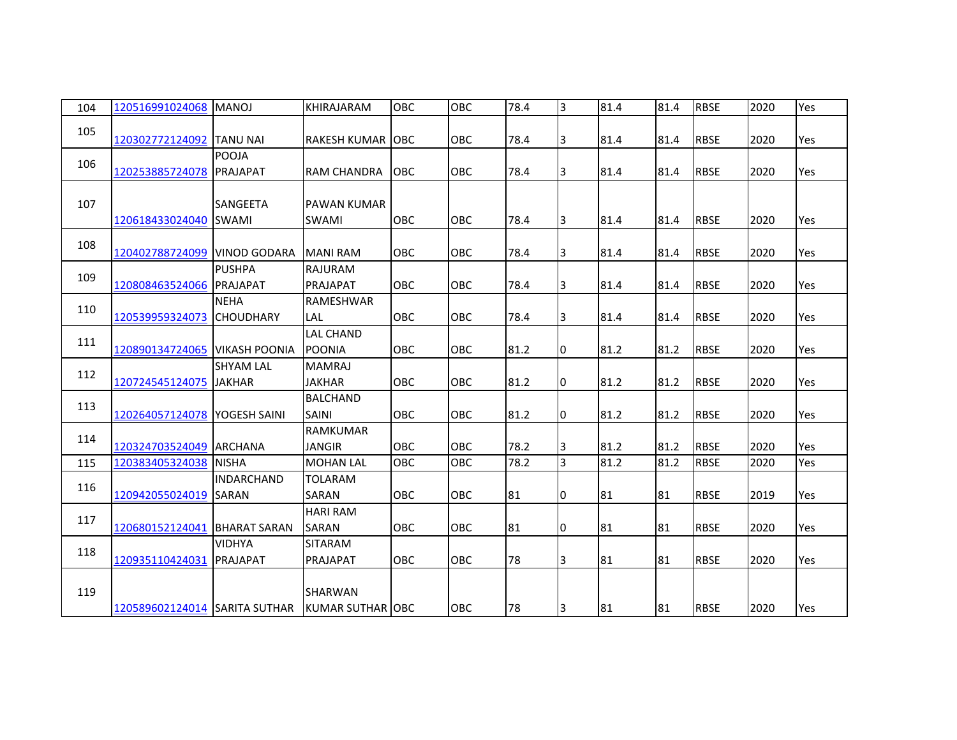| 104 | 120516991024068               | <b>MANOJ</b>                     | <b>KHIRAJARAM</b>                         | OBC        | OBC        | 78.4 | 3              | 81.4 | 81.4 | <b>RBSE</b> | 2020 | Yes        |
|-----|-------------------------------|----------------------------------|-------------------------------------------|------------|------------|------|----------------|------|------|-------------|------|------------|
| 105 | 120302772124092 TANU NAI      |                                  | <b>RAKESH KUMAR JOBC</b>                  |            | <b>OBC</b> | 78.4 | 3              | 81.4 | 81.4 | <b>RBSE</b> | 2020 | Yes        |
| 106 | 120253885724078               | <b>POOJA</b><br><b>PRAJAPAT</b>  | <b>RAM CHANDRA</b>                        | <b>OBC</b> | <b>OBC</b> | 78.4 | 3              | 81.4 | 81.4 | <b>RBSE</b> | 2020 | Yes        |
| 107 | 120618433024040 SWAMI         | <b>SANGEETA</b>                  | <b>PAWAN KUMAR</b><br><b>SWAMI</b>        | OBC        | OBC        | 78.4 | 3              | 81.4 | 81.4 | <b>RBSE</b> | 2020 | Yes        |
| 108 | 120402788724099 VINOD GODARA  |                                  | <b>MANI RAM</b>                           | <b>OBC</b> | OBC        | 78.4 | 3              | 81.4 | 81.4 | <b>RBSE</b> | 2020 | Yes        |
| 109 | 120808463524066               | <b>PUSHPA</b><br>PRAJAPAT        | <b>RAJURAM</b><br>PRAJAPAT                | <b>OBC</b> | <b>OBC</b> | 78.4 | 3              | 81.4 | 81.4 | <b>RBSE</b> | 2020 | Yes        |
| 110 | 120539959324073               | <b>NEHA</b><br><b>CHOUDHARY</b>  | RAMESHWAR<br>LAL                          | <b>OBC</b> | <b>OBC</b> | 78.4 | 3              | 81.4 | 81.4 | <b>RBSE</b> | 2020 | Yes        |
| 111 | 120890134724065 VIKASH POONIA |                                  | <b>LAL CHAND</b><br><b>POONIA</b>         | <b>OBC</b> | <b>OBC</b> | 81.2 | I0             | 81.2 | 81.2 | <b>RBSE</b> | 2020 | <b>Yes</b> |
| 112 | 120724545124075 JJAKHAR       | <b>SHYAM LAL</b>                 | <b>MAMRAJ</b><br><b>JAKHAR</b>            | OBC        | OBC        | 81.2 | 0              | 81.2 | 81.2 | <b>RBSE</b> | 2020 | Yes        |
| 113 | 120264057124078 YOGESH SAINI  |                                  | <b>BALCHAND</b><br><b>SAINI</b>           | OBC        | <b>OBC</b> | 81.2 | 10             | 81.2 | 81.2 | <b>RBSE</b> | 2020 | Yes        |
| 114 | 120324703524049 ARCHANA       |                                  | <b>RAMKUMAR</b><br><b>JANGIR</b>          | OBC        | OBC        | 78.2 | 3              | 81.2 | 81.2 | <b>RBSE</b> | 2020 | Yes        |
| 115 | 120383405324038 NISHA         |                                  | <b>MOHAN LAL</b>                          | OBC        | OBC        | 78.2 | $\overline{3}$ | 81.2 | 81.2 | <b>RBSE</b> | 2020 | Yes        |
| 116 | 120942055024019 SARAN         | <b>INDARCHAND</b>                | <b>TOLARAM</b><br>SARAN                   | OBC        | OBC        | 81   | 10             | 81   | 81   | <b>RBSE</b> | 2019 | Yes        |
| 117 | 120680152124041 BHARAT SARAN  |                                  | <b>HARI RAM</b><br>SARAN                  | OBC        | OBC        | 81   | 0              | 81   | 81   | <b>RBSE</b> | 2020 | Yes        |
| 118 | 120935110424031               | <b>VIDHYA</b><br><b>PRAJAPAT</b> | <b>SITARAM</b><br>PRAJAPAT                | <b>OBC</b> | OBC        | 78   | 3              | 81   | 81   | <b>RBSE</b> | 2020 | Yes        |
| 119 | 120589602124014 SARITA SUTHAR |                                  | <b>SHARWAN</b><br><b>KUMAR SUTHAR OBC</b> |            | OBC        | 78   | 3              | 81   | 81   | <b>RBSE</b> | 2020 | Yes        |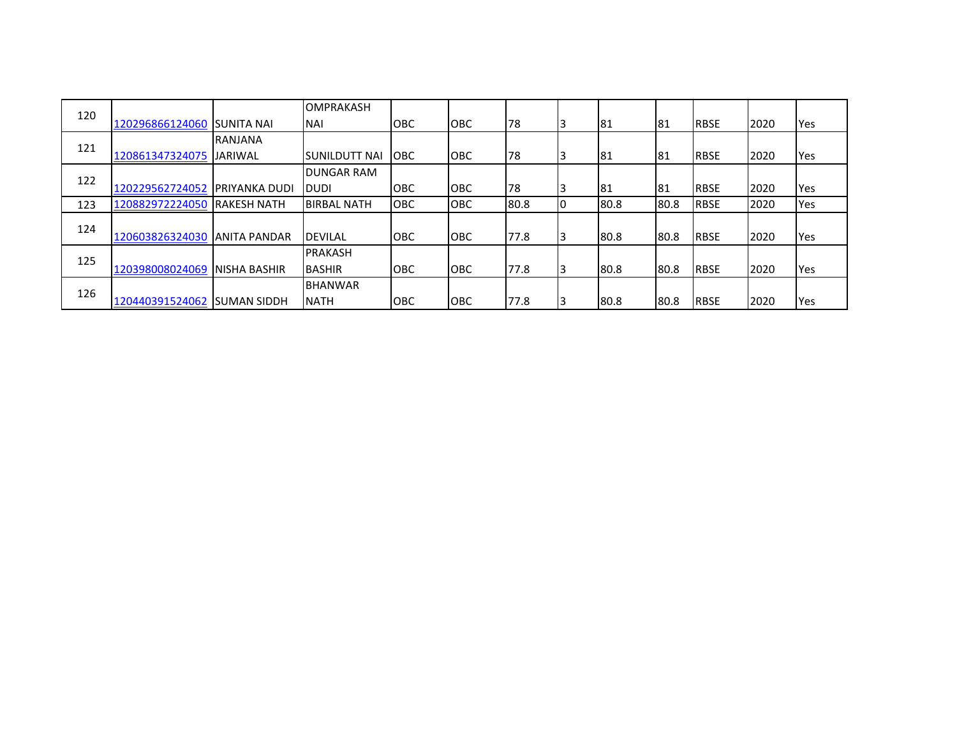| 120 |                 |                      | <b>OMPRAKASH</b>   |            |            |      |    |      |      |             |      |            |
|-----|-----------------|----------------------|--------------------|------------|------------|------|----|------|------|-------------|------|------------|
|     | 120296866124060 | <b>SUNITA NAI</b>    | <b>NAI</b>         | <b>OBC</b> | <b>OBC</b> | 178  |    | 181  | 81   | <b>RBSE</b> | 2020 | Yes        |
| 121 |                 | <b>RANJANA</b>       |                    |            |            |      |    |      |      |             |      |            |
|     | 120861347324075 | <b>JARIWAL</b>       | ISUNILDUTT NAI     | <b>OBC</b> | <b>OBC</b> | 178  |    | 181  | 81   | <b>RBSE</b> | 2020 | Yes        |
| 122 |                 |                      | <b>DUNGAR RAM</b>  |            |            |      |    |      |      |             |      |            |
|     | 120229562724052 | <b>PRIYANKA DUDI</b> | <b>DUDI</b>        | <b>OBC</b> | <b>OBC</b> | 178  |    | 181  | 81   | <b>RBSE</b> | 2020 | <b>Yes</b> |
| 123 | 120882972224050 | <b>RAKESH NATH</b>   | <b>BIRBAL NATH</b> | <b>OBC</b> | <b>OBC</b> | 80.8 | 10 | 80.8 | 80.8 | <b>RBSE</b> | 2020 | Yes        |
| 124 |                 |                      |                    |            |            |      |    |      |      |             |      |            |
|     | 120603826324030 | <b>JANITA PANDAR</b> | <b>DEVILAL</b>     | <b>OBC</b> | <b>OBC</b> | 77.8 |    | 80.8 | 80.8 | <b>RBSE</b> | 2020 | Yes        |
| 125 |                 |                      | <b>PRAKASH</b>     |            |            |      |    |      |      |             |      |            |
|     | 120398008024069 | <b>NISHA BASHIR</b>  | <b>BASHIR</b>      | <b>OBC</b> | <b>OBC</b> | 77.8 |    | 80.8 | 80.8 | <b>RBSE</b> | 2020 | <b>Yes</b> |
| 126 |                 |                      | <b>BHANWAR</b>     |            |            |      |    |      |      |             |      |            |
|     | 120440391524062 | <b>SUMAN SIDDH</b>   | <b>NATH</b>        | <b>OBC</b> | <b>OBC</b> | 77.8 |    | 80.8 | 80.8 | <b>RBSE</b> | 2020 | <b>Yes</b> |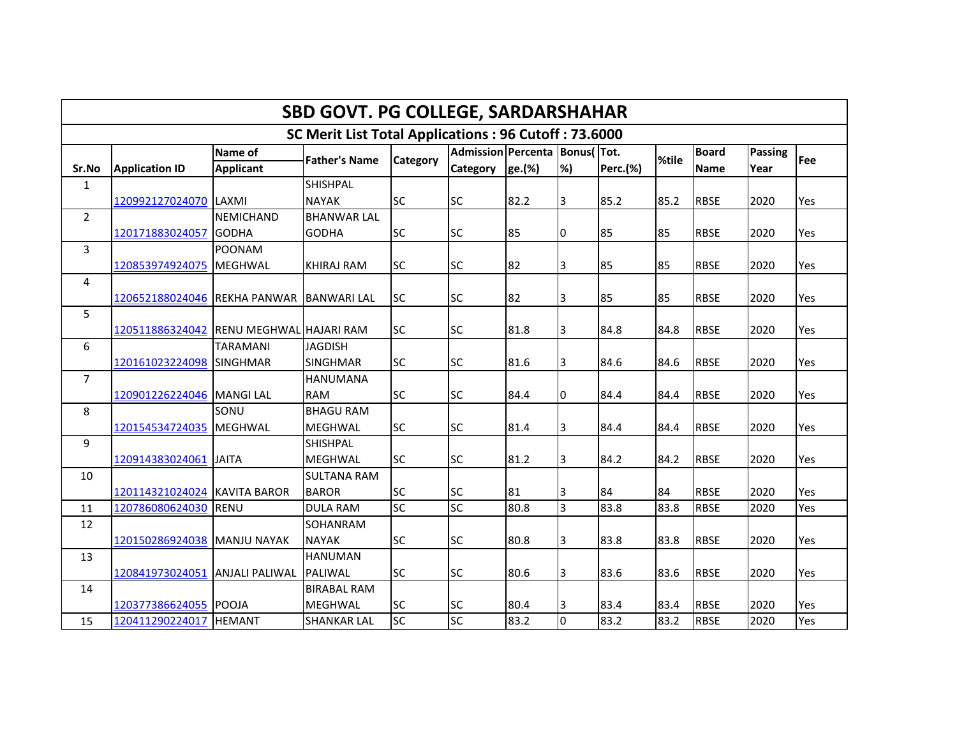|                | <b>SBD GOVT. PG COLLEGE, SARDARSHAHAR</b>            |                                  |                                    |                 |                                                     |        |                |                 |       |                             |                        |     |  |  |
|----------------|------------------------------------------------------|----------------------------------|------------------------------------|-----------------|-----------------------------------------------------|--------|----------------|-----------------|-------|-----------------------------|------------------------|-----|--|--|
|                | SC Merit List Total Applications: 96 Cutoff: 73.6000 |                                  |                                    |                 |                                                     |        |                |                 |       |                             |                        |     |  |  |
| Sr.No          | <b>Application ID</b>                                | Name of<br><b>Applicant</b>      | <b>Father's Name</b>               | <b>Category</b> | Admission Percenta   Bonus( Tot.<br><b>Category</b> | ge.(%) | %)             | <b>Perc.(%)</b> | %tile | <b>Board</b><br><b>Name</b> | <b>Passing</b><br>Year | Fee |  |  |
| $\mathbf{1}$   |                                                      |                                  | <b>SHISHPAL</b>                    |                 |                                                     |        |                |                 |       |                             |                        |     |  |  |
|                | 120992127024070                                      | LAXMI                            | <b>NAYAK</b>                       | <b>SC</b>       | <b>SC</b>                                           | 82.2   | 3              | 85.2            | 85.2  | <b>RBSE</b>                 | 2020                   | Yes |  |  |
| $\overline{2}$ | 120171883024057                                      | <b>NEMICHAND</b><br><b>GODHA</b> | <b>BHANWAR LAL</b><br><b>GODHA</b> | <b>SC</b>       | <b>SC</b>                                           | 85     | 10             | 85              | 85    | <b>RBSE</b>                 | 2020                   | Yes |  |  |
| 3              | 120853974924075                                      | <b>POONAM</b><br><b>MEGHWAL</b>  | <b>KHIRAJ RAM</b>                  | <b>SC</b>       | <b>SC</b>                                           | 82     | 3              | 85              | 85    | <b>RBSE</b>                 | 2020                   | Yes |  |  |
| 4              | 120652188024046 REKHA PANWAR                         |                                  | <b>BANWARI LAL</b>                 | <b>SC</b>       | <b>SC</b>                                           | 82     | 3              | 85              | 85    | <b>RBSE</b>                 | 2020                   | Yes |  |  |
| 5              | 120511886324042 RENU MEGHWAL HAJARI RAM              |                                  |                                    | <b>SC</b>       | <b>SC</b>                                           | 81.8   | 3              | 84.8            | 84.8  | <b>RBSE</b>                 | 2020                   | Yes |  |  |
| 6              | 120161023224098 SINGHMAR                             | <b>TARAMANI</b>                  | <b>JAGDISH</b><br><b>SINGHMAR</b>  | <b>SC</b>       | <b>SC</b>                                           | 81.6   | 3              | 84.6            | 84.6  | <b>RBSE</b>                 | 2020                   | Yes |  |  |
| $\overline{7}$ | 120901226224046 MANGI LAL                            |                                  | <b>HANUMANA</b><br><b>RAM</b>      | <b>SC</b>       | <b>SC</b>                                           | 84.4   | 0              | 84.4            | 84.4  | <b>RBSE</b>                 | 2020                   | Yes |  |  |
| 8              | 120154534724035                                      | SONU<br><b>MEGHWAL</b>           | <b>BHAGU RAM</b><br><b>MEGHWAL</b> | <b>SC</b>       | <b>SC</b>                                           | 81.4   | 3              | 84.4            | 84.4  | <b>RBSE</b>                 | 2020                   | Yes |  |  |
| 9              | 120914383024061                                      | <b>JAITA</b>                     | <b>SHISHPAL</b><br><b>IMEGHWAL</b> | <b>SC</b>       | <b>SC</b>                                           | 81.2   | 3              | 84.2            | 84.2  | <b>RBSE</b>                 | 2020                   | Yes |  |  |
| 10             | 120114321024024 KAVITA BAROR                         |                                  | <b>SULTANA RAM</b><br><b>BAROR</b> | <b>SC</b>       | <b>SC</b>                                           | 81     | 3              | 84              | 84    | <b>RBSE</b>                 | 2020                   | Yes |  |  |
| 11             | 120786080624030                                      | <b>RENU</b>                      | <b>DULA RAM</b>                    | <b>SC</b>       | SC                                                  | 80.8   | $\overline{3}$ | 83.8            | 83.8  | <b>RBSE</b>                 | 2020                   | Yes |  |  |
| 12             | 120150286924038 MANJU NAYAK                          |                                  | SOHANRAM<br><b>NAYAK</b>           | <b>SC</b>       | <b>SC</b>                                           | 80.8   | 3              | 83.8            | 83.8  | <b>RBSE</b>                 | 2020                   | Yes |  |  |
| 13             | 120841973024051 ANJALI PALIWAL                       |                                  | <b>HANUMAN</b><br><b>PALIWAL</b>   | <b>SC</b>       | <b>SC</b>                                           | 80.6   | 3              | 83.6            | 83.6  | <b>RBSE</b>                 | 2020                   | Yes |  |  |
| 14             |                                                      |                                  | <b>BIRABAL RAM</b>                 |                 |                                                     |        |                |                 |       |                             |                        |     |  |  |
|                | 120377386624055 POOJA                                |                                  | <b>MEGHWAL</b>                     | <b>SC</b>       | <b>SC</b>                                           | 80.4   | 3              | 83.4            | 83.4  | <b>RBSE</b>                 | 2020                   | Yes |  |  |
| 15             | 120411290224017 HEMANT                               |                                  | <b>SHANKAR LAL</b>                 | <b>SC</b>       | SC                                                  | 83.2   | $\overline{0}$ | 83.2            | 83.2  | <b>RBSE</b>                 | 2020                   | Yes |  |  |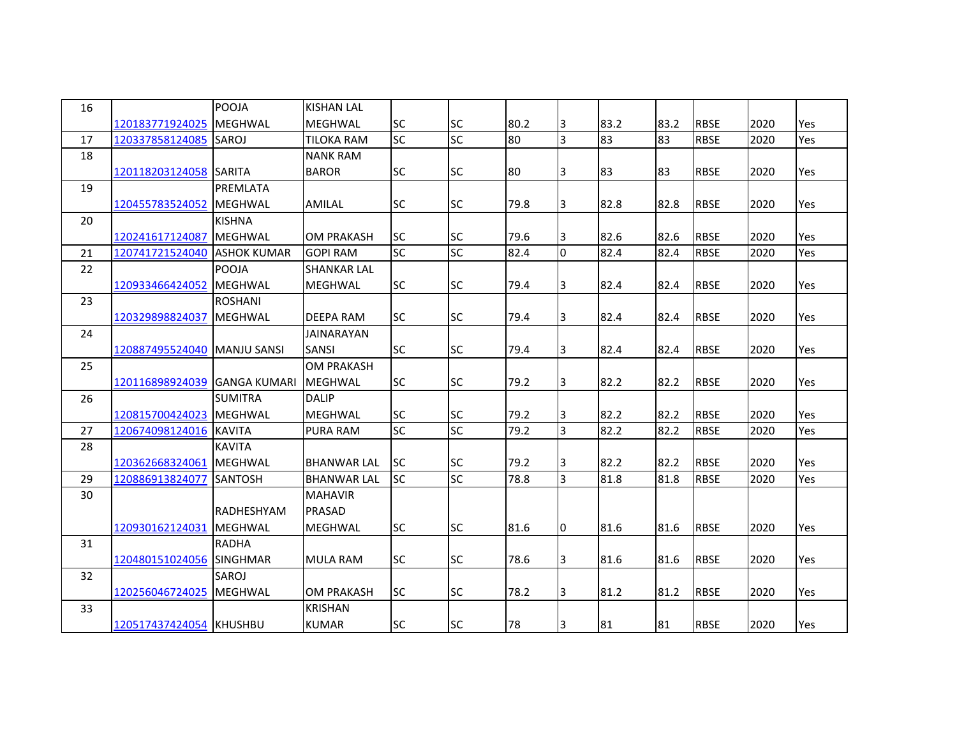| 16 |                              | POOJA             | <b>KISHAN LAL</b>  |           |           |      |                |      |      |             |      |            |
|----|------------------------------|-------------------|--------------------|-----------|-----------|------|----------------|------|------|-------------|------|------------|
|    | 120183771924025              | <b>MEGHWAL</b>    | <b>MEGHWAL</b>     | <b>SC</b> | <b>SC</b> | 80.2 | 3              | 83.2 | 83.2 | <b>RBSE</b> | 2020 | <b>Yes</b> |
| 17 | 120337858124085              | SAROJ             | <b>TILOKA RAM</b>  | <b>SC</b> | SC        | 80   | $\overline{3}$ | 83   | 83   | <b>RBSE</b> | 2020 | Yes        |
| 18 |                              |                   | <b>NANK RAM</b>    |           |           |      |                |      |      |             |      |            |
|    | 120118203124058 SARITA       |                   | <b>BAROR</b>       | <b>SC</b> | <b>SC</b> | 80   | 3              | 83   | 83   | <b>RBSE</b> | 2020 | Yes        |
| 19 |                              | PREMLATA          |                    |           |           |      |                |      |      |             |      |            |
|    | 120455783524052 MEGHWAL      |                   | <b>AMILAL</b>      | <b>SC</b> | <b>SC</b> | 79.8 | 3              | 82.8 | 82.8 | <b>RBSE</b> | 2020 | Yes        |
| 20 |                              | <b>KISHNA</b>     |                    |           |           |      |                |      |      |             |      |            |
|    | 120241617124087              | <b>MEGHWAL</b>    | <b>OM PRAKASH</b>  | <b>SC</b> | <b>SC</b> | 79.6 | IЗ             | 82.6 | 82.6 | <b>RBSE</b> | 2020 | Yes        |
| 21 | 120741721524040 ASHOK KUMAR  |                   | <b>GOPI RAM</b>    | <b>SC</b> | <b>SC</b> | 82.4 | $\overline{0}$ | 82.4 | 82.4 | <b>RBSE</b> | 2020 | Yes        |
| 22 |                              | POOJA             | <b>SHANKAR LAL</b> |           |           |      |                |      |      |             |      |            |
|    | 120933466424052              | <b>MEGHWAL</b>    | <b>MEGHWAL</b>     | <b>SC</b> | <b>SC</b> | 79.4 | 3              | 82.4 | 82.4 | <b>RBSE</b> | 2020 | <b>Yes</b> |
| 23 |                              | <b>ROSHANI</b>    |                    |           |           |      |                |      |      |             |      |            |
|    | 120329898824037              | <b>MEGHWAL</b>    | <b>DEEPA RAM</b>   | <b>SC</b> | <b>SC</b> | 79.4 | $\overline{3}$ | 82.4 | 82.4 | <b>RBSE</b> | 2020 | Yes        |
| 24 |                              |                   | <b>JAINARAYAN</b>  |           |           |      |                |      |      |             |      |            |
|    | 120887495524040 MANJU SANSI  |                   | SANSI              | <b>SC</b> | <b>SC</b> | 79.4 | 3              | 82.4 | 82.4 | <b>RBSE</b> | 2020 | Yes        |
| 25 |                              |                   | <b>OM PRAKASH</b>  |           |           |      |                |      |      |             |      |            |
|    | 120116898924039 GANGA KUMARI |                   | <b>MEGHWAL</b>     | <b>SC</b> | <b>SC</b> | 79.2 | 3              | 82.2 | 82.2 | <b>RBSE</b> | 2020 | Yes        |
| 26 |                              | <b>SUMITRA</b>    | <b>DALIP</b>       |           |           |      |                |      |      |             |      |            |
|    | 120815700424023 MEGHWAL      |                   | <b>MEGHWAL</b>     | <b>SC</b> | <b>SC</b> | 79.2 | 3              | 82.2 | 82.2 | <b>RBSE</b> | 2020 | Yes        |
| 27 | 120674098124016 KAVITA       |                   | PURA RAM           | <b>SC</b> | <b>SC</b> | 79.2 | $\overline{3}$ | 82.2 | 82.2 | <b>RBSE</b> | 2020 | Yes        |
| 28 |                              | <b>KAVITA</b>     |                    |           |           |      |                |      |      |             |      |            |
|    | 120362668324061              | <b>MEGHWAL</b>    | <b>BHANWAR LAL</b> | <b>SC</b> | <b>SC</b> | 79.2 | 3              | 82.2 | 82.2 | <b>RBSE</b> | 2020 | Yes        |
| 29 | 120886913824077              | <b>SANTOSH</b>    | <b>BHANWAR LAL</b> | <b>SC</b> | <b>SC</b> | 78.8 | $\overline{3}$ | 81.8 | 81.8 | <b>RBSE</b> | 2020 | Yes        |
| 30 |                              |                   | <b>MAHAVIR</b>     |           |           |      |                |      |      |             |      |            |
|    |                              | <b>RADHESHYAM</b> | PRASAD             |           |           |      |                |      |      |             |      |            |
|    | 120930162124031              | <b>MEGHWAL</b>    | <b>MEGHWAL</b>     | <b>SC</b> | <b>SC</b> | 81.6 | 0              | 81.6 | 81.6 | <b>RBSE</b> | 2020 | <b>Yes</b> |
| 31 |                              | <b>RADHA</b>      |                    |           |           |      |                |      |      |             |      |            |
|    | 120480151024056 SINGHMAR     |                   | <b>MULA RAM</b>    | <b>SC</b> | <b>SC</b> | 78.6 | 3              | 81.6 | 81.6 | <b>RBSE</b> | 2020 | Yes        |
| 32 |                              | SAROJ             |                    |           |           |      |                |      |      |             |      |            |
|    | 120256046724025 MEGHWAL      |                   | <b>OM PRAKASH</b>  | <b>SC</b> | <b>SC</b> | 78.2 | 3              | 81.2 | 81.2 | <b>RBSE</b> | 2020 | Yes        |
| 33 |                              |                   | <b>KRISHAN</b>     |           |           |      |                |      |      |             |      |            |
|    | 120517437424054 KHUSHBU      |                   | <b>KUMAR</b>       | <b>SC</b> | <b>SC</b> | 78   | 3              | 81   | 81   | <b>RBSE</b> | 2020 | Yes        |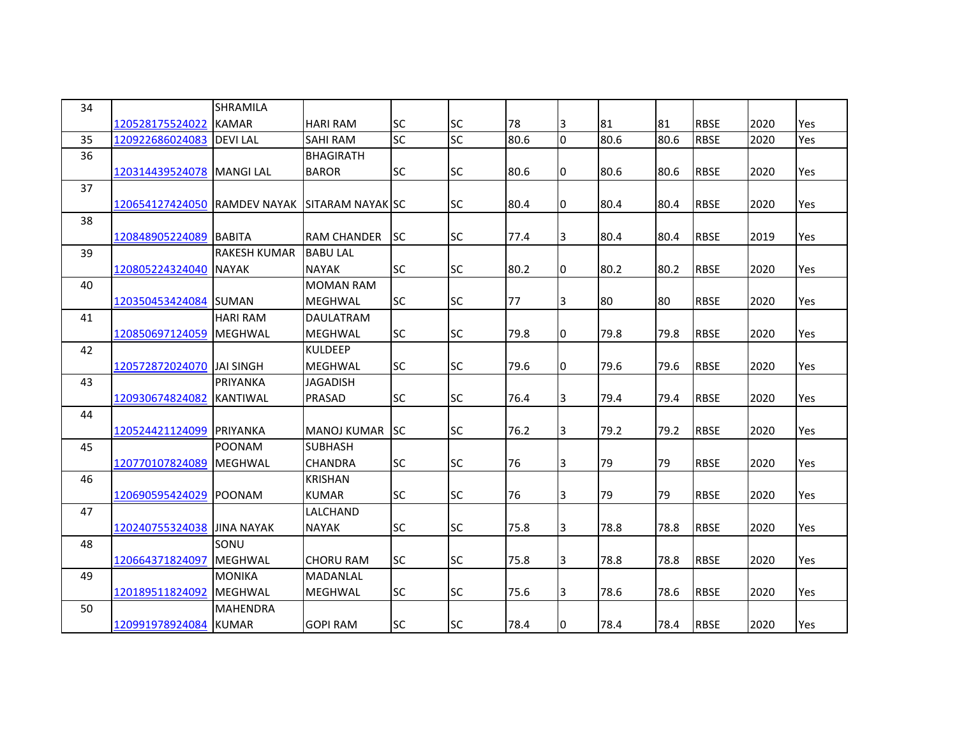| 34 |                                               | SHRAMILA            |                    |           |                 |      |    |      |      |             |      |     |
|----|-----------------------------------------------|---------------------|--------------------|-----------|-----------------|------|----|------|------|-------------|------|-----|
|    | 120528175524022                               | <b>KAMAR</b>        | <b>HARI RAM</b>    | <b>SC</b> | <b>SC</b>       | 78   | 3  | 81   | 81   | <b>RBSE</b> | 2020 | Yes |
| 35 | 120922686024083                               | <b>DEVILAL</b>      | <b>SAHI RAM</b>    | <b>SC</b> | $\overline{SC}$ | 80.6 | l0 | 80.6 | 80.6 | <b>RBSE</b> | 2020 | Yes |
| 36 |                                               |                     | <b>BHAGIRATH</b>   |           |                 |      |    |      |      |             |      |     |
|    | 120314439524078   MANGI LAL                   |                     | <b>BAROR</b>       | <b>SC</b> | <b>SC</b>       | 80.6 | 0  | 80.6 | 80.6 | <b>RBSE</b> | 2020 | Yes |
| 37 |                                               |                     |                    |           |                 |      |    |      |      |             |      |     |
|    | 120654127424050 RAMDEV NAYAK SITARAM NAYAK SC |                     |                    |           | <b>SC</b>       | 80.4 | I0 | 80.4 | 80.4 | <b>RBSE</b> | 2020 | Yes |
| 38 |                                               |                     |                    |           |                 |      |    |      |      |             |      |     |
|    | 120848905224089 BABITA                        |                     | <b>RAM CHANDER</b> | lsc.      | <b>SC</b>       | 77.4 | 3  | 80.4 | 80.4 | <b>RBSE</b> | 2019 | Yes |
| 39 |                                               | <b>RAKESH KUMAR</b> | <b>BABU LAL</b>    |           |                 |      |    |      |      |             |      |     |
|    | 120805224324040 NAYAK                         |                     | <b>NAYAK</b>       | <b>SC</b> | <b>SC</b>       | 80.2 | 10 | 80.2 | 80.2 | <b>RBSE</b> | 2020 | Yes |
| 40 |                                               |                     | <b>MOMAN RAM</b>   |           |                 |      |    |      |      |             |      |     |
|    | 120350453424084 SUMAN                         |                     | <b>MEGHWAL</b>     | <b>SC</b> | <b>SC</b>       | 77   | 3  | 80   | 80   | <b>RBSE</b> | 2020 | Yes |
| 41 |                                               | <b>HARI RAM</b>     | DAULATRAM          |           |                 |      |    |      |      |             |      |     |
|    | 120850697124059 MEGHWAL                       |                     | <b>MEGHWAL</b>     | <b>SC</b> | <b>SC</b>       | 79.8 | 10 | 79.8 | 79.8 | <b>RBSE</b> | 2020 | Yes |
| 42 |                                               |                     | <b>KULDEEP</b>     |           |                 |      |    |      |      |             |      |     |
|    | 120572872024070 JJAI SINGH                    |                     | <b>MEGHWAL</b>     | <b>SC</b> | <b>SC</b>       | 79.6 | 10 | 79.6 | 79.6 | <b>RBSE</b> | 2020 | Yes |
| 43 |                                               | <b>PRIYANKA</b>     | <b>JAGADISH</b>    |           |                 |      |    |      |      |             |      |     |
|    | 120930674824082                               | <b>KANTIWAL</b>     | PRASAD             | <b>SC</b> | <b>SC</b>       | 76.4 | 3  | 79.4 | 79.4 | <b>RBSE</b> | 2020 | Yes |
| 44 |                                               |                     |                    |           |                 |      |    |      |      |             |      |     |
|    | 120524421124099 PRIYANKA                      |                     | <b>MANOJ KUMAR</b> | <b>SC</b> | <b>SC</b>       | 76.2 | 3  | 79.2 | 79.2 | <b>RBSE</b> | 2020 | Yes |
| 45 |                                               | <b>POONAM</b>       | <b>SUBHASH</b>     |           |                 |      |    |      |      |             |      |     |
|    | 120770107824089 MEGHWAL                       |                     | CHANDRA            | <b>SC</b> | <b>SC</b>       | 76   | 3  | 79   | 79   | <b>RBSE</b> | 2020 | Yes |
| 46 |                                               |                     | <b>KRISHAN</b>     |           |                 |      |    |      |      |             |      |     |
|    | 120690595424029 POONAM                        |                     | <b>KUMAR</b>       | <b>SC</b> | <b>SC</b>       | 76   | 3  | 79   | 79   | <b>RBSE</b> | 2020 | Yes |
| 47 |                                               |                     | LALCHAND           |           |                 |      |    |      |      |             |      |     |
|    | 120240755324038 JINA NAYAK                    |                     | <b>NAYAK</b>       | <b>SC</b> | <b>SC</b>       | 75.8 | 3  | 78.8 | 78.8 | <b>RBSE</b> | 2020 | Yes |
| 48 |                                               | SONU                |                    |           |                 |      |    |      |      |             |      |     |
|    | 120664371824097                               | <b>MEGHWAL</b>      | <b>CHORU RAM</b>   | SC        | <b>SC</b>       | 75.8 | 3  | 78.8 | 78.8 | <b>RBSE</b> | 2020 | Yes |
| 49 |                                               | <b>MONIKA</b>       | <b>MADANLAL</b>    |           |                 |      |    |      |      |             |      |     |
|    | 120189511824092                               | <b>MEGHWAL</b>      | MEGHWAL            | <b>SC</b> | <b>SC</b>       | 75.6 | 3  | 78.6 | 78.6 | <b>RBSE</b> | 2020 | Yes |
| 50 |                                               | <b>MAHENDRA</b>     |                    |           |                 |      |    |      |      |             |      |     |
|    | 120991978924084 KUMAR                         |                     | <b>GOPI RAM</b>    | SC        | <b>SC</b>       | 78.4 | 10 | 78.4 | 78.4 | <b>RBSE</b> | 2020 | Yes |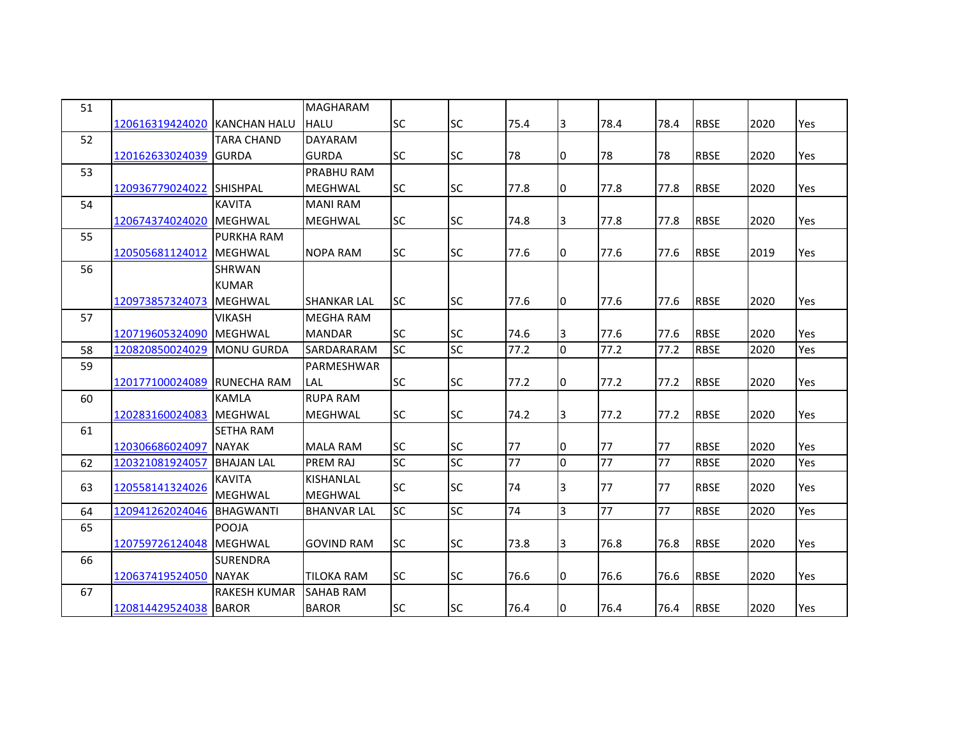| 51 |                              |                     | <b>MAGHARAM</b>    |           |           |      |                |      |      |             |      |     |
|----|------------------------------|---------------------|--------------------|-----------|-----------|------|----------------|------|------|-------------|------|-----|
|    | 120616319424020 KANCHAN HALU |                     | <b>HALU</b>        | <b>SC</b> | <b>SC</b> | 75.4 | 3              | 78.4 | 78.4 | <b>RBSE</b> | 2020 | Yes |
| 52 |                              | <b>TARA CHAND</b>   | <b>DAYARAM</b>     |           |           |      |                |      |      |             |      |     |
|    | 120162633024039 GURDA        |                     | <b>GURDA</b>       | <b>SC</b> | <b>SC</b> | 78   | 0              | 78   | 78   | <b>RBSE</b> | 2020 | Yes |
| 53 |                              |                     | PRABHU RAM         |           |           |      |                |      |      |             |      |     |
|    | 120936779024022 SHISHPAL     |                     | <b>MEGHWAL</b>     | <b>SC</b> | <b>SC</b> | 77.8 | 10             | 77.8 | 77.8 | <b>RBSE</b> | 2020 | Yes |
| 54 |                              | <b>KAVITA</b>       | <b>MANI RAM</b>    |           |           |      |                |      |      |             |      |     |
|    | 120674374024020 MEGHWAL      |                     | <b>MEGHWAL</b>     | <b>SC</b> | <b>SC</b> | 74.8 | 3              | 77.8 | 77.8 | <b>RBSE</b> | 2020 | Yes |
| 55 |                              | <b>PURKHA RAM</b>   |                    |           |           |      |                |      |      |             |      |     |
|    | 120505681124012              | <b>MEGHWAL</b>      | <b>NOPA RAM</b>    | <b>SC</b> | <b>SC</b> | 77.6 | 10             | 77.6 | 77.6 | <b>RBSE</b> | 2019 | Yes |
| 56 |                              | <b>SHRWAN</b>       |                    |           |           |      |                |      |      |             |      |     |
|    |                              | <b>KUMAR</b>        |                    |           |           |      |                |      |      |             |      |     |
|    | 120973857324073              | <b>MEGHWAL</b>      | <b>SHANKAR LAL</b> | <b>SC</b> | <b>SC</b> | 77.6 | 10             | 77.6 | 77.6 | <b>RBSE</b> | 2020 | Yes |
| 57 |                              | <b>VIKASH</b>       | <b>MEGHA RAM</b>   |           |           |      |                |      |      |             |      |     |
|    | 120719605324090 MEGHWAL      |                     | <b>MANDAR</b>      | <b>SC</b> | <b>SC</b> | 74.6 | 3              | 77.6 | 77.6 | <b>RBSE</b> | 2020 | Yes |
| 58 | 120820850024029              | <b>MONU GURDA</b>   | <b>SARDARARAM</b>  | <b>SC</b> | <b>SC</b> | 77.2 | 0              | 77.2 | 77.2 | <b>RBSE</b> | 2020 | Yes |
| 59 |                              |                     | PARMESHWAR         |           |           |      |                |      |      |             |      |     |
|    | 120177100024089 RUNECHA RAM  |                     | LAL                | <b>SC</b> | <b>SC</b> | 77.2 | I0             | 77.2 | 77.2 | <b>RBSE</b> | 2020 | Yes |
| 60 |                              | <b>KAMLA</b>        | <b>RUPA RAM</b>    |           |           |      |                |      |      |             |      |     |
|    | 120283160024083 MEGHWAL      |                     | <b>MEGHWAL</b>     | <b>SC</b> | <b>SC</b> | 74.2 | IЗ             | 77.2 | 77.2 | <b>RBSE</b> | 2020 | Yes |
| 61 |                              | <b>SETHA RAM</b>    |                    |           |           |      |                |      |      |             |      |     |
|    | 120306686024097              | <b>NAYAK</b>        | <b>MALA RAM</b>    | <b>SC</b> | <b>SC</b> | 77   | 10             | 77   | 77   | <b>RBSE</b> | 2020 | Yes |
| 62 | 120321081924057              | <b>BHAJAN LAL</b>   | <b>PREM RAJ</b>    | <b>SC</b> | SC        | 77   | lo             | 77   | 77   | <b>RBSE</b> | 2020 | Yes |
| 63 | 120558141324026              | <b>KAVITA</b>       | <b>KISHANLAL</b>   | <b>SC</b> | <b>SC</b> | 74   | 3              | 77   | 77   | <b>RBSE</b> | 2020 | Yes |
|    |                              | <b>MEGHWAL</b>      | <b>MEGHWAL</b>     |           |           |      |                |      |      |             |      |     |
| 64 | 120941262024046              | <b>BHAGWANTI</b>    | <b>BHANVAR LAL</b> | <b>SC</b> | <b>SC</b> | 74   | $\overline{3}$ | 77   | 77   | <b>RBSE</b> | 2020 | Yes |
| 65 |                              | <b>POOJA</b>        |                    |           |           |      |                |      |      |             |      |     |
|    | 120759726124048   MEGHWAL    |                     | <b>GOVIND RAM</b>  | <b>SC</b> | <b>SC</b> | 73.8 | 3              | 76.8 | 76.8 | <b>RBSE</b> | 2020 | Yes |
| 66 |                              | <b>SURENDRA</b>     |                    |           |           |      |                |      |      |             |      |     |
|    | 120637419524050 NAYAK        |                     | <b>TILOKA RAM</b>  | <b>SC</b> | <b>SC</b> | 76.6 | I0             | 76.6 | 76.6 | <b>RBSE</b> | 2020 | Yes |
| 67 |                              | <b>RAKESH KUMAR</b> | <b>SAHAB RAM</b>   |           |           |      |                |      |      |             |      |     |
|    | 120814429524038 BAROR        |                     | <b>BAROR</b>       | <b>SC</b> | <b>SC</b> | 76.4 | 10             | 76.4 | 76.4 | <b>RBSE</b> | 2020 | Yes |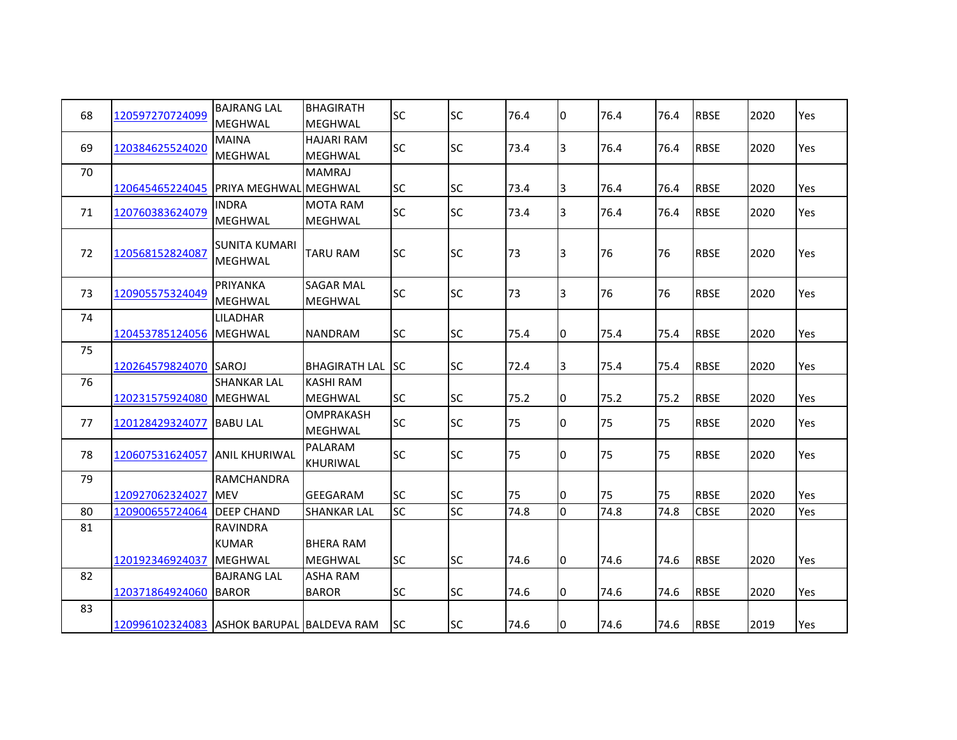| 68 | 120597270724099                           | <b>BAJRANG LAL</b>    | <b>BHAGIRATH</b>        | <b>SC</b> | <b>SC</b> | 76.4 | 0  | 76.4 | 76.4 | <b>RBSE</b> | 2020 | Yes        |
|----|-------------------------------------------|-----------------------|-------------------------|-----------|-----------|------|----|------|------|-------------|------|------------|
|    |                                           | <b>MEGHWAL</b>        | <b>MEGHWAL</b>          |           |           |      |    |      |      |             |      |            |
| 69 | 120384625524020                           | <b>MAINA</b>          | <b>HAJARI RAM</b>       | <b>SC</b> | <b>SC</b> | 73.4 | 3  | 76.4 | 76.4 | <b>RBSE</b> | 2020 | Yes        |
|    |                                           | MEGHWAL               | MEGHWAL                 |           |           |      |    |      |      |             |      |            |
| 70 |                                           |                       | <b>MAMRAJ</b>           |           |           |      |    |      |      |             |      |            |
|    | 120645465224045                           | PRIYA MEGHWAL MEGHWAL |                         | <b>SC</b> | <b>SC</b> | 73.4 | 3  | 76.4 | 76.4 | <b>RBSE</b> | 2020 | Yes        |
| 71 | 120760383624079                           | <b>INDRA</b>          | <b>MOTA RAM</b>         | <b>SC</b> | <b>SC</b> | 73.4 | 3  | 76.4 | 76.4 | <b>RBSE</b> | 2020 | Yes        |
|    |                                           | <b>MEGHWAL</b>        | MEGHWAL                 |           |           |      |    |      |      |             |      |            |
| 72 | 120568152824087                           | SUNITA KUMARI         | <b>TARU RAM</b>         | <b>SC</b> | <b>SC</b> | 73   | 3  | 76   | 76   | <b>RBSE</b> | 2020 | Yes        |
|    |                                           | <b>MEGHWAL</b>        |                         |           |           |      |    |      |      |             |      |            |
| 73 |                                           | <b>PRIYANKA</b>       | <b>SAGAR MAL</b>        | <b>SC</b> | <b>SC</b> | 73   | 3  | 76   |      | <b>RBSE</b> | 2020 | Yes        |
|    | 120905575324049                           | <b>MEGHWAL</b>        | <b>MEGHWAL</b>          |           |           |      |    |      | 76   |             |      |            |
| 74 |                                           | <b>LILADHAR</b>       |                         |           |           |      |    |      |      |             |      |            |
|    | 120453785124056                           | <b>MEGHWAL</b>        | <b>NANDRAM</b>          | <b>SC</b> | <b>SC</b> | 75.4 | 10 | 75.4 | 75.4 | <b>RBSE</b> | 2020 | Yes        |
| 75 |                                           |                       |                         |           |           |      |    |      |      |             |      |            |
|    | 120264579824070                           | <b>ISAROJ</b>         | <b>BHAGIRATH LAL SC</b> |           | <b>SC</b> | 72.4 | 3  | 75.4 | 75.4 | <b>RBSE</b> | 2020 | Yes        |
| 76 |                                           | <b>SHANKAR LAL</b>    | <b>KASHI RAM</b>        |           |           |      |    |      |      |             |      |            |
|    | 120231575924080                           | <b>MEGHWAL</b>        | <b>MEGHWAL</b>          | <b>SC</b> | <b>SC</b> | 75.2 | 10 | 75.2 | 75.2 | <b>RBSE</b> | 2020 | Yes        |
|    |                                           |                       | <b>OMPRAKASH</b>        |           |           |      |    |      |      |             |      |            |
| 77 | 120128429324077                           | <b>BABU LAL</b>       | <b>MEGHWAL</b>          | <b>SC</b> | <b>SC</b> | 75   | 0  | 75   | 75   | <b>RBSE</b> | 2020 | <b>Yes</b> |
| 78 | 120607531624057                           | <b>ANIL KHURIWAL</b>  | <b>PALARAM</b>          | <b>SC</b> | <b>SC</b> | 75   | 0  | 75   | 75   | <b>RBSE</b> | 2020 | Yes        |
|    |                                           |                       | KHURIWAL                |           |           |      |    |      |      |             |      |            |
| 79 |                                           | <b>RAMCHANDRA</b>     |                         |           |           |      |    |      |      |             |      |            |
|    | 120927062324027                           | <b>MEV</b>            | <b>GEEGARAM</b>         | <b>SC</b> | <b>SC</b> | 75   | 0  | 75   | 75   | <b>RBSE</b> | 2020 | Yes        |
| 80 | 120900655724064                           | <b>DEEP CHAND</b>     | <b>SHANKAR LAL</b>      | <b>SC</b> | <b>SC</b> | 74.8 | O  | 74.8 | 74.8 | <b>CBSE</b> | 2020 | Yes        |
| 81 |                                           | <b>RAVINDRA</b>       |                         |           |           |      |    |      |      |             |      |            |
|    |                                           | <b>KUMAR</b>          | <b>BHERA RAM</b>        |           |           |      |    |      |      |             |      |            |
|    | 120192346924037                           | <b>MEGHWAL</b>        | <b>MEGHWAL</b>          | <b>SC</b> | <b>SC</b> | 74.6 | l0 | 74.6 | 74.6 | <b>RBSE</b> | 2020 | Yes        |
| 82 |                                           | <b>BAJRANG LAL</b>    | <b>ASHA RAM</b>         |           |           |      |    |      |      |             |      |            |
|    | 120371864924060                           | <b>BAROR</b>          | <b>BAROR</b>            | <b>SC</b> | <b>SC</b> | 74.6 | 0  | 74.6 | 74.6 | <b>RBSE</b> | 2020 | Yes        |
| 83 |                                           |                       |                         |           |           |      |    |      |      |             |      |            |
|    | 120996102324083 ASHOK BARUPAL BALDEVA RAM |                       |                         | <b>SC</b> | <b>SC</b> | 74.6 | I0 | 74.6 | 74.6 | <b>RBSE</b> | 2019 | Yes        |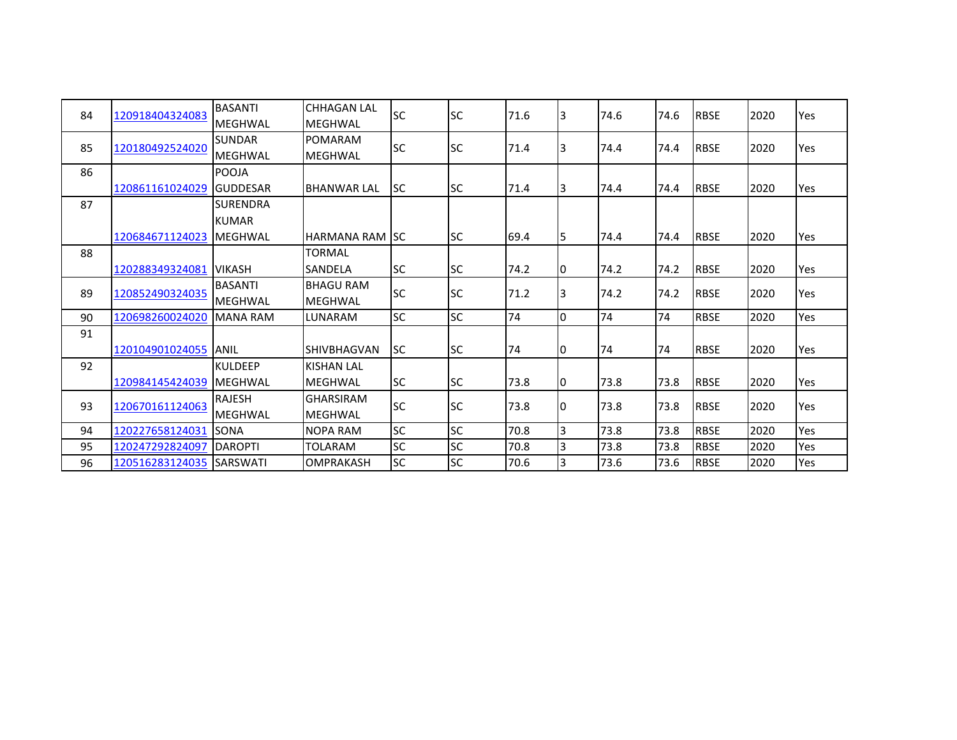| 84 | 120918404324083 | <b>BASANTI</b>  | <b>CHHAGAN LAL</b>     | <b>SC</b> | <b>SC</b>   | 71.6 | IЗ             | 74.6 | 74.6 | <b>RBSE</b> | 2020 | Yes |
|----|-----------------|-----------------|------------------------|-----------|-------------|------|----------------|------|------|-------------|------|-----|
|    |                 | <b>MEGHWAL</b>  | <b>MEGHWAL</b>         |           |             |      |                |      |      |             |      |     |
| 85 |                 | <b>SUNDAR</b>   | POMARAM                | <b>SC</b> | <b>SC</b>   | 71.4 |                | 74.4 | 74.4 | <b>RBSE</b> | 2020 |     |
|    | 120180492524020 | <b>MEGHWAL</b>  | <b>MEGHWAL</b>         |           |             |      | 3              |      |      |             |      | Yes |
| 86 |                 | POOJA           |                        |           |             |      |                |      |      |             |      |     |
|    | 120861161024029 | <b>GUDDESAR</b> | <b>BHANWAR LAL</b>     | lsc       | <b>SC</b>   | 71.4 | 3              | 74.4 | 74.4 | <b>RBSE</b> | 2020 | Yes |
| 87 |                 | <b>SURENDRA</b> |                        |           |             |      |                |      |      |             |      |     |
|    |                 | <b>KUMAR</b>    |                        |           |             |      |                |      |      |             |      |     |
|    | 120684671124023 | <b>IMEGHWAL</b> | <b>HARMANA RAM ISC</b> |           | <b>SC</b>   | 69.4 | 5              | 74.4 | 74.4 | <b>RBSE</b> | 2020 | Yes |
| 88 |                 |                 | <b>TORMAL</b>          |           |             |      |                |      |      |             |      |     |
|    | 120288349324081 | <b>VIKASH</b>   | SANDELA                | <b>SC</b> | <b>SC</b>   | 74.2 | 10             | 74.2 | 74.2 | <b>RBSE</b> | 2020 | Yes |
| 89 |                 | <b>BASANTI</b>  | <b>BHAGU RAM</b>       |           | <b>I</b> SC |      |                |      |      |             |      |     |
|    | 120852490324035 | <b>MEGHWAL</b>  | <b>MEGHWAL</b>         | <b>SC</b> |             | 71.2 | 3              | 74.2 | 74.2 | <b>RBSE</b> | 2020 | Yes |
| 90 | 120698260024020 | <b>MANA RAM</b> | LUNARAM                | <b>SC</b> | <b>SC</b>   | 74   | O              | 74   | 74   | <b>RBSE</b> | 2020 | Yes |
| 91 |                 |                 |                        |           |             |      |                |      |      |             |      |     |
|    | 120104901024055 | <b>ANIL</b>     | <b>SHIVBHAGVAN</b>     | lsc.      | <b>SC</b>   | 74   | 0              | 74   | 74   | <b>RBSE</b> | 2020 | Yes |
| 92 |                 | <b>KULDEEP</b>  | <b>KISHAN LAL</b>      |           |             |      |                |      |      |             |      |     |
|    | 120984145424039 | <b>MEGHWAL</b>  | <b>MEGHWAL</b>         | <b>SC</b> | <b>SC</b>   | 73.8 | I0             | 73.8 | 73.8 | <b>RBSE</b> | 2020 | Yes |
|    |                 | <b>RAJESH</b>   | <b>GHARSIRAM</b>       | <b>SC</b> | <b>SC</b>   |      |                |      | 73.8 | <b>RBSE</b> | 2020 |     |
| 93 | 120670161124063 | MEGHWAL         | <b>MEGHWAL</b>         |           |             | 73.8 | 0              | 73.8 |      |             |      | Yes |
| 94 | 120227658124031 | <b>SONA</b>     | <b>NOPA RAM</b>        | <b>SC</b> | <b>SC</b>   | 70.8 | $\overline{3}$ | 73.8 | 73.8 | <b>RBSE</b> | 2020 | Yes |
| 95 | 120247292824097 | <b>DAROPTI</b>  | <b>TOLARAM</b>         | <b>SC</b> | <b>SC</b>   | 70.8 | $\overline{3}$ | 73.8 | 73.8 | <b>RBSE</b> | 2020 | Yes |
| 96 | 120516283124035 | <b>SARSWATI</b> | <b>OMPRAKASH</b>       | <b>SC</b> | <b>SC</b>   | 70.6 | 3              | 73.6 | 73.6 | <b>RBSE</b> | 2020 | Yes |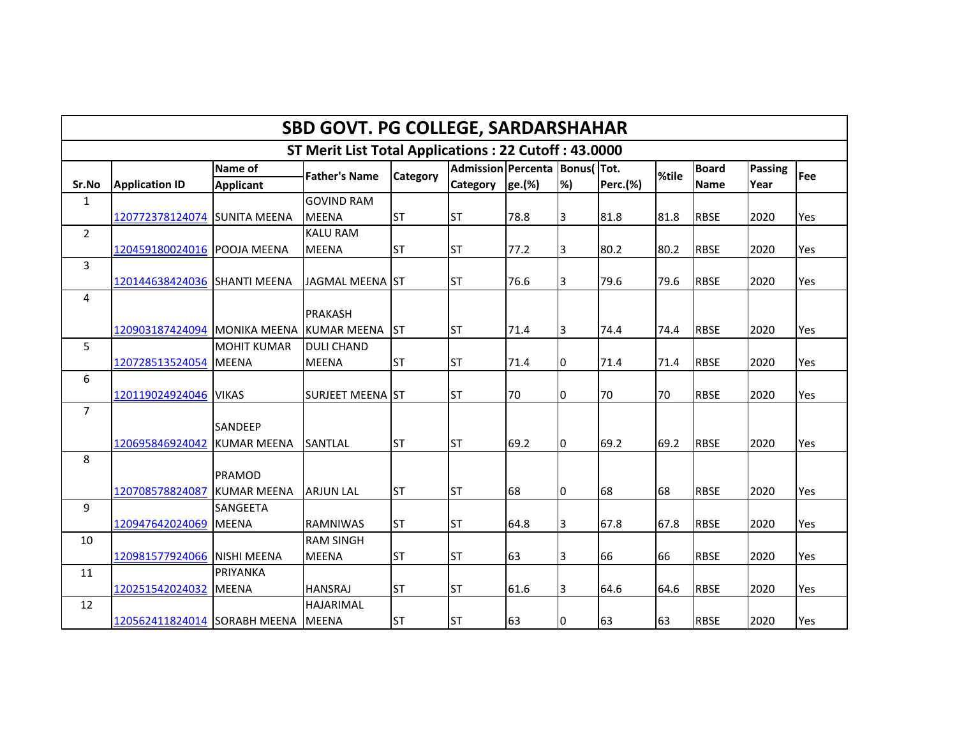|                                                      | <b>SBD GOVT. PG COLLEGE, SARDARSHAHAR</b> |                    |                         |           |                           |        |                    |                 |       |              |         |     |  |  |
|------------------------------------------------------|-------------------------------------------|--------------------|-------------------------|-----------|---------------------------|--------|--------------------|-----------------|-------|--------------|---------|-----|--|--|
| ST Merit List Total Applications: 22 Cutoff: 43.0000 |                                           |                    |                         |           |                           |        |                    |                 |       |              |         |     |  |  |
|                                                      |                                           | Name of            | <b>Father's Name</b>    | Category  | <b>Admission Percenta</b> |        | <b>Bonus</b> (Tot. |                 | %tile | <b>Board</b> | Passing | Fee |  |  |
| Sr.No                                                | <b>Application ID</b>                     | <b>Applicant</b>   |                         |           | <b>Category</b>           | ge.(%) | %)                 | <b>Perc.(%)</b> |       | <b>Name</b>  | Year    |     |  |  |
| $\mathbf 1$                                          |                                           |                    | <b>GOVIND RAM</b>       |           |                           |        |                    |                 |       |              |         |     |  |  |
|                                                      | 120772378124074 SUNITA MEENA              |                    | <b>MEENA</b>            | <b>ST</b> | <b>ST</b>                 | 78.8   | 3                  | 81.8            | 81.8  | <b>RBSE</b>  | 2020    | Yes |  |  |
| $\overline{2}$                                       |                                           |                    | <b>KALU RAM</b>         |           |                           |        |                    |                 |       |              |         |     |  |  |
|                                                      | 120459180024016 POOJA MEENA               |                    | <b>MEENA</b>            | <b>ST</b> | <b>ST</b>                 | 77.2   | 3                  | 80.2            | 80.2  | <b>RBSE</b>  | 2020    | Yes |  |  |
| $\mathbf{3}$                                         |                                           |                    |                         |           |                           |        |                    |                 |       |              |         |     |  |  |
|                                                      | 120144638424036 SHANTI MEENA              |                    | JAGMAL MEENA ST         |           | <b>ST</b>                 | 76.6   | $\overline{3}$     | 79.6            | 79.6  | <b>RBSE</b>  | 2020    | Yes |  |  |
| 4                                                    |                                           |                    |                         |           |                           |        |                    |                 |       |              |         |     |  |  |
|                                                      |                                           |                    | <b>PRAKASH</b>          |           |                           |        |                    |                 |       |              |         |     |  |  |
|                                                      | 120903187424094 MONIKA MEENA KUMAR MEENA  |                    |                         | <b>ST</b> | <b>ST</b>                 | 71.4   | 3                  | 74.4            | 74.4  | <b>RBSE</b>  | 2020    | Yes |  |  |
| 5                                                    |                                           | <b>MOHIT KUMAR</b> | <b>DULI CHAND</b>       |           |                           |        |                    |                 |       |              |         |     |  |  |
|                                                      | 120728513524054 MEENA                     |                    | <b>MEENA</b>            | <b>ST</b> | <b>ST</b>                 | 71.4   | 0                  | 71.4            | 71.4  | <b>RBSE</b>  | 2020    | Yes |  |  |
| 6                                                    |                                           |                    |                         |           |                           |        |                    |                 |       |              |         |     |  |  |
|                                                      | 120119024924046 VIKAS                     |                    | <b>SURJEET MEENA ST</b> |           | <b>ST</b>                 | 70     | I0                 | 70              | 70    | <b>RBSE</b>  | 2020    | Yes |  |  |
| $\overline{7}$                                       |                                           |                    |                         |           |                           |        |                    |                 |       |              |         |     |  |  |
|                                                      |                                           | <b>SANDEEP</b>     |                         |           |                           |        |                    |                 |       |              |         |     |  |  |
|                                                      | 120695846924042                           | <b>KUMAR MEENA</b> | <b>SANTLAL</b>          | <b>ST</b> | <b>ST</b>                 | 69.2   | I0                 | 69.2            | 69.2  | <b>RBSE</b>  | 2020    | Yes |  |  |
| 8                                                    |                                           |                    |                         |           |                           |        |                    |                 |       |              |         |     |  |  |
|                                                      |                                           | PRAMOD             |                         |           |                           |        |                    |                 |       |              |         |     |  |  |
|                                                      | 120708578824087                           | <b>KUMAR MEENA</b> | <b>ARJUN LAL</b>        | <b>ST</b> | <b>ST</b>                 | 68     | 10                 | 68              | 68    | <b>RBSE</b>  | 2020    | Yes |  |  |
| 9                                                    |                                           | SANGEETA           |                         |           |                           |        |                    |                 |       |              |         |     |  |  |
|                                                      | 120947642024069 MEENA                     |                    | <b>RAMNIWAS</b>         | <b>ST</b> | <b>ST</b>                 | 64.8   | 3                  | 67.8            | 67.8  | <b>RBSE</b>  | 2020    | Yes |  |  |
| 10                                                   |                                           |                    | <b>RAM SINGH</b>        |           |                           |        |                    |                 |       |              |         |     |  |  |
|                                                      | 120981577924066 NISHI MEENA               |                    | <b>MEENA</b>            | <b>ST</b> | <b>ST</b>                 | 63     | 3                  | 66              | 66    | <b>RBSE</b>  | 2020    | Yes |  |  |
| 11                                                   |                                           | PRIYANKA           |                         |           |                           |        |                    |                 |       |              |         |     |  |  |
|                                                      | 120251542024032 MEENA                     |                    | <b>HANSRAJ</b>          | <b>ST</b> | <b>ST</b>                 | 61.6   | 3                  | 64.6            | 64.6  | <b>RBSE</b>  | 2020    | Yes |  |  |
| 12                                                   |                                           |                    | <b>HAJARIMAL</b>        |           |                           |        |                    |                 |       |              |         |     |  |  |
|                                                      | 120562411824014 SORABH MEENA              |                    | <b>MEENA</b>            | <b>ST</b> | <b>ST</b>                 | 63     | 0                  | 63              | 63    | <b>RBSE</b>  | 2020    | Yes |  |  |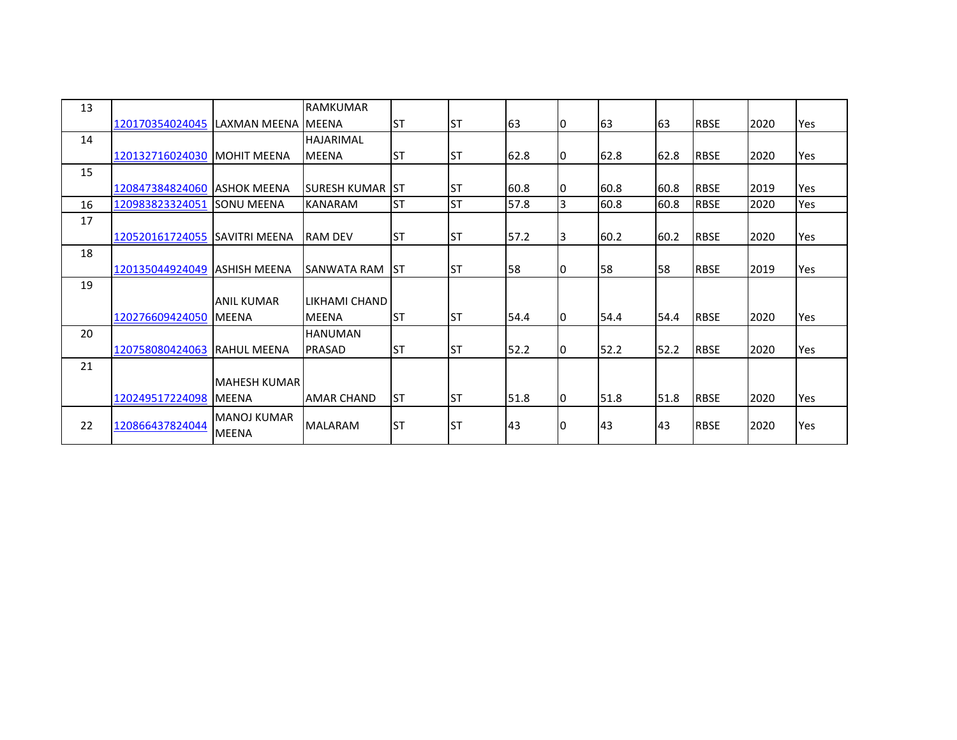| 13 |                                        |                              | <b>RAMKUMAR</b>    |            |           |      |    |           |      |             |      |     |
|----|----------------------------------------|------------------------------|--------------------|------------|-----------|------|----|-----------|------|-------------|------|-----|
|    | 120170354024045   LAXMAN MEENA   MEENA |                              |                    | <b>ST</b>  | lst       | 63   | 10 | 163       | 63   | <b>RBSE</b> | 2020 | Yes |
| 14 |                                        |                              | <b>HAJARIMAL</b>   |            |           |      |    |           |      |             |      |     |
|    | 120132716024030   MOHIT MEENA          |                              | <b>MEENA</b>       | <b>ST</b>  | IST       | 62.8 | 10 | 62.8      | 62.8 | <b>RBSE</b> | 2020 | Yes |
| 15 |                                        |                              |                    |            |           |      |    |           |      |             |      |     |
|    | 120847384824060 ASHOK MEENA            |                              | ISURESH KUMAR      | <b>IST</b> | <b>ST</b> | 60.8 | 10 | 60.8      | 60.8 | <b>RBSE</b> | 2019 | Yes |
| 16 | 120983823324051                        | <b>SONU MEENA</b>            | <b>KANARAM</b>     | <b>ST</b>  | <b>ST</b> | 57.8 | 3  | 60.8      | 60.8 | <b>RBSE</b> | 2020 | Yes |
| 17 |                                        |                              |                    |            |           |      |    |           |      |             |      |     |
|    | 120520161724055                        | <b>ISAVITRI MEENA</b>        | <b>RAM DEV</b>     | <b>ST</b>  | IST       | 57.2 | 13 | 60.2      | 60.2 | <b>RBSE</b> | 2020 | Yes |
| 18 |                                        |                              |                    |            |           |      |    |           |      |             |      |     |
|    | 120135044924049 ASHISH MEENA           |                              | <b>SANWATA RAM</b> | Ist        | <b>ST</b> | 58   |    | 58        | 58   | <b>RBSE</b> | 2019 | Yes |
| 19 |                                        |                              |                    |            |           |      |    |           |      |             |      |     |
|    |                                        | <b>ANIL KUMAR</b>            | LIKHAMI CHAND      |            |           |      |    |           |      |             |      |     |
|    | 120276609424050 MEENA                  |                              | <b>MEENA</b>       | <b>ST</b>  | <b>ST</b> | 54.4 | 10 | 54.4      | 54.4 | <b>RBSE</b> | 2020 | Yes |
| 20 |                                        |                              | <b>HANUMAN</b>     |            |           |      |    |           |      |             |      |     |
|    | 120758080424063                        | <b>IRAHUL MEENA</b>          | <b>PRASAD</b>      | <b>ST</b>  | <b>ST</b> | 52.2 | 10 | 52.2      | 52.2 | <b>RBSE</b> | 2020 | Yes |
| 21 |                                        |                              |                    |            |           |      |    |           |      |             |      |     |
|    |                                        | MAHESH KUMAR                 |                    |            |           |      |    |           |      |             |      |     |
|    | 120249517224098                        | <b>MEENA</b>                 | <b>AMAR CHAND</b>  | <b>ST</b>  | Ist       | 51.8 | I0 | 51.8      | 51.8 | <b>RBSE</b> | 2020 | Yes |
| 22 | 120866437824044                        | IMANOJ KUMAR<br><b>MEENA</b> | <b>MALARAM</b>     | <b>ST</b>  | <b>ST</b> | 43   | 10 | <b>43</b> | 43   | <b>RBSE</b> | 2020 | Yes |